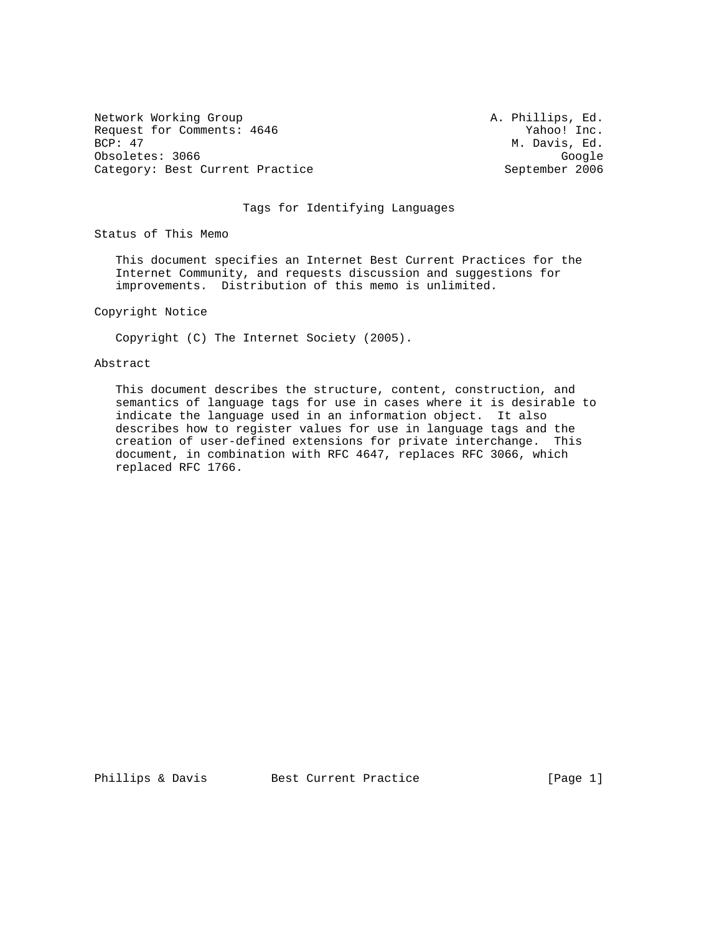Network Working Group **A. Phillips, Ed.** A. Phillips, Ed. Request for Comments: 4646 Yahoo! Inc.<br>BCP: 47 M. Davis, Ed. Obsoletes: 3066<br>Category: Best Current Practice Category: Best Current Practice Category: Best Current Practice

M. Davis, Ed.

# Tags for Identifying Languages

Status of This Memo

 This document specifies an Internet Best Current Practices for the Internet Community, and requests discussion and suggestions for improvements. Distribution of this memo is unlimited.

Copyright Notice

Copyright (C) The Internet Society (2005).

## Abstract

 This document describes the structure, content, construction, and semantics of language tags for use in cases where it is desirable to indicate the language used in an information object. It also describes how to register values for use in language tags and the creation of user-defined extensions for private interchange. This document, in combination with RFC 4647, replaces RFC 3066, which replaced RFC 1766.

Phillips & Davis Best Current Practice [Page 1]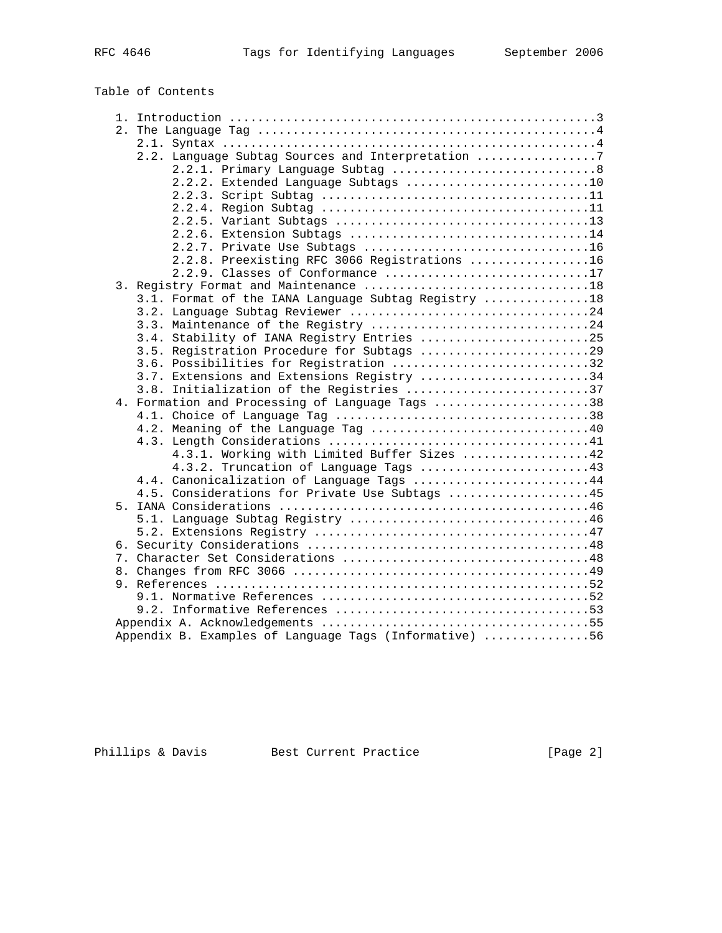Table of Contents

| 2.2. Language Subtag Sources and Interpretation 7      |
|--------------------------------------------------------|
|                                                        |
| 2.2.2. Extended Language Subtags 10                    |
|                                                        |
|                                                        |
|                                                        |
|                                                        |
|                                                        |
| 2.2.8. Preexisting RFC 3066 Registrations 16           |
| 2.2.9. Classes of Conformance 17                       |
|                                                        |
| 3.1. Format of the IANA Language Subtag Registry 18    |
|                                                        |
| 3.3. Maintenance of the Registry 24                    |
| 3.4. Stability of IANA Registry Entries 25             |
| 3.5. Registration Procedure for Subtags 29             |
| 3.6. Possibilities for Registration 32                 |
| 3.7. Extensions and Extensions Registry 34             |
| 3.8. Initialization of the Registries 37               |
| 4. Formation and Processing of Language Tags 38        |
|                                                        |
|                                                        |
|                                                        |
| 4.3.1. Working with Limited Buffer Sizes 42            |
| 4.3.2. Truncation of Language Tags 43                  |
| 4.4. Canonicalization of Language Tags 44              |
| 4.5. Considerations for Private Use Subtags 45         |
|                                                        |
|                                                        |
|                                                        |
|                                                        |
|                                                        |
|                                                        |
|                                                        |
|                                                        |
|                                                        |
|                                                        |
| Appendix B. Examples of Language Tags (Informative) 56 |
|                                                        |

Phillips & Davis Best Current Practice [Page 2]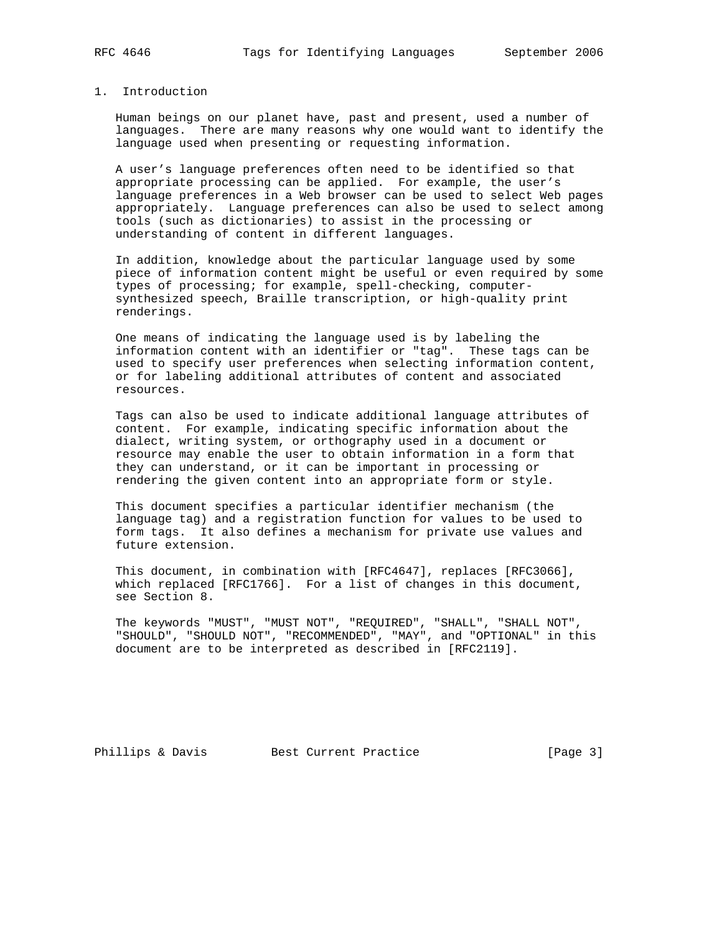# 1. Introduction

 Human beings on our planet have, past and present, used a number of languages. There are many reasons why one would want to identify the language used when presenting or requesting information.

 A user's language preferences often need to be identified so that appropriate processing can be applied. For example, the user's language preferences in a Web browser can be used to select Web pages appropriately. Language preferences can also be used to select among tools (such as dictionaries) to assist in the processing or understanding of content in different languages.

 In addition, knowledge about the particular language used by some piece of information content might be useful or even required by some types of processing; for example, spell-checking, computer synthesized speech, Braille transcription, or high-quality print renderings.

 One means of indicating the language used is by labeling the information content with an identifier or "tag". These tags can be used to specify user preferences when selecting information content, or for labeling additional attributes of content and associated resources.

 Tags can also be used to indicate additional language attributes of content. For example, indicating specific information about the dialect, writing system, or orthography used in a document or resource may enable the user to obtain information in a form that they can understand, or it can be important in processing or rendering the given content into an appropriate form or style.

 This document specifies a particular identifier mechanism (the language tag) and a registration function for values to be used to form tags. It also defines a mechanism for private use values and future extension.

 This document, in combination with [RFC4647], replaces [RFC3066], which replaced [RFC1766]. For a list of changes in this document, see Section 8.

 The keywords "MUST", "MUST NOT", "REQUIRED", "SHALL", "SHALL NOT", "SHOULD", "SHOULD NOT", "RECOMMENDED", "MAY", and "OPTIONAL" in this document are to be interpreted as described in [RFC2119].

Phillips & Davis Best Current Practice [Page 3]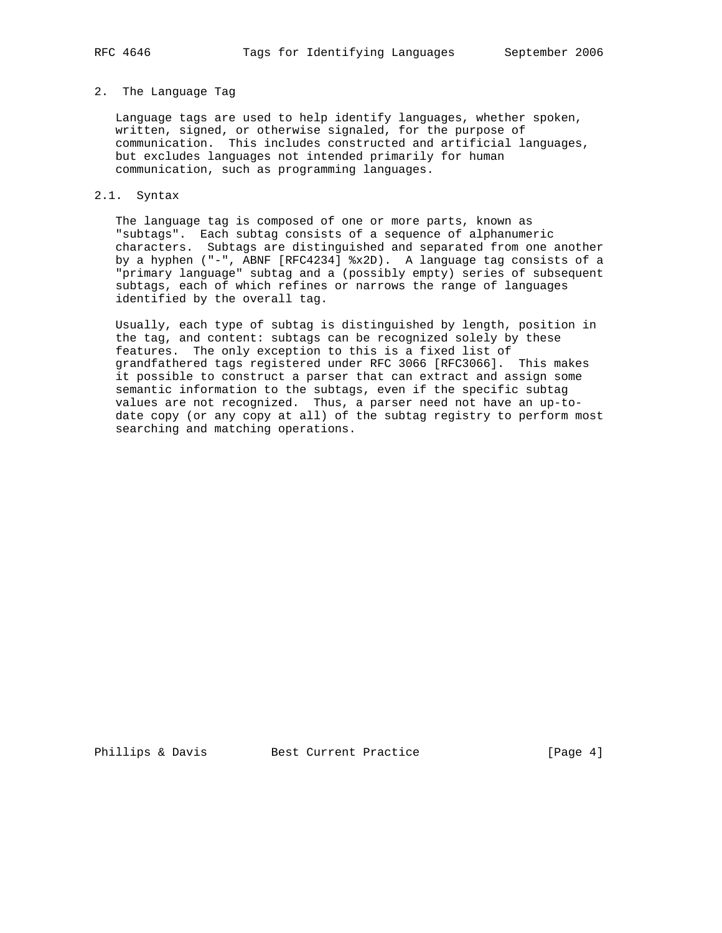#### 2. The Language Tag

 Language tags are used to help identify languages, whether spoken, written, signed, or otherwise signaled, for the purpose of communication. This includes constructed and artificial languages, but excludes languages not intended primarily for human communication, such as programming languages.

#### 2.1. Syntax

 The language tag is composed of one or more parts, known as "subtags". Each subtag consists of a sequence of alphanumeric characters. Subtags are distinguished and separated from one another by a hyphen ("-", ABNF [RFC4234] %x2D). A language tag consists of a "primary language" subtag and a (possibly empty) series of subsequent subtags, each of which refines or narrows the range of languages identified by the overall tag.

 Usually, each type of subtag is distinguished by length, position in the tag, and content: subtags can be recognized solely by these features. The only exception to this is a fixed list of grandfathered tags registered under RFC 3066 [RFC3066]. This makes it possible to construct a parser that can extract and assign some semantic information to the subtags, even if the specific subtag values are not recognized. Thus, a parser need not have an up-to date copy (or any copy at all) of the subtag registry to perform most searching and matching operations.

Phillips & Davis Best Current Practice [Page 4]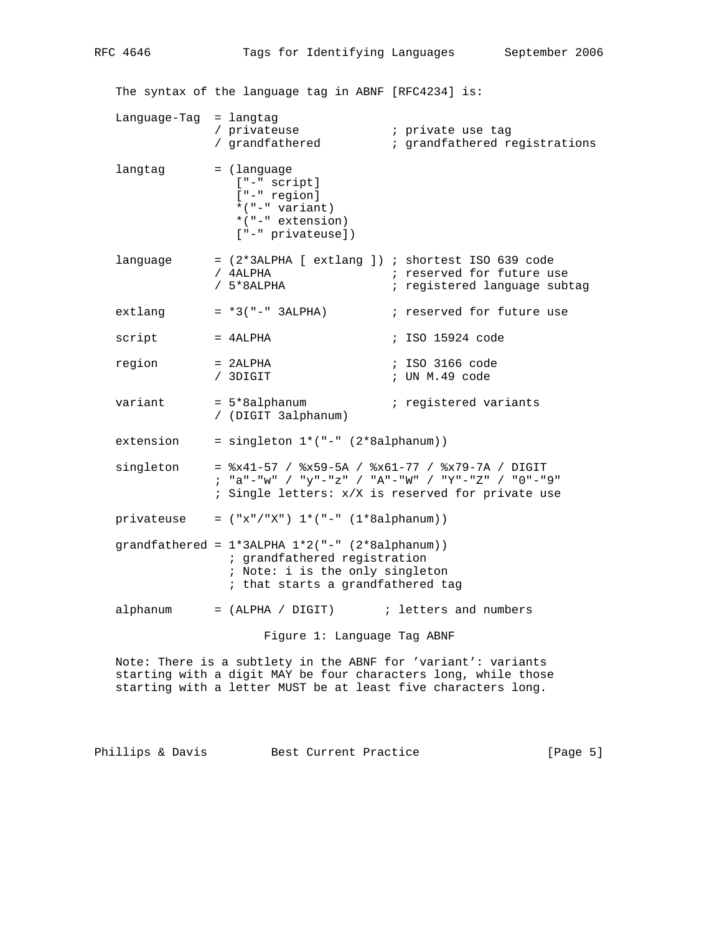The syntax of the language tag in ABNF [RFC4234] is: Language-Tag = langtag / privateuse ; private use tag / grandfathered ; grandfathered registrations langtag = (language ["-" script] ["-" region] \*("-" variant) \*("-" extension) ["-" privateuse]) language =  $(2*3ALPHA [extlang])$ ; shortest ISO 639 code<br>
/ 4ALPHA ; reserved for future us ; reserved for future use / 5\*8ALPHA ; registered language subtag extlang  $= *3("-" 3ALPHA)$  ; reserved for future use script = 4ALPHA ; ISO 15924 code region = 2ALPHA ; ISO 3166 code / 3DIGIT ; UN M.49 code variant = 5\*8alphanum ; registered variants / (DIGIT 3alphanum)  $extension = singleton 1*(-" - (2*8alphant))$  singleton = %x41-57 / %x59-5A / %x61-77 / %x79-7A / DIGIT ; "a"-"w" / "y"-"z" / "A"-"W" / "Y"-"Z" / "0"-"9" ; Single letters: x/X is reserved for private use privateuse =  $("x"/"X") 1*(-" - (1*8alphant))$ grandfathered =  $1*3$ ALPHA  $1*2$ ("-" (2\*8alphanum)) ; grandfathered registration ; Note: i is the only singleton ; that starts a grandfathered tag alphanum  $=$  (ALPHA / DIGIT)  $\qquad$  ; letters and numbers Figure 1: Language Tag ABNF

 Note: There is a subtlety in the ABNF for 'variant': variants starting with a digit MAY be four characters long, while those starting with a letter MUST be at least five characters long.

Phillips & Davis Best Current Practice [Page 5]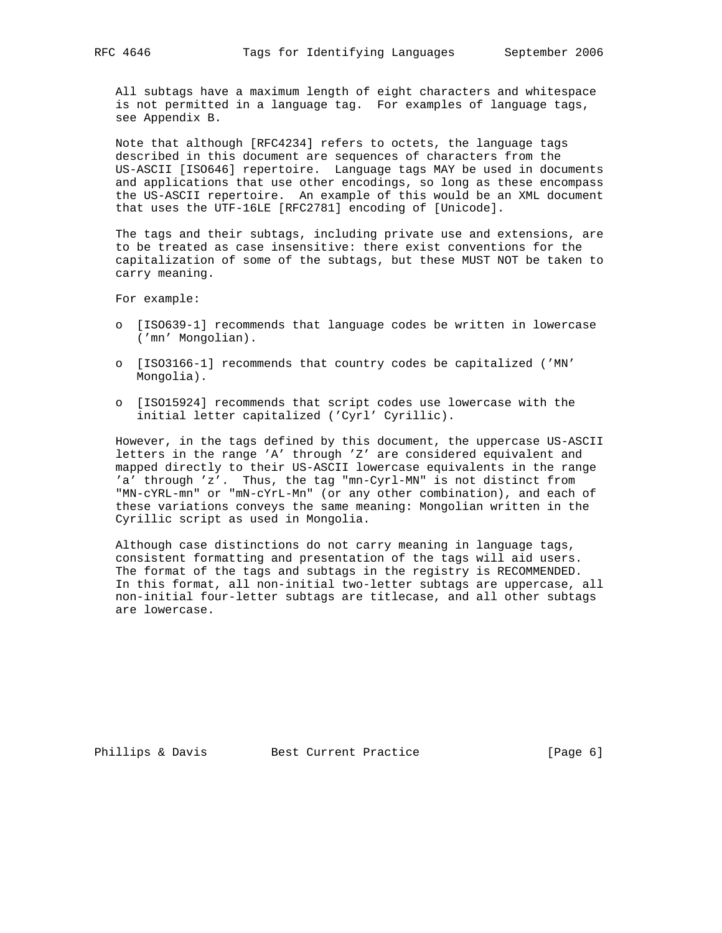All subtags have a maximum length of eight characters and whitespace is not permitted in a language tag. For examples of language tags, see Appendix B.

 Note that although [RFC4234] refers to octets, the language tags described in this document are sequences of characters from the US-ASCII [ISO646] repertoire. Language tags MAY be used in documents and applications that use other encodings, so long as these encompass the US-ASCII repertoire. An example of this would be an XML document that uses the UTF-16LE [RFC2781] encoding of [Unicode].

 The tags and their subtags, including private use and extensions, are to be treated as case insensitive: there exist conventions for the capitalization of some of the subtags, but these MUST NOT be taken to carry meaning.

For example:

- o [ISO639-1] recommends that language codes be written in lowercase ('mn' Mongolian).
- o [ISO3166-1] recommends that country codes be capitalized ('MN' Mongolia).
- o [ISO15924] recommends that script codes use lowercase with the initial letter capitalized ('Cyrl' Cyrillic).

 However, in the tags defined by this document, the uppercase US-ASCII letters in the range 'A' through 'Z' are considered equivalent and mapped directly to their US-ASCII lowercase equivalents in the range 'a' through 'z'. Thus, the tag "mn-Cyrl-MN" is not distinct from "MN-cYRL-mn" or "mN-cYrL-Mn" (or any other combination), and each of these variations conveys the same meaning: Mongolian written in the Cyrillic script as used in Mongolia.

 Although case distinctions do not carry meaning in language tags, consistent formatting and presentation of the tags will aid users. The format of the tags and subtags in the registry is RECOMMENDED. In this format, all non-initial two-letter subtags are uppercase, all non-initial four-letter subtags are titlecase, and all other subtags are lowercase.

Phillips & Davis Best Current Practice [Page 6]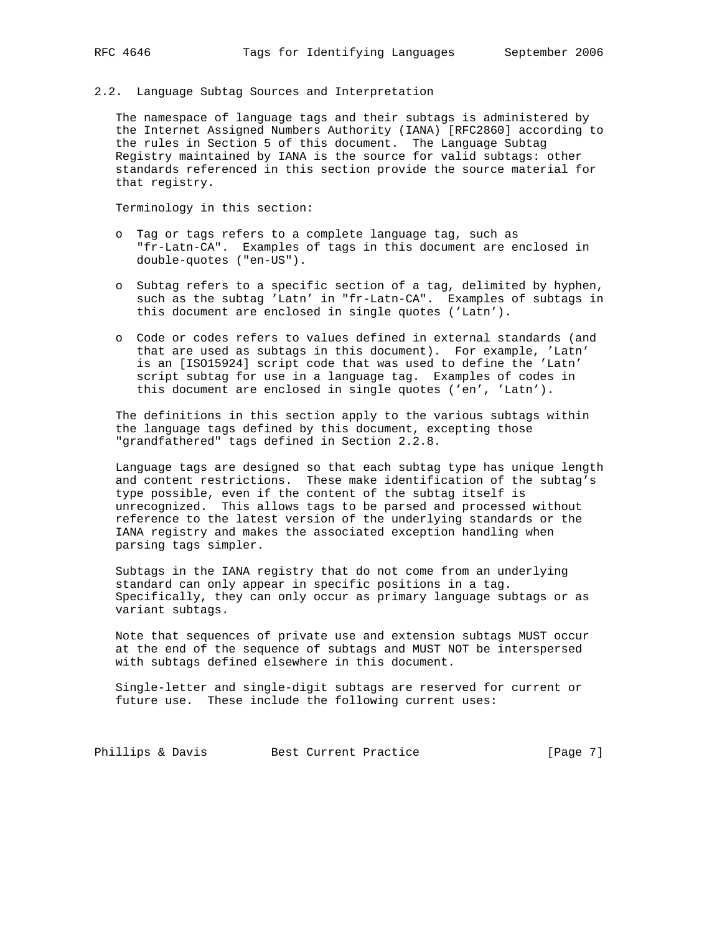2.2. Language Subtag Sources and Interpretation

 The namespace of language tags and their subtags is administered by the Internet Assigned Numbers Authority (IANA) [RFC2860] according to the rules in Section 5 of this document. The Language Subtag Registry maintained by IANA is the source for valid subtags: other standards referenced in this section provide the source material for that registry.

Terminology in this section:

- o Tag or tags refers to a complete language tag, such as "fr-Latn-CA". Examples of tags in this document are enclosed in double-quotes ("en-US").
- o Subtag refers to a specific section of a tag, delimited by hyphen, such as the subtag 'Latn' in "fr-Latn-CA". Examples of subtags in this document are enclosed in single quotes ('Latn').
- o Code or codes refers to values defined in external standards (and that are used as subtags in this document). For example, 'Latn' is an [ISO15924] script code that was used to define the 'Latn' script subtag for use in a language tag. Examples of codes in this document are enclosed in single quotes ('en', 'Latn').

 The definitions in this section apply to the various subtags within the language tags defined by this document, excepting those "grandfathered" tags defined in Section 2.2.8.

 Language tags are designed so that each subtag type has unique length and content restrictions. These make identification of the subtag's type possible, even if the content of the subtag itself is unrecognized. This allows tags to be parsed and processed without reference to the latest version of the underlying standards or the IANA registry and makes the associated exception handling when parsing tags simpler.

 Subtags in the IANA registry that do not come from an underlying standard can only appear in specific positions in a tag. Specifically, they can only occur as primary language subtags or as variant subtags.

 Note that sequences of private use and extension subtags MUST occur at the end of the sequence of subtags and MUST NOT be interspersed with subtags defined elsewhere in this document.

 Single-letter and single-digit subtags are reserved for current or future use. These include the following current uses:

Phillips & Davis Best Current Practice [Page 7]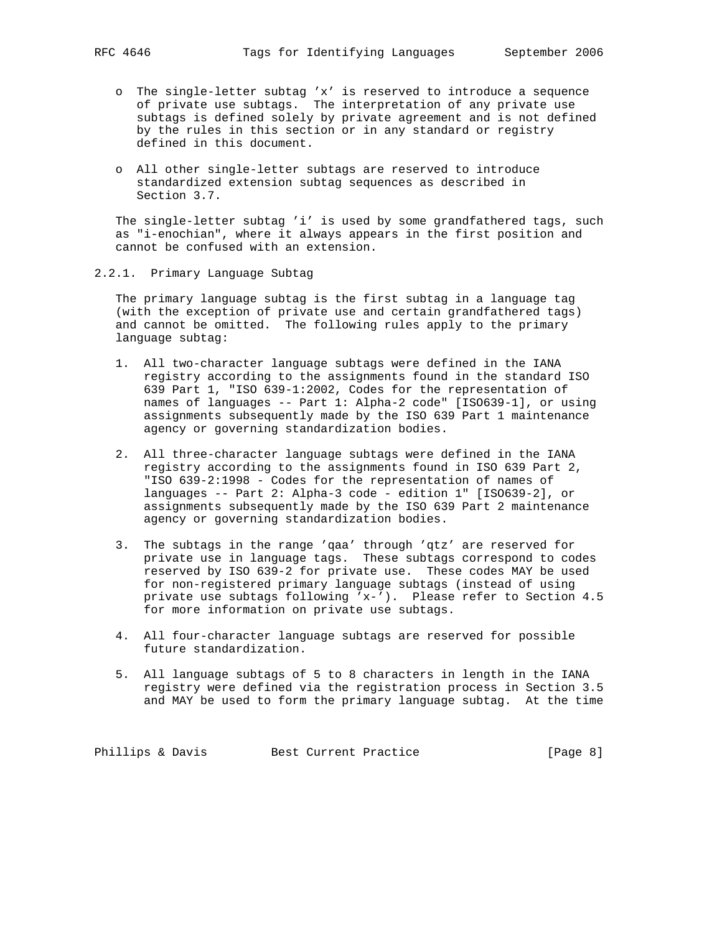- o The single-letter subtag 'x' is reserved to introduce a sequence of private use subtags. The interpretation of any private use subtags is defined solely by private agreement and is not defined by the rules in this section or in any standard or registry defined in this document.
- o All other single-letter subtags are reserved to introduce standardized extension subtag sequences as described in Section 3.7.

 The single-letter subtag 'i' is used by some grandfathered tags, such as "i-enochian", where it always appears in the first position and cannot be confused with an extension.

2.2.1. Primary Language Subtag

 The primary language subtag is the first subtag in a language tag (with the exception of private use and certain grandfathered tags) and cannot be omitted. The following rules apply to the primary language subtag:

- 1. All two-character language subtags were defined in the IANA registry according to the assignments found in the standard ISO 639 Part 1, "ISO 639-1:2002, Codes for the representation of names of languages -- Part 1: Alpha-2 code" [ISO639-1], or using assignments subsequently made by the ISO 639 Part 1 maintenance agency or governing standardization bodies.
- 2. All three-character language subtags were defined in the IANA registry according to the assignments found in ISO 639 Part 2, "ISO 639-2:1998 - Codes for the representation of names of languages -- Part 2: Alpha-3 code - edition 1" [ISO639-2], or assignments subsequently made by the ISO 639 Part 2 maintenance agency or governing standardization bodies.
- 3. The subtags in the range 'qaa' through 'qtz' are reserved for private use in language tags. These subtags correspond to codes reserved by ISO 639-2 for private use. These codes MAY be used for non-registered primary language subtags (instead of using private use subtags following 'x-'). Please refer to Section 4.5 for more information on private use subtags.
- 4. All four-character language subtags are reserved for possible future standardization.
- 5. All language subtags of 5 to 8 characters in length in the IANA registry were defined via the registration process in Section 3.5 and MAY be used to form the primary language subtag. At the time

Phillips & Davis Best Current Practice [Page 8]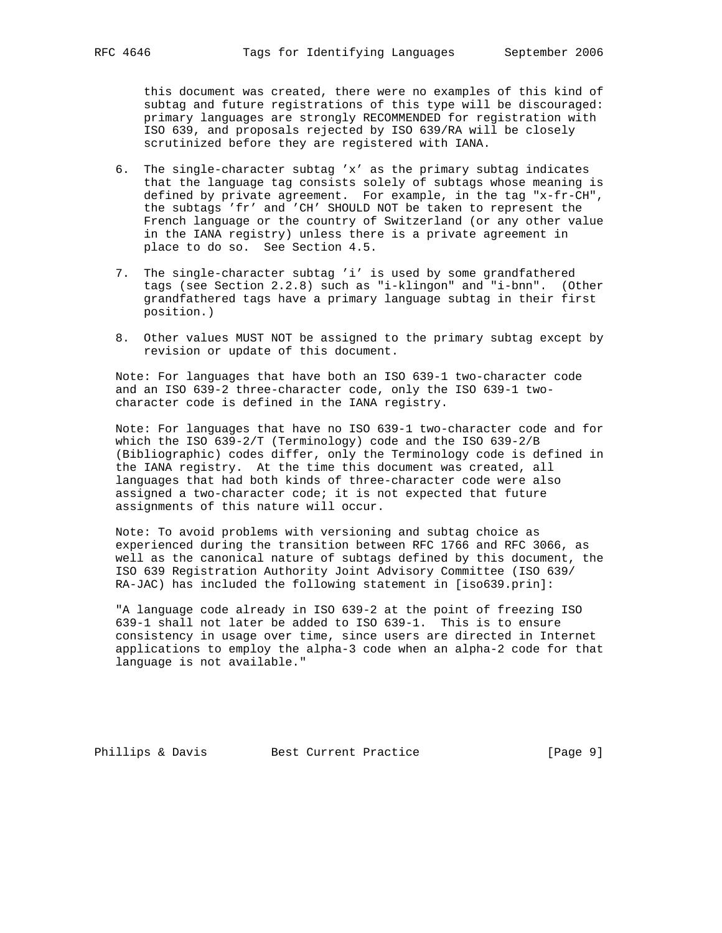this document was created, there were no examples of this kind of subtag and future registrations of this type will be discouraged: primary languages are strongly RECOMMENDED for registration with ISO 639, and proposals rejected by ISO 639/RA will be closely scrutinized before they are registered with IANA.

- 6. The single-character subtag 'x' as the primary subtag indicates that the language tag consists solely of subtags whose meaning is defined by private agreement. For example, in the tag "x-fr-CH", the subtags 'fr' and 'CH' SHOULD NOT be taken to represent the French language or the country of Switzerland (or any other value in the IANA registry) unless there is a private agreement in place to do so. See Section 4.5.
- 7. The single-character subtag 'i' is used by some grandfathered tags (see Section 2.2.8) such as "i-klingon" and "i-bnn". (Other grandfathered tags have a primary language subtag in their first position.)
- 8. Other values MUST NOT be assigned to the primary subtag except by revision or update of this document.

 Note: For languages that have both an ISO 639-1 two-character code and an ISO 639-2 three-character code, only the ISO 639-1 two character code is defined in the IANA registry.

 Note: For languages that have no ISO 639-1 two-character code and for which the ISO 639-2/T (Terminology) code and the ISO 639-2/B (Bibliographic) codes differ, only the Terminology code is defined in the IANA registry. At the time this document was created, all languages that had both kinds of three-character code were also assigned a two-character code; it is not expected that future assignments of this nature will occur.

 Note: To avoid problems with versioning and subtag choice as experienced during the transition between RFC 1766 and RFC 3066, as well as the canonical nature of subtags defined by this document, the ISO 639 Registration Authority Joint Advisory Committee (ISO 639/ RA-JAC) has included the following statement in [iso639.prin]:

 "A language code already in ISO 639-2 at the point of freezing ISO 639-1 shall not later be added to ISO 639-1. This is to ensure consistency in usage over time, since users are directed in Internet applications to employ the alpha-3 code when an alpha-2 code for that language is not available."

Phillips & Davis Best Current Practice [Page 9]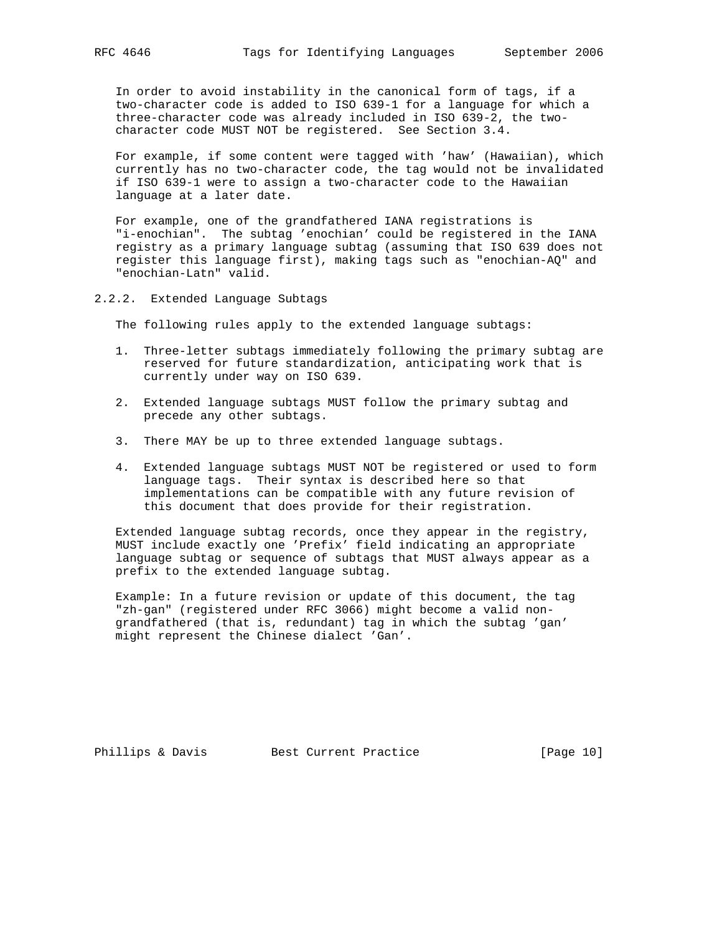In order to avoid instability in the canonical form of tags, if a two-character code is added to ISO 639-1 for a language for which a three-character code was already included in ISO 639-2, the two character code MUST NOT be registered. See Section 3.4.

 For example, if some content were tagged with 'haw' (Hawaiian), which currently has no two-character code, the tag would not be invalidated if ISO 639-1 were to assign a two-character code to the Hawaiian language at a later date.

 For example, one of the grandfathered IANA registrations is "i-enochian". The subtag 'enochian' could be registered in the IANA registry as a primary language subtag (assuming that ISO 639 does not register this language first), making tags such as "enochian-AQ" and "enochian-Latn" valid.

2.2.2. Extended Language Subtags

The following rules apply to the extended language subtags:

- 1. Three-letter subtags immediately following the primary subtag are reserved for future standardization, anticipating work that is currently under way on ISO 639.
- 2. Extended language subtags MUST follow the primary subtag and precede any other subtags.
- 3. There MAY be up to three extended language subtags.
- 4. Extended language subtags MUST NOT be registered or used to form language tags. Their syntax is described here so that implementations can be compatible with any future revision of this document that does provide for their registration.

 Extended language subtag records, once they appear in the registry, MUST include exactly one 'Prefix' field indicating an appropriate language subtag or sequence of subtags that MUST always appear as a prefix to the extended language subtag.

 Example: In a future revision or update of this document, the tag "zh-gan" (registered under RFC 3066) might become a valid non grandfathered (that is, redundant) tag in which the subtag 'gan' might represent the Chinese dialect 'Gan'.

Phillips & Davis Best Current Practice [Page 10]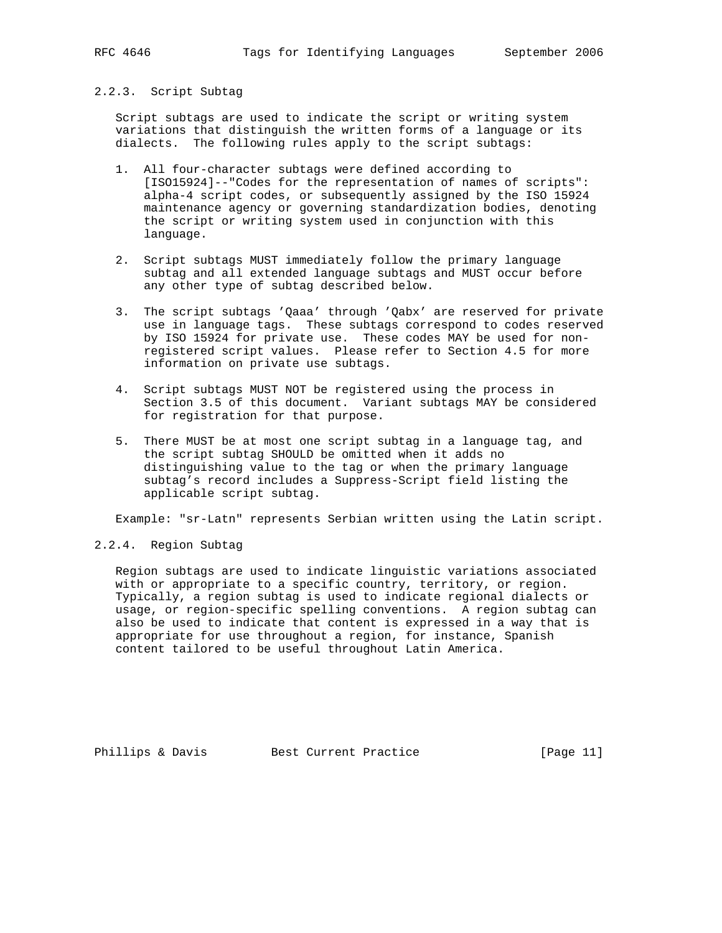#### 2.2.3. Script Subtag

 Script subtags are used to indicate the script or writing system variations that distinguish the written forms of a language or its dialects. The following rules apply to the script subtags:

- 1. All four-character subtags were defined according to [ISO15924]--"Codes for the representation of names of scripts": alpha-4 script codes, or subsequently assigned by the ISO 15924 maintenance agency or governing standardization bodies, denoting the script or writing system used in conjunction with this language.
- 2. Script subtags MUST immediately follow the primary language subtag and all extended language subtags and MUST occur before any other type of subtag described below.
- 3. The script subtags 'Qaaa' through 'Qabx' are reserved for private use in language tags. These subtags correspond to codes reserved by ISO 15924 for private use. These codes MAY be used for non registered script values. Please refer to Section 4.5 for more information on private use subtags.
- 4. Script subtags MUST NOT be registered using the process in Section 3.5 of this document. Variant subtags MAY be considered for registration for that purpose.
- 5. There MUST be at most one script subtag in a language tag, and the script subtag SHOULD be omitted when it adds no distinguishing value to the tag or when the primary language subtag's record includes a Suppress-Script field listing the applicable script subtag.

Example: "sr-Latn" represents Serbian written using the Latin script.

# 2.2.4. Region Subtag

 Region subtags are used to indicate linguistic variations associated with or appropriate to a specific country, territory, or region. Typically, a region subtag is used to indicate regional dialects or usage, or region-specific spelling conventions. A region subtag can also be used to indicate that content is expressed in a way that is appropriate for use throughout a region, for instance, Spanish content tailored to be useful throughout Latin America.

Phillips & Davis Best Current Practice [Page 11]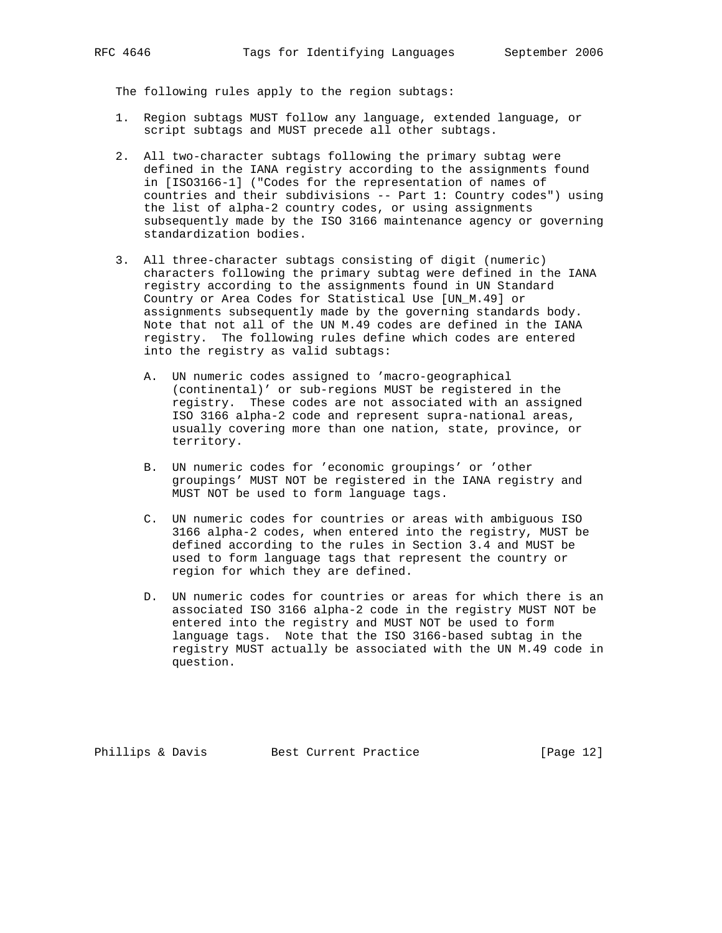The following rules apply to the region subtags:

- 1. Region subtags MUST follow any language, extended language, or script subtags and MUST precede all other subtags.
- 2. All two-character subtags following the primary subtag were defined in the IANA registry according to the assignments found in [ISO3166-1] ("Codes for the representation of names of countries and their subdivisions -- Part 1: Country codes") using the list of alpha-2 country codes, or using assignments subsequently made by the ISO 3166 maintenance agency or governing standardization bodies.
- 3. All three-character subtags consisting of digit (numeric) characters following the primary subtag were defined in the IANA registry according to the assignments found in UN Standard Country or Area Codes for Statistical Use [UN\_M.49] or assignments subsequently made by the governing standards body. Note that not all of the UN M.49 codes are defined in the IANA registry. The following rules define which codes are entered into the registry as valid subtags:
	- A. UN numeric codes assigned to 'macro-geographical (continental)' or sub-regions MUST be registered in the registry. These codes are not associated with an assigned ISO 3166 alpha-2 code and represent supra-national areas, usually covering more than one nation, state, province, or territory.
	- B. UN numeric codes for 'economic groupings' or 'other groupings' MUST NOT be registered in the IANA registry and MUST NOT be used to form language tags.
	- C. UN numeric codes for countries or areas with ambiguous ISO 3166 alpha-2 codes, when entered into the registry, MUST be defined according to the rules in Section 3.4 and MUST be used to form language tags that represent the country or region for which they are defined.
	- D. UN numeric codes for countries or areas for which there is an associated ISO 3166 alpha-2 code in the registry MUST NOT be entered into the registry and MUST NOT be used to form language tags. Note that the ISO 3166-based subtag in the registry MUST actually be associated with the UN M.49 code in question.

Phillips & Davis Best Current Practice [Page 12]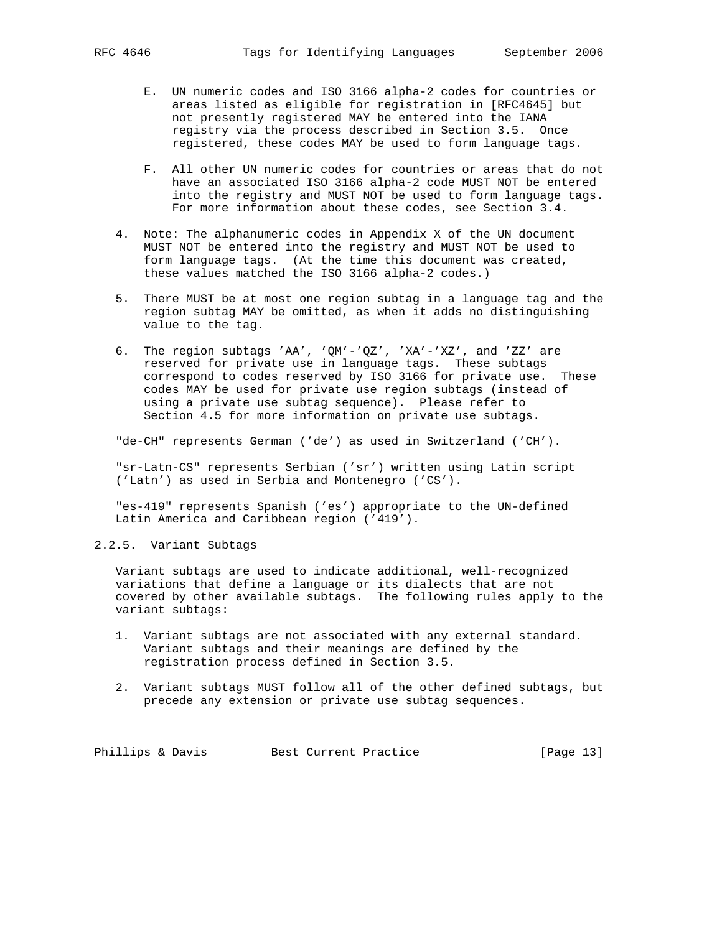- E. UN numeric codes and ISO 3166 alpha-2 codes for countries or areas listed as eligible for registration in [RFC4645] but not presently registered MAY be entered into the IANA registry via the process described in Section 3.5. Once registered, these codes MAY be used to form language tags.
- F. All other UN numeric codes for countries or areas that do not have an associated ISO 3166 alpha-2 code MUST NOT be entered into the registry and MUST NOT be used to form language tags. For more information about these codes, see Section 3.4.
- 4. Note: The alphanumeric codes in Appendix X of the UN document MUST NOT be entered into the registry and MUST NOT be used to form language tags. (At the time this document was created, these values matched the ISO 3166 alpha-2 codes.)
- 5. There MUST be at most one region subtag in a language tag and the region subtag MAY be omitted, as when it adds no distinguishing value to the tag.
- 6. The region subtags 'AA', 'QM'-'QZ', 'XA'-'XZ', and 'ZZ' are reserved for private use in language tags. These subtags correspond to codes reserved by ISO 3166 for private use. These codes MAY be used for private use region subtags (instead of using a private use subtag sequence). Please refer to Section 4.5 for more information on private use subtags.

"de-CH" represents German ('de') as used in Switzerland ('CH').

 "sr-Latn-CS" represents Serbian ('sr') written using Latin script ('Latn') as used in Serbia and Montenegro ('CS').

 "es-419" represents Spanish ('es') appropriate to the UN-defined Latin America and Caribbean region ('419').

# 2.2.5. Variant Subtags

 Variant subtags are used to indicate additional, well-recognized variations that define a language or its dialects that are not covered by other available subtags. The following rules apply to the variant subtags:

- 1. Variant subtags are not associated with any external standard. Variant subtags and their meanings are defined by the registration process defined in Section 3.5.
- 2. Variant subtags MUST follow all of the other defined subtags, but precede any extension or private use subtag sequences.

Phillips & Davis Best Current Practice [Page 13]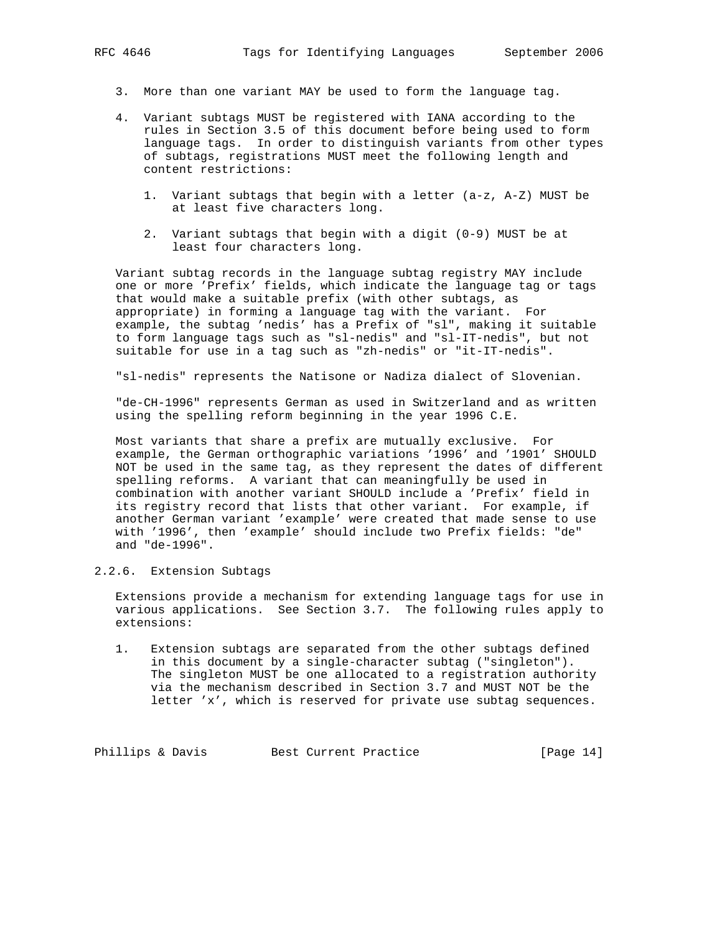- 3. More than one variant MAY be used to form the language tag.
- 4. Variant subtags MUST be registered with IANA according to the rules in Section 3.5 of this document before being used to form language tags. In order to distinguish variants from other types of subtags, registrations MUST meet the following length and content restrictions:
	- 1. Variant subtags that begin with a letter (a-z, A-Z) MUST be at least five characters long.
	- 2. Variant subtags that begin with a digit (0-9) MUST be at least four characters long.

 Variant subtag records in the language subtag registry MAY include one or more 'Prefix' fields, which indicate the language tag or tags that would make a suitable prefix (with other subtags, as appropriate) in forming a language tag with the variant. For example, the subtag 'nedis' has a Prefix of "sl", making it suitable to form language tags such as "sl-nedis" and "sl-IT-nedis", but not suitable for use in a tag such as "zh-nedis" or "it-IT-nedis".

"sl-nedis" represents the Natisone or Nadiza dialect of Slovenian.

 "de-CH-1996" represents German as used in Switzerland and as written using the spelling reform beginning in the year 1996 C.E.

 Most variants that share a prefix are mutually exclusive. For example, the German orthographic variations '1996' and '1901' SHOULD NOT be used in the same tag, as they represent the dates of different spelling reforms. A variant that can meaningfully be used in combination with another variant SHOULD include a 'Prefix' field in its registry record that lists that other variant. For example, if another German variant 'example' were created that made sense to use with '1996', then 'example' should include two Prefix fields: "de" and "de-1996".

# 2.2.6. Extension Subtags

 Extensions provide a mechanism for extending language tags for use in various applications. See Section 3.7. The following rules apply to extensions:

 1. Extension subtags are separated from the other subtags defined in this document by a single-character subtag ("singleton"). The singleton MUST be one allocated to a registration authority via the mechanism described in Section 3.7 and MUST NOT be the letter 'x', which is reserved for private use subtag sequences.

Phillips & Davis Best Current Practice [Page 14]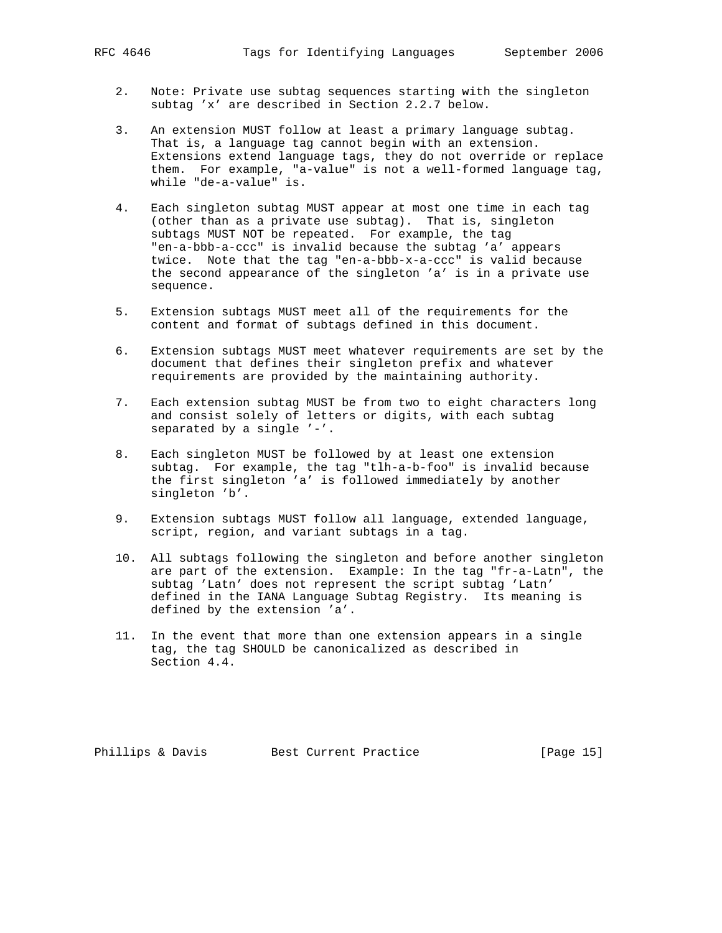- 2. Note: Private use subtag sequences starting with the singleton subtag 'x' are described in Section 2.2.7 below.
- 3. An extension MUST follow at least a primary language subtag. That is, a language tag cannot begin with an extension. Extensions extend language tags, they do not override or replace them. For example, "a-value" is not a well-formed language tag, while "de-a-value" is.
- 4. Each singleton subtag MUST appear at most one time in each tag (other than as a private use subtag). That is, singleton subtags MUST NOT be repeated. For example, the tag "en-a-bbb-a-ccc" is invalid because the subtag 'a' appears twice. Note that the tag "en-a-bbb-x-a-ccc" is valid because the second appearance of the singleton 'a' is in a private use sequence.
- 5. Extension subtags MUST meet all of the requirements for the content and format of subtags defined in this document.
- 6. Extension subtags MUST meet whatever requirements are set by the document that defines their singleton prefix and whatever requirements are provided by the maintaining authority.
- 7. Each extension subtag MUST be from two to eight characters long and consist solely of letters or digits, with each subtag separated by a single '-'.
- 8. Each singleton MUST be followed by at least one extension subtag. For example, the tag "tlh-a-b-foo" is invalid because the first singleton 'a' is followed immediately by another singleton 'b'.
- 9. Extension subtags MUST follow all language, extended language, script, region, and variant subtags in a tag.
- 10. All subtags following the singleton and before another singleton are part of the extension. Example: In the tag "fr-a-Latn", the subtag 'Latn' does not represent the script subtag 'Latn' defined in the IANA Language Subtag Registry. Its meaning is defined by the extension 'a'.
- 11. In the event that more than one extension appears in a single tag, the tag SHOULD be canonicalized as described in Section 4.4.

Phillips & Davis Best Current Practice [Page 15]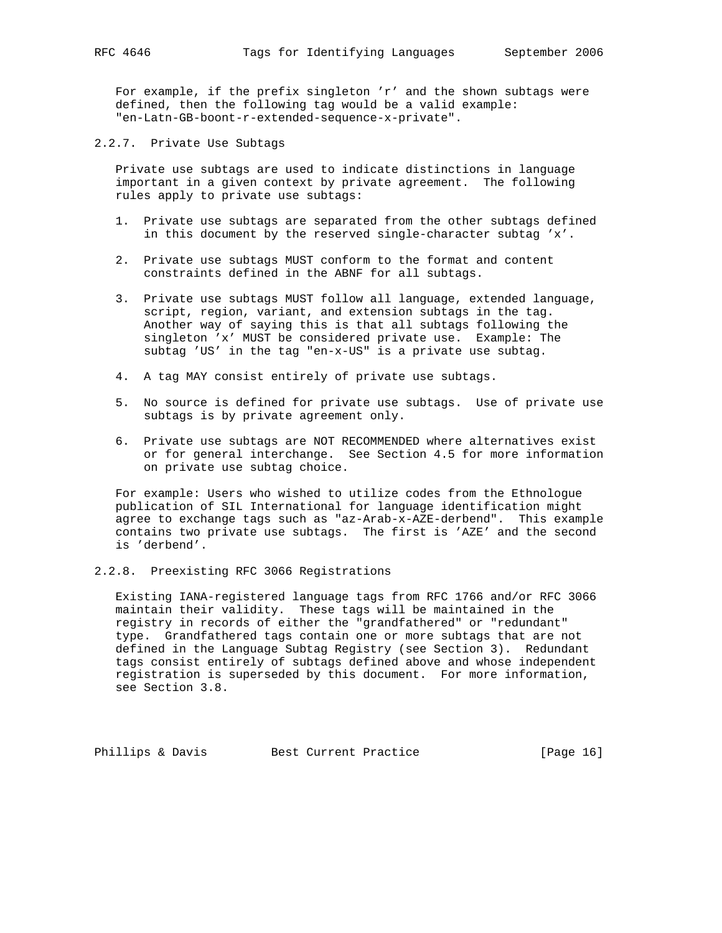For example, if the prefix singleton 'r' and the shown subtags were defined, then the following tag would be a valid example: "en-Latn-GB-boont-r-extended-sequence-x-private".

2.2.7. Private Use Subtags

 Private use subtags are used to indicate distinctions in language important in a given context by private agreement. The following rules apply to private use subtags:

- 1. Private use subtags are separated from the other subtags defined in this document by the reserved single-character subtag 'x'.
- 2. Private use subtags MUST conform to the format and content constraints defined in the ABNF for all subtags.
- 3. Private use subtags MUST follow all language, extended language, script, region, variant, and extension subtags in the tag. Another way of saying this is that all subtags following the singleton 'x' MUST be considered private use. Example: The subtag 'US' in the tag "en-x-US" is a private use subtag.
- 4. A tag MAY consist entirely of private use subtags.
- 5. No source is defined for private use subtags. Use of private use subtags is by private agreement only.
- 6. Private use subtags are NOT RECOMMENDED where alternatives exist or for general interchange. See Section 4.5 for more information on private use subtag choice.

 For example: Users who wished to utilize codes from the Ethnologue publication of SIL International for language identification might agree to exchange tags such as "az-Arab-x-AZE-derbend". This example contains two private use subtags. The first is 'AZE' and the second is 'derbend'.

2.2.8. Preexisting RFC 3066 Registrations

 Existing IANA-registered language tags from RFC 1766 and/or RFC 3066 maintain their validity. These tags will be maintained in the registry in records of either the "grandfathered" or "redundant" type. Grandfathered tags contain one or more subtags that are not defined in the Language Subtag Registry (see Section 3). Redundant tags consist entirely of subtags defined above and whose independent registration is superseded by this document. For more information, see Section 3.8.

Phillips & Davis Best Current Practice [Page 16]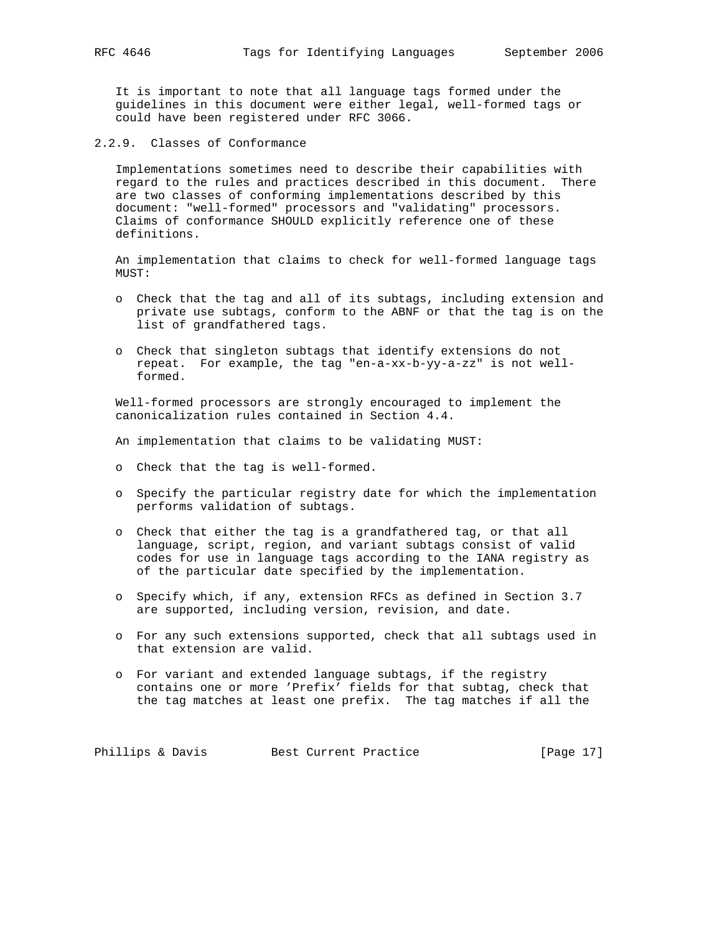It is important to note that all language tags formed under the guidelines in this document were either legal, well-formed tags or could have been registered under RFC 3066.

2.2.9. Classes of Conformance

 Implementations sometimes need to describe their capabilities with regard to the rules and practices described in this document. There are two classes of conforming implementations described by this document: "well-formed" processors and "validating" processors. Claims of conformance SHOULD explicitly reference one of these definitions.

 An implementation that claims to check for well-formed language tags  $MIST:$ 

- o Check that the tag and all of its subtags, including extension and private use subtags, conform to the ABNF or that the tag is on the list of grandfathered tags.
- o Check that singleton subtags that identify extensions do not repeat. For example, the tag "en-a-xx-b-yy-a-zz" is not well formed.

 Well-formed processors are strongly encouraged to implement the canonicalization rules contained in Section 4.4.

An implementation that claims to be validating MUST:

- o Check that the tag is well-formed.
- o Specify the particular registry date for which the implementation performs validation of subtags.
- o Check that either the tag is a grandfathered tag, or that all language, script, region, and variant subtags consist of valid codes for use in language tags according to the IANA registry as of the particular date specified by the implementation.
- o Specify which, if any, extension RFCs as defined in Section 3.7 are supported, including version, revision, and date.
- o For any such extensions supported, check that all subtags used in that extension are valid.
- o For variant and extended language subtags, if the registry contains one or more 'Prefix' fields for that subtag, check that the tag matches at least one prefix. The tag matches if all the

Phillips & Davis Best Current Practice [Page 17]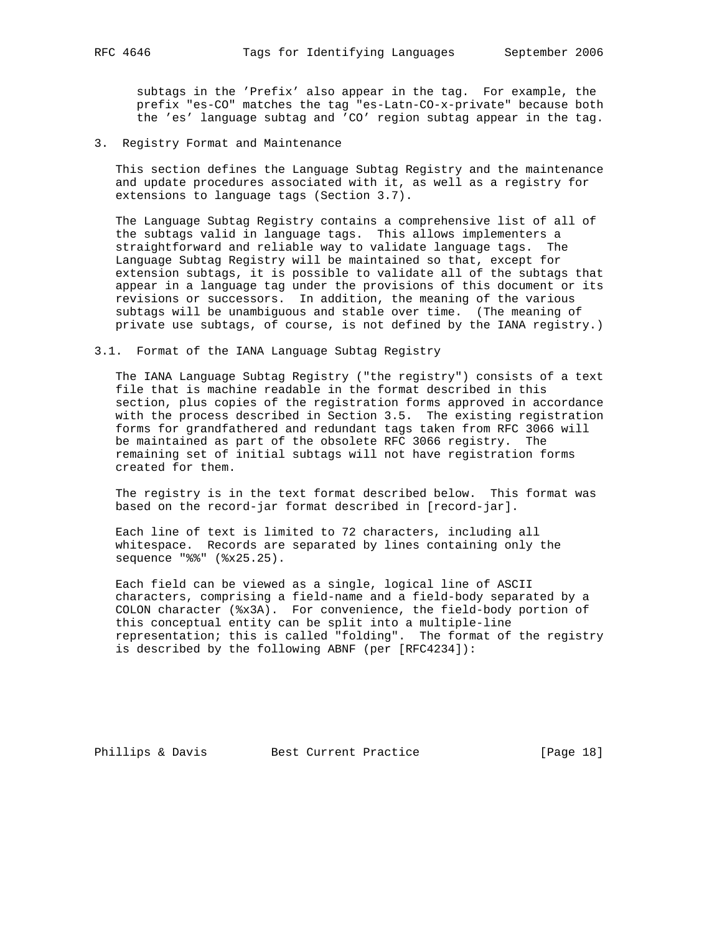subtags in the 'Prefix' also appear in the tag. For example, the prefix "es-CO" matches the tag "es-Latn-CO-x-private" because both the 'es' language subtag and 'CO' region subtag appear in the tag.

3. Registry Format and Maintenance

 This section defines the Language Subtag Registry and the maintenance and update procedures associated with it, as well as a registry for extensions to language tags (Section 3.7).

 The Language Subtag Registry contains a comprehensive list of all of the subtags valid in language tags. This allows implementers a straightforward and reliable way to validate language tags. The Language Subtag Registry will be maintained so that, except for extension subtags, it is possible to validate all of the subtags that appear in a language tag under the provisions of this document or its revisions or successors. In addition, the meaning of the various subtags will be unambiguous and stable over time. (The meaning of private use subtags, of course, is not defined by the IANA registry.)

3.1. Format of the IANA Language Subtag Registry

 The IANA Language Subtag Registry ("the registry") consists of a text file that is machine readable in the format described in this section, plus copies of the registration forms approved in accordance with the process described in Section 3.5. The existing registration forms for grandfathered and redundant tags taken from RFC 3066 will be maintained as part of the obsolete RFC 3066 registry. The remaining set of initial subtags will not have registration forms created for them.

 The registry is in the text format described below. This format was based on the record-jar format described in [record-jar].

 Each line of text is limited to 72 characters, including all whitespace. Records are separated by lines containing only the sequence "%%" (%x25.25).

 Each field can be viewed as a single, logical line of ASCII characters, comprising a field-name and a field-body separated by a COLON character (%x3A). For convenience, the field-body portion of this conceptual entity can be split into a multiple-line representation; this is called "folding". The format of the registry is described by the following ABNF (per [RFC4234]):

Phillips & Davis Best Current Practice [Page 18]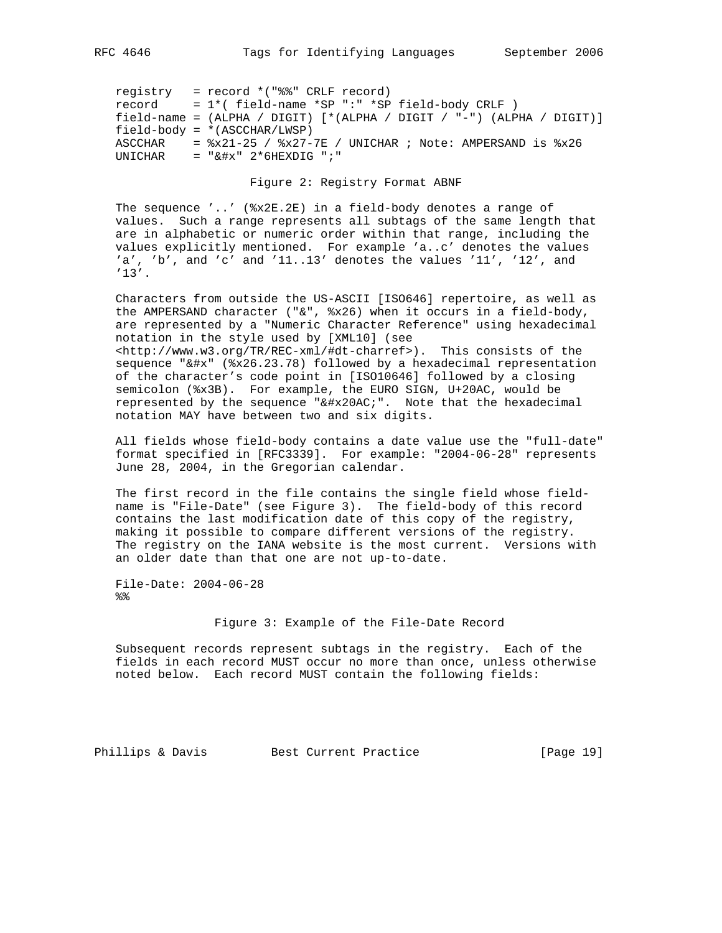registry = record \*("%%" CRLF record) record = 1\*( field-name \*SP ":" \*SP field-body CRLF ) field-name = (ALPHA / DIGIT) [\*(ALPHA / DIGIT / "-") (ALPHA / DIGIT)] field-body = \*(ASCCHAR/LWSP) ASCCHAR =  $x21-25$  /  $x27-7E$  / UNICHAR ; Note: AMPERSAND is  $x26$ <br>UNICHAR =  $x4x''$  2\*6HEXDIG  $"$ ; " UNICHAR = "&#x" 2\*6HEXDIG ";"

Figure 2: Registry Format ABNF

 The sequence '..' (%x2E.2E) in a field-body denotes a range of values. Such a range represents all subtags of the same length that are in alphabetic or numeric order within that range, including the values explicitly mentioned. For example 'a..c' denotes the values 'a', 'b', and 'c' and '11..13' denotes the values '11', '12', and '13'.

 Characters from outside the US-ASCII [ISO646] repertoire, as well as the AMPERSAND character ("&", %x26) when it occurs in a field-body, are represented by a "Numeric Character Reference" using hexadecimal notation in the style used by [XML10] (see <http://www.w3.org/TR/REC-xml/#dt-charref>). This consists of the sequence "&#x" (%x26.23.78) followed by a hexadecimal representation of the character's code point in [ISO10646] followed by a closing semicolon (%x3B). For example, the EURO SIGN, U+20AC, would be represented by the sequence "€". Note that the hexadecimal notation MAY have between two and six digits.

 All fields whose field-body contains a date value use the "full-date" format specified in [RFC3339]. For example: "2004-06-28" represents June 28, 2004, in the Gregorian calendar.

 The first record in the file contains the single field whose field name is "File-Date" (see Figure 3). The field-body of this record contains the last modification date of this copy of the registry, making it possible to compare different versions of the registry. The registry on the IANA website is the most current. Versions with an older date than that one are not up-to-date.

 File-Date: 2004-06-28  $%$ 

Figure 3: Example of the File-Date Record

 Subsequent records represent subtags in the registry. Each of the fields in each record MUST occur no more than once, unless otherwise noted below. Each record MUST contain the following fields:

Phillips & Davis Best Current Practice [Page 19]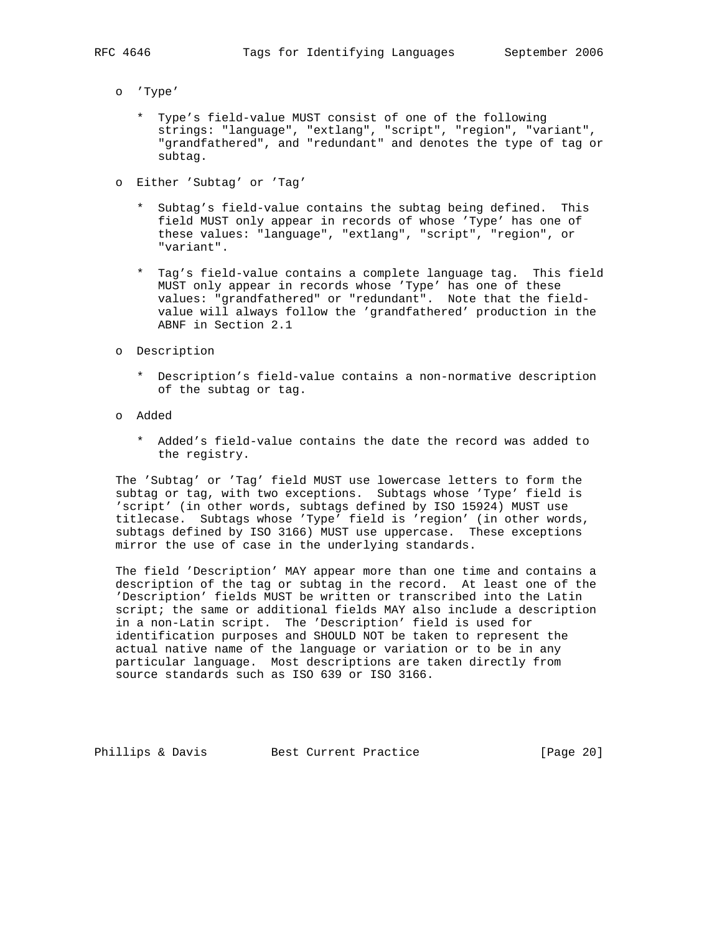- o 'Type'
	- \* Type's field-value MUST consist of one of the following strings: "language", "extlang", "script", "region", "variant", "grandfathered", and "redundant" and denotes the type of tag or subtag.
- o Either 'Subtag' or 'Tag'
	- \* Subtag's field-value contains the subtag being defined. This field MUST only appear in records of whose 'Type' has one of these values: "language", "extlang", "script", "region", or "variant".
	- \* Tag's field-value contains a complete language tag. This field MUST only appear in records whose 'Type' has one of these values: "grandfathered" or "redundant". Note that the field value will always follow the 'grandfathered' production in the ABNF in Section 2.1
- o Description
	- \* Description's field-value contains a non-normative description of the subtag or tag.
- o Added
	- \* Added's field-value contains the date the record was added to the registry.

 The 'Subtag' or 'Tag' field MUST use lowercase letters to form the subtag or tag, with two exceptions. Subtags whose 'Type' field is 'script' (in other words, subtags defined by ISO 15924) MUST use titlecase. Subtags whose 'Type' field is 'region' (in other words, subtags defined by ISO 3166) MUST use uppercase. These exceptions mirror the use of case in the underlying standards.

 The field 'Description' MAY appear more than one time and contains a description of the tag or subtag in the record. At least one of the 'Description' fields MUST be written or transcribed into the Latin script; the same or additional fields MAY also include a description in a non-Latin script. The 'Description' field is used for identification purposes and SHOULD NOT be taken to represent the actual native name of the language or variation or to be in any particular language. Most descriptions are taken directly from source standards such as ISO 639 or ISO 3166.

Phillips & Davis Best Current Practice [Page 20]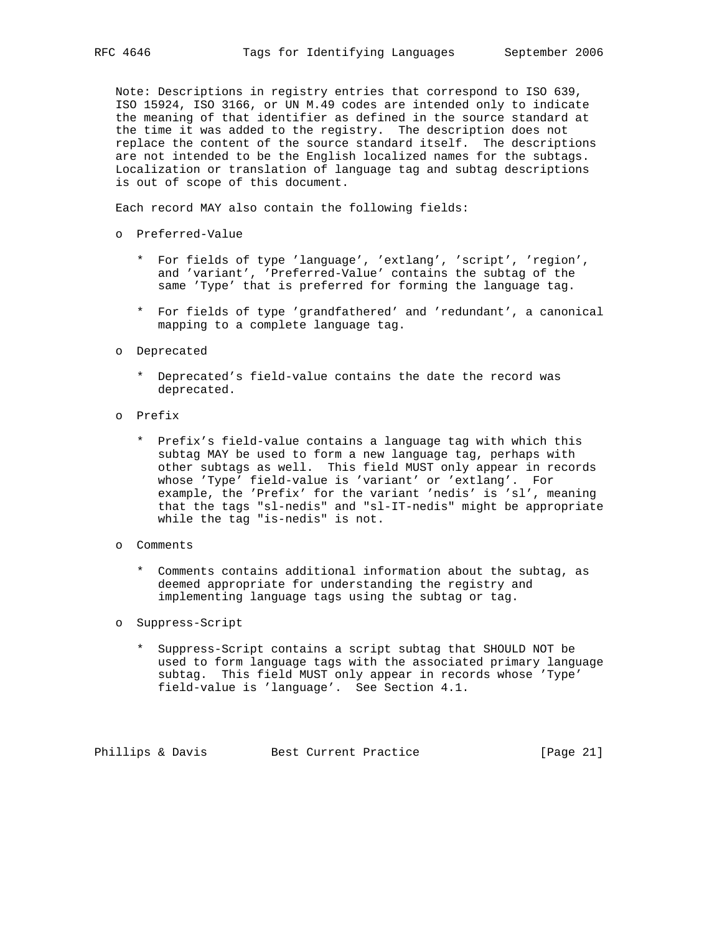Note: Descriptions in registry entries that correspond to ISO 639, ISO 15924, ISO 3166, or UN M.49 codes are intended only to indicate the meaning of that identifier as defined in the source standard at the time it was added to the registry. The description does not replace the content of the source standard itself. The descriptions are not intended to be the English localized names for the subtags. Localization or translation of language tag and subtag descriptions is out of scope of this document.

Each record MAY also contain the following fields:

- o Preferred-Value
	- \* For fields of type 'language', 'extlang', 'script', 'region', and 'variant', 'Preferred-Value' contains the subtag of the same 'Type' that is preferred for forming the language tag.
	- \* For fields of type 'grandfathered' and 'redundant', a canonical mapping to a complete language tag.
- o Deprecated
	- \* Deprecated's field-value contains the date the record was deprecated.
- o Prefix
	- \* Prefix's field-value contains a language tag with which this subtag MAY be used to form a new language tag, perhaps with other subtags as well. This field MUST only appear in records whose 'Type' field-value is 'variant' or 'extlang'. For example, the 'Prefix' for the variant 'nedis' is 'sl', meaning that the tags "sl-nedis" and "sl-IT-nedis" might be appropriate while the tag "is-nedis" is not.
- o Comments
	- \* Comments contains additional information about the subtag, as deemed appropriate for understanding the registry and implementing language tags using the subtag or tag.
- o Suppress-Script
	- \* Suppress-Script contains a script subtag that SHOULD NOT be used to form language tags with the associated primary language subtag. This field MUST only appear in records whose 'Type' field-value is 'language'. See Section 4.1.

Phillips & Davis Best Current Practice [Page 21]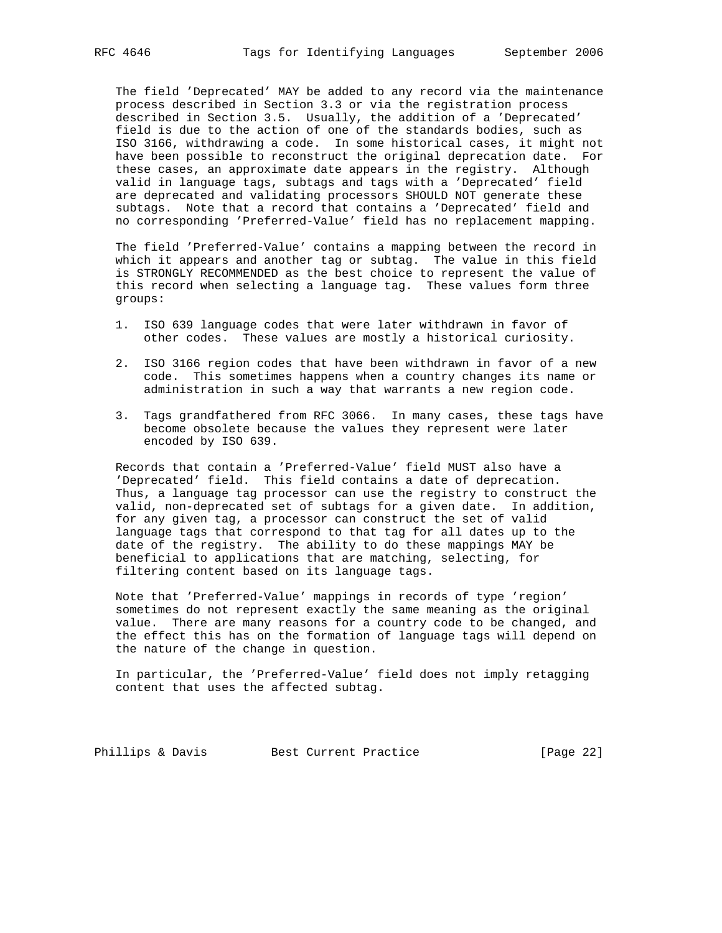The field 'Deprecated' MAY be added to any record via the maintenance process described in Section 3.3 or via the registration process described in Section 3.5. Usually, the addition of a 'Deprecated' field is due to the action of one of the standards bodies, such as ISO 3166, withdrawing a code. In some historical cases, it might not have been possible to reconstruct the original deprecation date. For these cases, an approximate date appears in the registry. Although valid in language tags, subtags and tags with a 'Deprecated' field are deprecated and validating processors SHOULD NOT generate these subtags. Note that a record that contains a 'Deprecated' field and no corresponding 'Preferred-Value' field has no replacement mapping.

 The field 'Preferred-Value' contains a mapping between the record in which it appears and another tag or subtag. The value in this field is STRONGLY RECOMMENDED as the best choice to represent the value of this record when selecting a language tag. These values form three groups:

- 1. ISO 639 language codes that were later withdrawn in favor of other codes. These values are mostly a historical curiosity.
- 2. ISO 3166 region codes that have been withdrawn in favor of a new code. This sometimes happens when a country changes its name or administration in such a way that warrants a new region code.
- 3. Tags grandfathered from RFC 3066. In many cases, these tags have become obsolete because the values they represent were later encoded by ISO 639.

 Records that contain a 'Preferred-Value' field MUST also have a 'Deprecated' field. This field contains a date of deprecation. Thus, a language tag processor can use the registry to construct the valid, non-deprecated set of subtags for a given date. In addition, for any given tag, a processor can construct the set of valid language tags that correspond to that tag for all dates up to the date of the registry. The ability to do these mappings MAY be beneficial to applications that are matching, selecting, for filtering content based on its language tags.

 Note that 'Preferred-Value' mappings in records of type 'region' sometimes do not represent exactly the same meaning as the original value. There are many reasons for a country code to be changed, and the effect this has on the formation of language tags will depend on the nature of the change in question.

 In particular, the 'Preferred-Value' field does not imply retagging content that uses the affected subtag.

Phillips & Davis Best Current Practice [Page 22]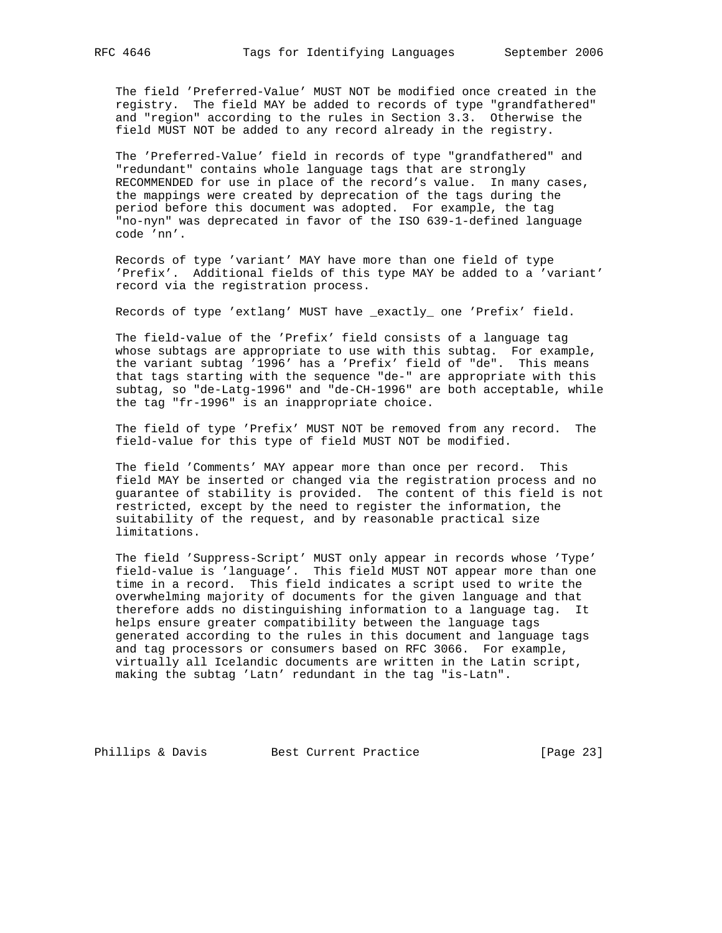The field 'Preferred-Value' MUST NOT be modified once created in the registry. The field MAY be added to records of type "grandfathered" and "region" according to the rules in Section 3.3. Otherwise the field MUST NOT be added to any record already in the registry.

 The 'Preferred-Value' field in records of type "grandfathered" and "redundant" contains whole language tags that are strongly RECOMMENDED for use in place of the record's value. In many cases, the mappings were created by deprecation of the tags during the period before this document was adopted. For example, the tag "no-nyn" was deprecated in favor of the ISO 639-1-defined language code 'nn'.

 Records of type 'variant' MAY have more than one field of type 'Prefix'. Additional fields of this type MAY be added to a 'variant' record via the registration process.

Records of type 'extlang' MUST have \_exactly\_ one 'Prefix' field.

 The field-value of the 'Prefix' field consists of a language tag whose subtags are appropriate to use with this subtag. For example, the variant subtag '1996' has a 'Prefix' field of "de". This means that tags starting with the sequence "de-" are appropriate with this subtag, so "de-Latg-1996" and "de-CH-1996" are both acceptable, while the tag "fr-1996" is an inappropriate choice.

 The field of type 'Prefix' MUST NOT be removed from any record. The field-value for this type of field MUST NOT be modified.

 The field 'Comments' MAY appear more than once per record. This field MAY be inserted or changed via the registration process and no guarantee of stability is provided. The content of this field is not restricted, except by the need to register the information, the suitability of the request, and by reasonable practical size limitations.

 The field 'Suppress-Script' MUST only appear in records whose 'Type' field-value is 'language'. This field MUST NOT appear more than one time in a record. This field indicates a script used to write the overwhelming majority of documents for the given language and that therefore adds no distinguishing information to a language tag. It helps ensure greater compatibility between the language tags generated according to the rules in this document and language tags and tag processors or consumers based on RFC 3066. For example, virtually all Icelandic documents are written in the Latin script, making the subtag 'Latn' redundant in the tag "is-Latn".

Phillips & Davis Best Current Practice [Page 23]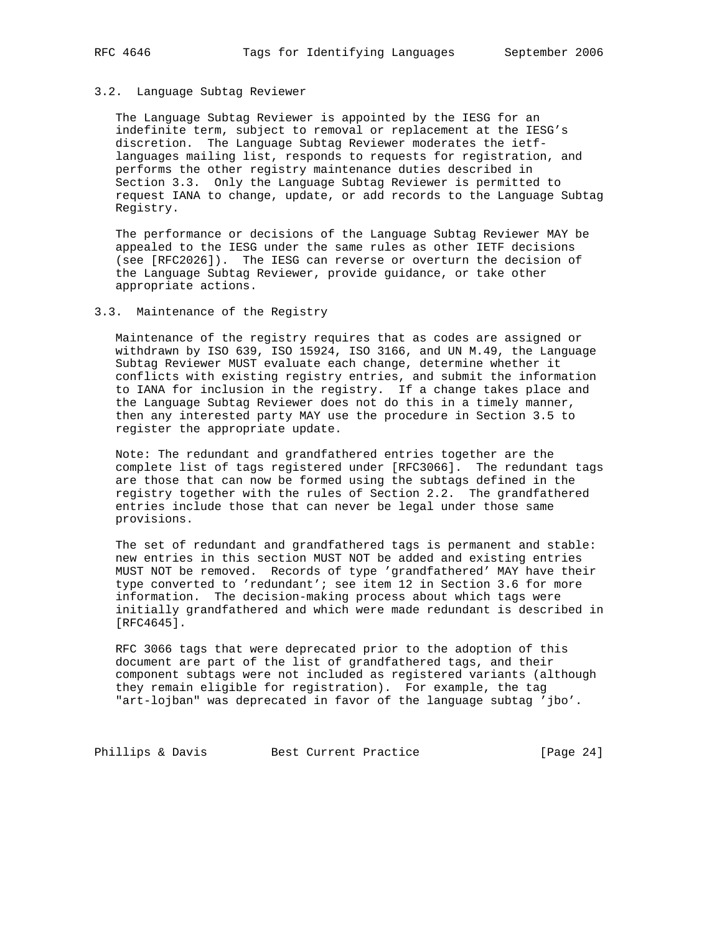#### 3.2. Language Subtag Reviewer

 The Language Subtag Reviewer is appointed by the IESG for an indefinite term, subject to removal or replacement at the IESG's discretion. The Language Subtag Reviewer moderates the ietf languages mailing list, responds to requests for registration, and performs the other registry maintenance duties described in Section 3.3. Only the Language Subtag Reviewer is permitted to request IANA to change, update, or add records to the Language Subtag Registry.

 The performance or decisions of the Language Subtag Reviewer MAY be appealed to the IESG under the same rules as other IETF decisions (see [RFC2026]). The IESG can reverse or overturn the decision of the Language Subtag Reviewer, provide guidance, or take other appropriate actions.

### 3.3. Maintenance of the Registry

 Maintenance of the registry requires that as codes are assigned or withdrawn by ISO 639, ISO 15924, ISO 3166, and UN M.49, the Language Subtag Reviewer MUST evaluate each change, determine whether it conflicts with existing registry entries, and submit the information to IANA for inclusion in the registry. If a change takes place and the Language Subtag Reviewer does not do this in a timely manner, then any interested party MAY use the procedure in Section 3.5 to register the appropriate update.

 Note: The redundant and grandfathered entries together are the complete list of tags registered under [RFC3066]. The redundant tags are those that can now be formed using the subtags defined in the registry together with the rules of Section 2.2. The grandfathered entries include those that can never be legal under those same provisions.

 The set of redundant and grandfathered tags is permanent and stable: new entries in this section MUST NOT be added and existing entries MUST NOT be removed. Records of type 'grandfathered' MAY have their type converted to 'redundant'; see item 12 in Section 3.6 for more information. The decision-making process about which tags were initially grandfathered and which were made redundant is described in [RFC4645].

 RFC 3066 tags that were deprecated prior to the adoption of this document are part of the list of grandfathered tags, and their component subtags were not included as registered variants (although they remain eligible for registration). For example, the tag "art-lojban" was deprecated in favor of the language subtag 'jbo'.

Phillips & Davis Best Current Practice [Page 24]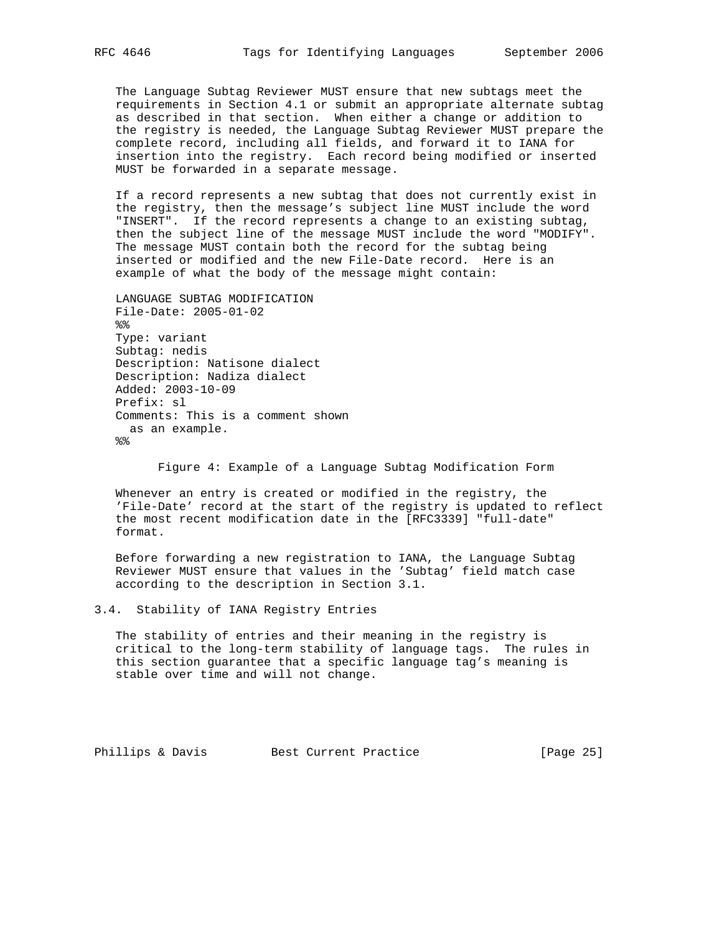The Language Subtag Reviewer MUST ensure that new subtags meet the requirements in Section 4.1 or submit an appropriate alternate subtag as described in that section. When either a change or addition to the registry is needed, the Language Subtag Reviewer MUST prepare the complete record, including all fields, and forward it to IANA for insertion into the registry. Each record being modified or inserted MUST be forwarded in a separate message.

 If a record represents a new subtag that does not currently exist in the registry, then the message's subject line MUST include the word "INSERT". If the record represents a change to an existing subtag, then the subject line of the message MUST include the word "MODIFY". The message MUST contain both the record for the subtag being inserted or modified and the new File-Date record. Here is an example of what the body of the message might contain:

```
 LANGUAGE SUBTAG MODIFICATION
 File-Date: 2005-01-02
% Type: variant
 Subtag: nedis
 Description: Natisone dialect
 Description: Nadiza dialect
 Added: 2003-10-09
 Prefix: sl
 Comments: This is a comment shown
   as an example.
%
```
Figure 4: Example of a Language Subtag Modification Form

 Whenever an entry is created or modified in the registry, the 'File-Date' record at the start of the registry is updated to reflect the most recent modification date in the [RFC3339] "full-date" format.

 Before forwarding a new registration to IANA, the Language Subtag Reviewer MUST ensure that values in the 'Subtag' field match case according to the description in Section 3.1.

```
3.4. Stability of IANA Registry Entries
```
 The stability of entries and their meaning in the registry is critical to the long-term stability of language tags. The rules in this section guarantee that a specific language tag's meaning is stable over time and will not change.

Phillips & Davis Best Current Practice [Page 25]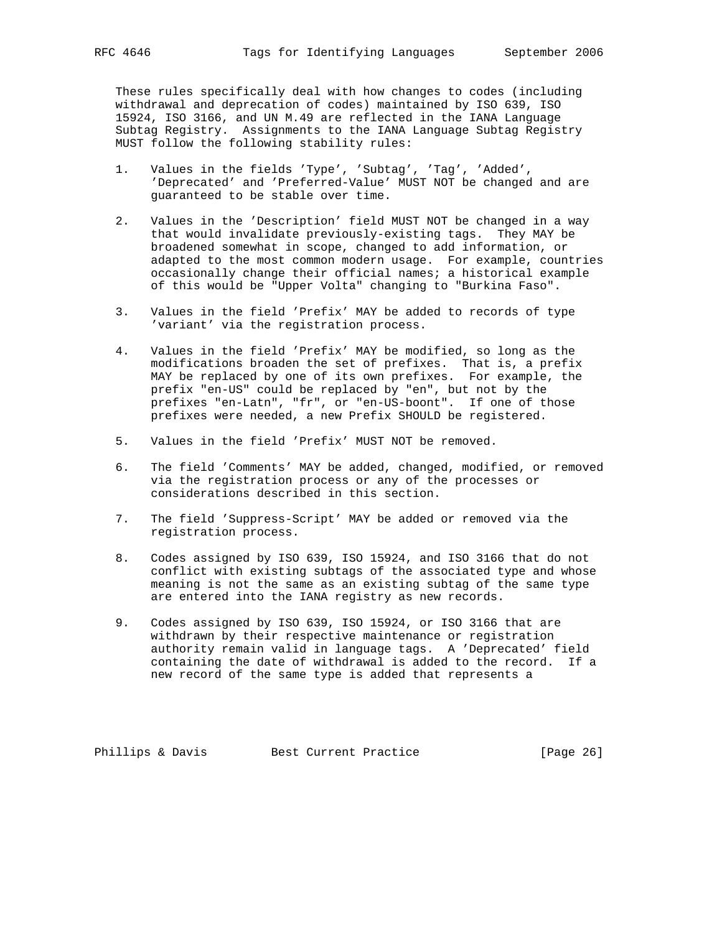These rules specifically deal with how changes to codes (including withdrawal and deprecation of codes) maintained by ISO 639, ISO 15924, ISO 3166, and UN M.49 are reflected in the IANA Language Subtag Registry. Assignments to the IANA Language Subtag Registry MUST follow the following stability rules:

- 1. Values in the fields 'Type', 'Subtag', 'Tag', 'Added', 'Deprecated' and 'Preferred-Value' MUST NOT be changed and are guaranteed to be stable over time.
- 2. Values in the 'Description' field MUST NOT be changed in a way that would invalidate previously-existing tags. They MAY be broadened somewhat in scope, changed to add information, or adapted to the most common modern usage. For example, countries occasionally change their official names; a historical example of this would be "Upper Volta" changing to "Burkina Faso".
- 3. Values in the field 'Prefix' MAY be added to records of type 'variant' via the registration process.
- 4. Values in the field 'Prefix' MAY be modified, so long as the modifications broaden the set of prefixes. That is, a prefix MAY be replaced by one of its own prefixes. For example, the prefix "en-US" could be replaced by "en", but not by the prefixes "en-Latn", "fr", or "en-US-boont". If one of those prefixes were needed, a new Prefix SHOULD be registered.
- 5. Values in the field 'Prefix' MUST NOT be removed.
- 6. The field 'Comments' MAY be added, changed, modified, or removed via the registration process or any of the processes or considerations described in this section.
- 7. The field 'Suppress-Script' MAY be added or removed via the registration process.
- 8. Codes assigned by ISO 639, ISO 15924, and ISO 3166 that do not conflict with existing subtags of the associated type and whose meaning is not the same as an existing subtag of the same type are entered into the IANA registry as new records.
- 9. Codes assigned by ISO 639, ISO 15924, or ISO 3166 that are withdrawn by their respective maintenance or registration authority remain valid in language tags. A 'Deprecated' field containing the date of withdrawal is added to the record. If a new record of the same type is added that represents a

Phillips & Davis Best Current Practice [Page 26]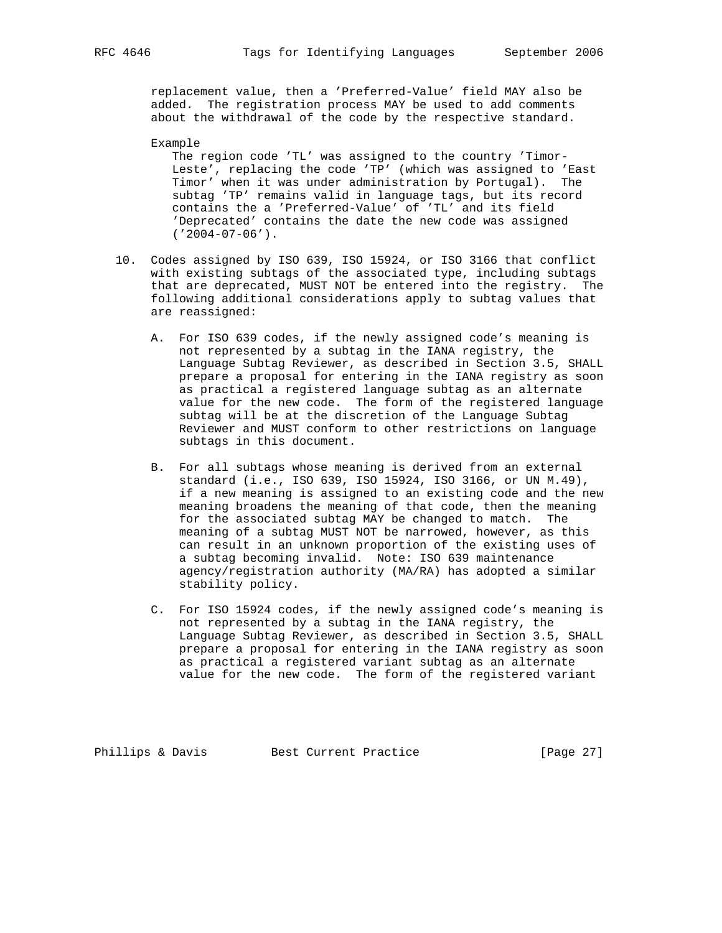replacement value, then a 'Preferred-Value' field MAY also be added. The registration process MAY be used to add comments about the withdrawal of the code by the respective standard.

 Example The region code 'TL' was assigned to the country 'Timor- Leste', replacing the code 'TP' (which was assigned to 'East Timor' when it was under administration by Portugal). The subtag 'TP' remains valid in language tags, but its record contains the a 'Preferred-Value' of 'TL' and its field 'Deprecated' contains the date the new code was assigned ('2004-07-06').

- 10. Codes assigned by ISO 639, ISO 15924, or ISO 3166 that conflict with existing subtags of the associated type, including subtags that are deprecated, MUST NOT be entered into the registry. The following additional considerations apply to subtag values that are reassigned:
	- A. For ISO 639 codes, if the newly assigned code's meaning is not represented by a subtag in the IANA registry, the Language Subtag Reviewer, as described in Section 3.5, SHALL prepare a proposal for entering in the IANA registry as soon as practical a registered language subtag as an alternate value for the new code. The form of the registered language subtag will be at the discretion of the Language Subtag Reviewer and MUST conform to other restrictions on language subtags in this document.
	- B. For all subtags whose meaning is derived from an external standard (i.e., ISO 639, ISO 15924, ISO 3166, or UN M.49), if a new meaning is assigned to an existing code and the new meaning broadens the meaning of that code, then the meaning for the associated subtag MAY be changed to match. The meaning of a subtag MUST NOT be narrowed, however, as this can result in an unknown proportion of the existing uses of a subtag becoming invalid. Note: ISO 639 maintenance agency/registration authority (MA/RA) has adopted a similar stability policy.
	- C. For ISO 15924 codes, if the newly assigned code's meaning is not represented by a subtag in the IANA registry, the Language Subtag Reviewer, as described in Section 3.5, SHALL prepare a proposal for entering in the IANA registry as soon as practical a registered variant subtag as an alternate value for the new code. The form of the registered variant

Phillips & Davis Best Current Practice [Page 27]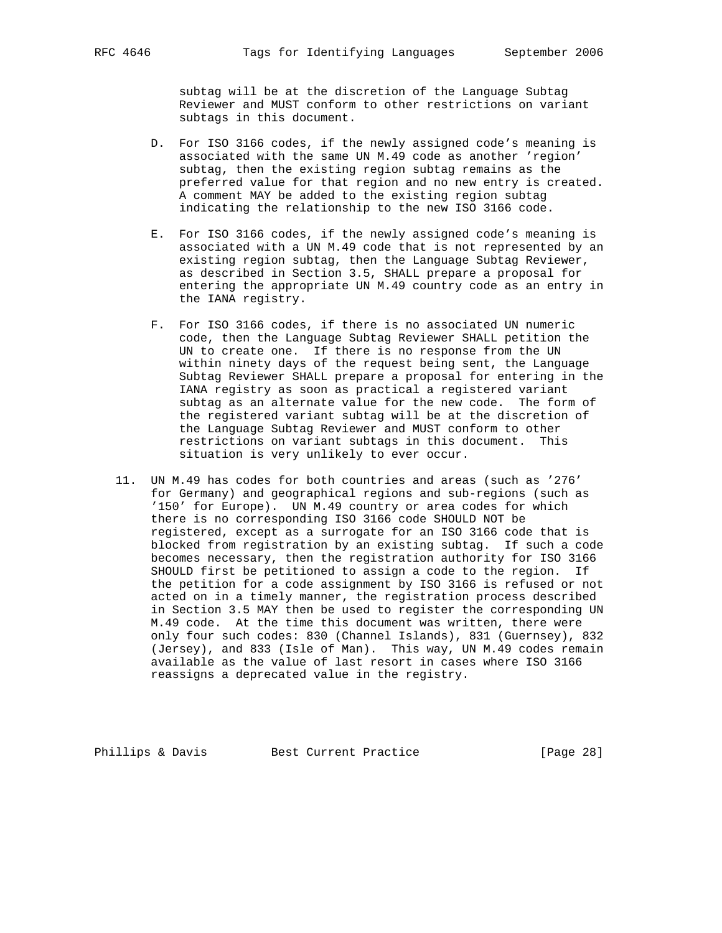subtag will be at the discretion of the Language Subtag Reviewer and MUST conform to other restrictions on variant subtags in this document.

- D. For ISO 3166 codes, if the newly assigned code's meaning is associated with the same UN M.49 code as another 'region' subtag, then the existing region subtag remains as the preferred value for that region and no new entry is created. A comment MAY be added to the existing region subtag indicating the relationship to the new ISO 3166 code.
- E. For ISO 3166 codes, if the newly assigned code's meaning is associated with a UN M.49 code that is not represented by an existing region subtag, then the Language Subtag Reviewer, as described in Section 3.5, SHALL prepare a proposal for entering the appropriate UN M.49 country code as an entry in the IANA registry.
- F. For ISO 3166 codes, if there is no associated UN numeric code, then the Language Subtag Reviewer SHALL petition the UN to create one. If there is no response from the UN within ninety days of the request being sent, the Language Subtag Reviewer SHALL prepare a proposal for entering in the IANA registry as soon as practical a registered variant subtag as an alternate value for the new code. The form of the registered variant subtag will be at the discretion of the Language Subtag Reviewer and MUST conform to other restrictions on variant subtags in this document. This situation is very unlikely to ever occur.
- 11. UN M.49 has codes for both countries and areas (such as '276' for Germany) and geographical regions and sub-regions (such as '150' for Europe). UN M.49 country or area codes for which there is no corresponding ISO 3166 code SHOULD NOT be registered, except as a surrogate for an ISO 3166 code that is blocked from registration by an existing subtag. If such a code becomes necessary, then the registration authority for ISO 3166 SHOULD first be petitioned to assign a code to the region. If the petition for a code assignment by ISO 3166 is refused or not acted on in a timely manner, the registration process described in Section 3.5 MAY then be used to register the corresponding UN M.49 code. At the time this document was written, there were only four such codes: 830 (Channel Islands), 831 (Guernsey), 832 (Jersey), and 833 (Isle of Man). This way, UN M.49 codes remain available as the value of last resort in cases where ISO 3166 reassigns a deprecated value in the registry.

Phillips & Davis Best Current Practice [Page 28]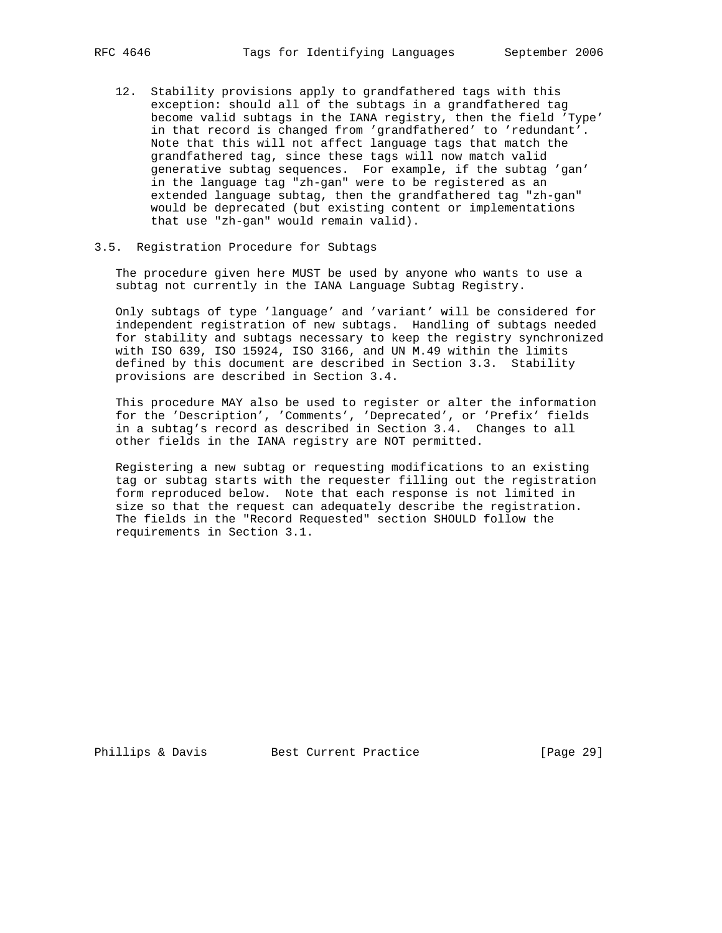- 12. Stability provisions apply to grandfathered tags with this exception: should all of the subtags in a grandfathered tag become valid subtags in the IANA registry, then the field 'Type' in that record is changed from 'grandfathered' to 'redundant'. Note that this will not affect language tags that match the grandfathered tag, since these tags will now match valid generative subtag sequences. For example, if the subtag 'gan' in the language tag "zh-gan" were to be registered as an extended language subtag, then the grandfathered tag "zh-gan" would be deprecated (but existing content or implementations that use "zh-gan" would remain valid).
- 3.5. Registration Procedure for Subtags

 The procedure given here MUST be used by anyone who wants to use a subtag not currently in the IANA Language Subtag Registry.

 Only subtags of type 'language' and 'variant' will be considered for independent registration of new subtags. Handling of subtags needed for stability and subtags necessary to keep the registry synchronized with ISO 639, ISO 15924, ISO 3166, and UN M.49 within the limits defined by this document are described in Section 3.3. Stability provisions are described in Section 3.4.

 This procedure MAY also be used to register or alter the information for the 'Description', 'Comments', 'Deprecated', or 'Prefix' fields in a subtag's record as described in Section 3.4. Changes to all other fields in the IANA registry are NOT permitted.

 Registering a new subtag or requesting modifications to an existing tag or subtag starts with the requester filling out the registration form reproduced below. Note that each response is not limited in size so that the request can adequately describe the registration. The fields in the "Record Requested" section SHOULD follow the requirements in Section 3.1.

Phillips & Davis Best Current Practice [Page 29]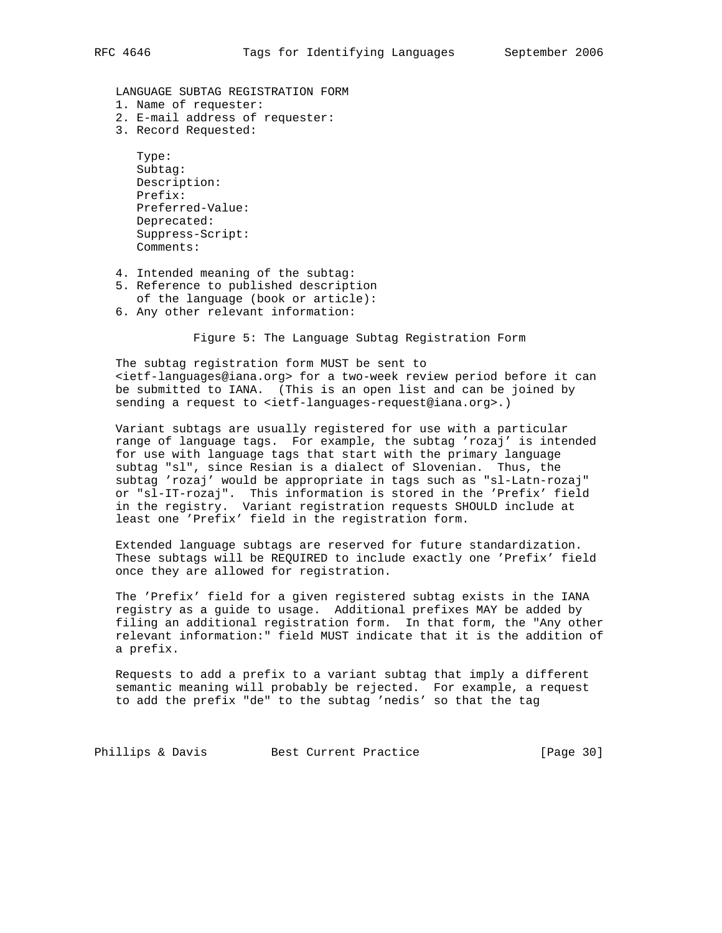LANGUAGE SUBTAG REGISTRATION FORM

- 1. Name of requester:
- 2. E-mail address of requester:
- 3. Record Requested:

```
 Type:
 Subtag:
 Description:
 Prefix:
 Preferred-Value:
 Deprecated:
 Suppress-Script:
 Comments:
```
- 4. Intended meaning of the subtag:
- 5. Reference to published description
- of the language (book or article):
- 6. Any other relevant information:

Figure 5: The Language Subtag Registration Form

 The subtag registration form MUST be sent to <ietf-languages@iana.org> for a two-week review period before it can be submitted to IANA. (This is an open list and can be joined by sending a request to <ietf-languages-request@iana.org>.)

 Variant subtags are usually registered for use with a particular range of language tags. For example, the subtag 'rozaj' is intended for use with language tags that start with the primary language subtag "sl", since Resian is a dialect of Slovenian. Thus, the subtag 'rozaj' would be appropriate in tags such as "sl-Latn-rozaj" or "sl-IT-rozaj". This information is stored in the 'Prefix' field in the registry. Variant registration requests SHOULD include at least one 'Prefix' field in the registration form.

 Extended language subtags are reserved for future standardization. These subtags will be REQUIRED to include exactly one 'Prefix' field once they are allowed for registration.

 The 'Prefix' field for a given registered subtag exists in the IANA registry as a guide to usage. Additional prefixes MAY be added by filing an additional registration form. In that form, the "Any other relevant information:" field MUST indicate that it is the addition of a prefix.

 Requests to add a prefix to a variant subtag that imply a different semantic meaning will probably be rejected. For example, a request to add the prefix "de" to the subtag 'nedis' so that the tag

Phillips & Davis Best Current Practice [Page 30]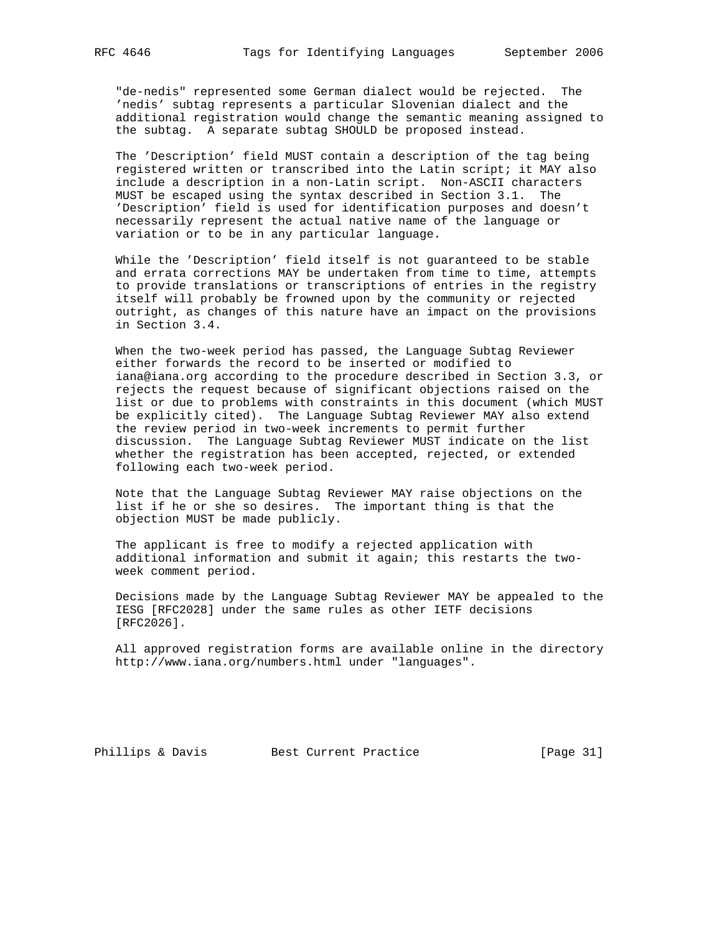"de-nedis" represented some German dialect would be rejected. The 'nedis' subtag represents a particular Slovenian dialect and the additional registration would change the semantic meaning assigned to the subtag. A separate subtag SHOULD be proposed instead.

 The 'Description' field MUST contain a description of the tag being registered written or transcribed into the Latin script; it MAY also include a description in a non-Latin script. Non-ASCII characters MUST be escaped using the syntax described in Section 3.1. The 'Description' field is used for identification purposes and doesn't necessarily represent the actual native name of the language or variation or to be in any particular language.

 While the 'Description' field itself is not guaranteed to be stable and errata corrections MAY be undertaken from time to time, attempts to provide translations or transcriptions of entries in the registry itself will probably be frowned upon by the community or rejected outright, as changes of this nature have an impact on the provisions in Section 3.4.

 When the two-week period has passed, the Language Subtag Reviewer either forwards the record to be inserted or modified to iana@iana.org according to the procedure described in Section 3.3, or rejects the request because of significant objections raised on the list or due to problems with constraints in this document (which MUST be explicitly cited). The Language Subtag Reviewer MAY also extend the review period in two-week increments to permit further discussion. The Language Subtag Reviewer MUST indicate on the list whether the registration has been accepted, rejected, or extended following each two-week period.

 Note that the Language Subtag Reviewer MAY raise objections on the list if he or she so desires. The important thing is that the objection MUST be made publicly.

 The applicant is free to modify a rejected application with additional information and submit it again; this restarts the two week comment period.

 Decisions made by the Language Subtag Reviewer MAY be appealed to the IESG [RFC2028] under the same rules as other IETF decisions [RFC2026].

 All approved registration forms are available online in the directory http://www.iana.org/numbers.html under "languages".

Phillips & Davis Best Current Practice [Page 31]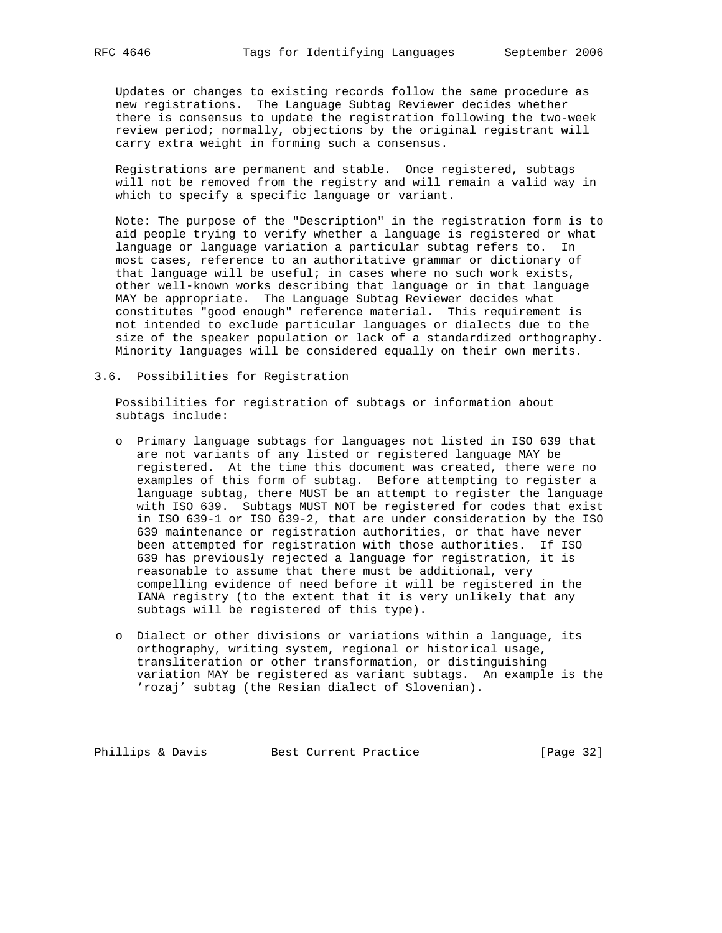Updates or changes to existing records follow the same procedure as new registrations. The Language Subtag Reviewer decides whether there is consensus to update the registration following the two-week review period; normally, objections by the original registrant will carry extra weight in forming such a consensus.

 Registrations are permanent and stable. Once registered, subtags will not be removed from the registry and will remain a valid way in which to specify a specific language or variant.

 Note: The purpose of the "Description" in the registration form is to aid people trying to verify whether a language is registered or what language or language variation a particular subtag refers to. In most cases, reference to an authoritative grammar or dictionary of that language will be useful; in cases where no such work exists, other well-known works describing that language or in that language MAY be appropriate. The Language Subtag Reviewer decides what constitutes "good enough" reference material. This requirement is not intended to exclude particular languages or dialects due to the size of the speaker population or lack of a standardized orthography. Minority languages will be considered equally on their own merits.

3.6. Possibilities for Registration

 Possibilities for registration of subtags or information about subtags include:

- o Primary language subtags for languages not listed in ISO 639 that are not variants of any listed or registered language MAY be registered. At the time this document was created, there were no examples of this form of subtag. Before attempting to register a language subtag, there MUST be an attempt to register the language with ISO 639. Subtags MUST NOT be registered for codes that exist in ISO 639-1 or ISO 639-2, that are under consideration by the ISO 639 maintenance or registration authorities, or that have never been attempted for registration with those authorities. If ISO 639 has previously rejected a language for registration, it is reasonable to assume that there must be additional, very compelling evidence of need before it will be registered in the IANA registry (to the extent that it is very unlikely that any subtags will be registered of this type).
- o Dialect or other divisions or variations within a language, its orthography, writing system, regional or historical usage, transliteration or other transformation, or distinguishing variation MAY be registered as variant subtags. An example is the 'rozaj' subtag (the Resian dialect of Slovenian).

Phillips & Davis Best Current Practice [Page 32]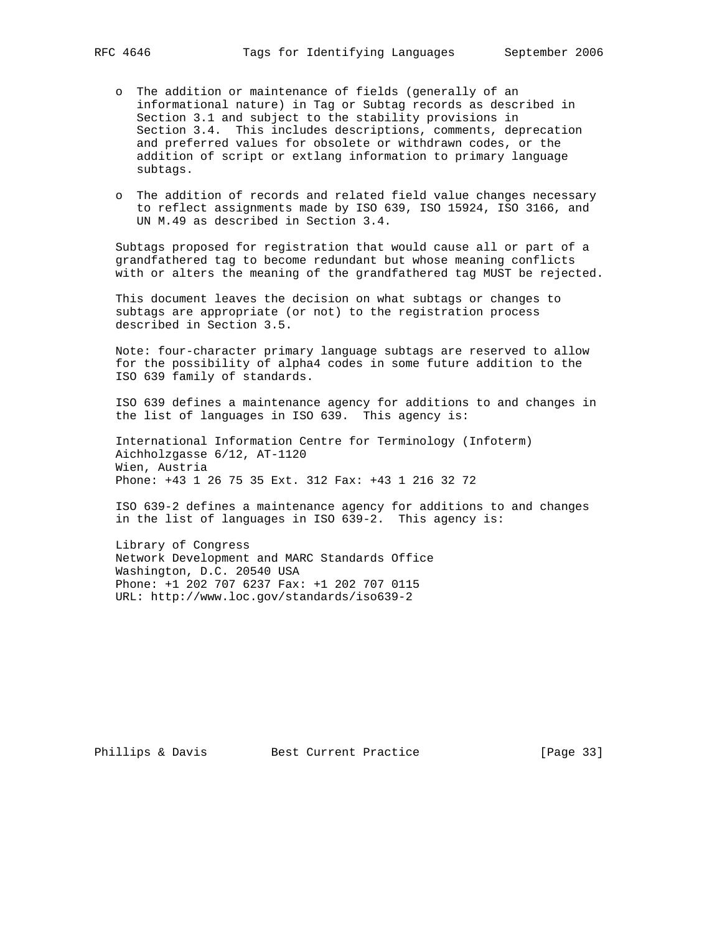- o The addition or maintenance of fields (generally of an informational nature) in Tag or Subtag records as described in Section 3.1 and subject to the stability provisions in Section 3.4. This includes descriptions, comments, deprecation and preferred values for obsolete or withdrawn codes, or the addition of script or extlang information to primary language subtags.
- o The addition of records and related field value changes necessary to reflect assignments made by ISO 639, ISO 15924, ISO 3166, and UN M.49 as described in Section 3.4.

 Subtags proposed for registration that would cause all or part of a grandfathered tag to become redundant but whose meaning conflicts with or alters the meaning of the grandfathered tag MUST be rejected.

 This document leaves the decision on what subtags or changes to subtags are appropriate (or not) to the registration process described in Section 3.5.

 Note: four-character primary language subtags are reserved to allow for the possibility of alpha4 codes in some future addition to the ISO 639 family of standards.

 ISO 639 defines a maintenance agency for additions to and changes in the list of languages in ISO 639. This agency is:

 International Information Centre for Terminology (Infoterm) Aichholzgasse 6/12, AT-1120 Wien, Austria Phone: +43 1 26 75 35 Ext. 312 Fax: +43 1 216 32 72

 ISO 639-2 defines a maintenance agency for additions to and changes in the list of languages in ISO 639-2. This agency is:

 Library of Congress Network Development and MARC Standards Office Washington, D.C. 20540 USA Phone: +1 202 707 6237 Fax: +1 202 707 0115 URL: http://www.loc.gov/standards/iso639-2

Phillips & Davis Best Current Practice [Page 33]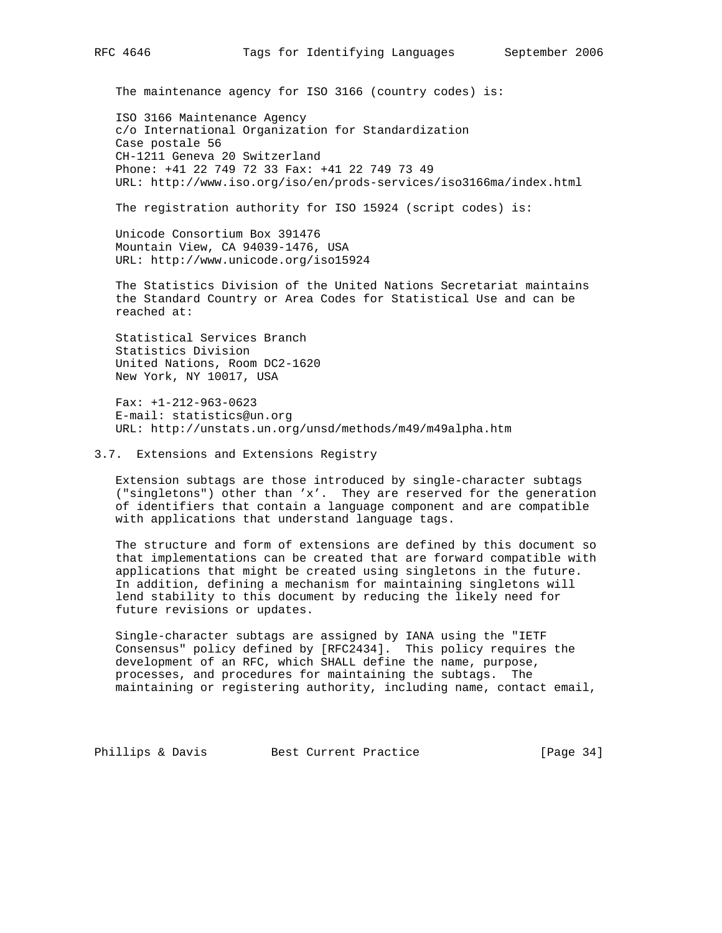The maintenance agency for ISO 3166 (country codes) is:

 ISO 3166 Maintenance Agency c/o International Organization for Standardization Case postale 56 CH-1211 Geneva 20 Switzerland Phone: +41 22 749 72 33 Fax: +41 22 749 73 49 URL: http://www.iso.org/iso/en/prods-services/iso3166ma/index.html

The registration authority for ISO 15924 (script codes) is:

 Unicode Consortium Box 391476 Mountain View, CA 94039-1476, USA URL: http://www.unicode.org/iso15924

 The Statistics Division of the United Nations Secretariat maintains the Standard Country or Area Codes for Statistical Use and can be reached at:

 Statistical Services Branch Statistics Division United Nations, Room DC2-1620 New York, NY 10017, USA

 Fax: +1-212-963-0623 E-mail: statistics@un.org URL: http://unstats.un.org/unsd/methods/m49/m49alpha.htm

#### 3.7. Extensions and Extensions Registry

 Extension subtags are those introduced by single-character subtags ("singletons") other than 'x'. They are reserved for the generation of identifiers that contain a language component and are compatible with applications that understand language tags.

 The structure and form of extensions are defined by this document so that implementations can be created that are forward compatible with applications that might be created using singletons in the future. In addition, defining a mechanism for maintaining singletons will lend stability to this document by reducing the likely need for future revisions or updates.

 Single-character subtags are assigned by IANA using the "IETF Consensus" policy defined by [RFC2434]. This policy requires the development of an RFC, which SHALL define the name, purpose, processes, and procedures for maintaining the subtags. The maintaining or registering authority, including name, contact email,

Phillips & Davis Best Current Practice [Page 34]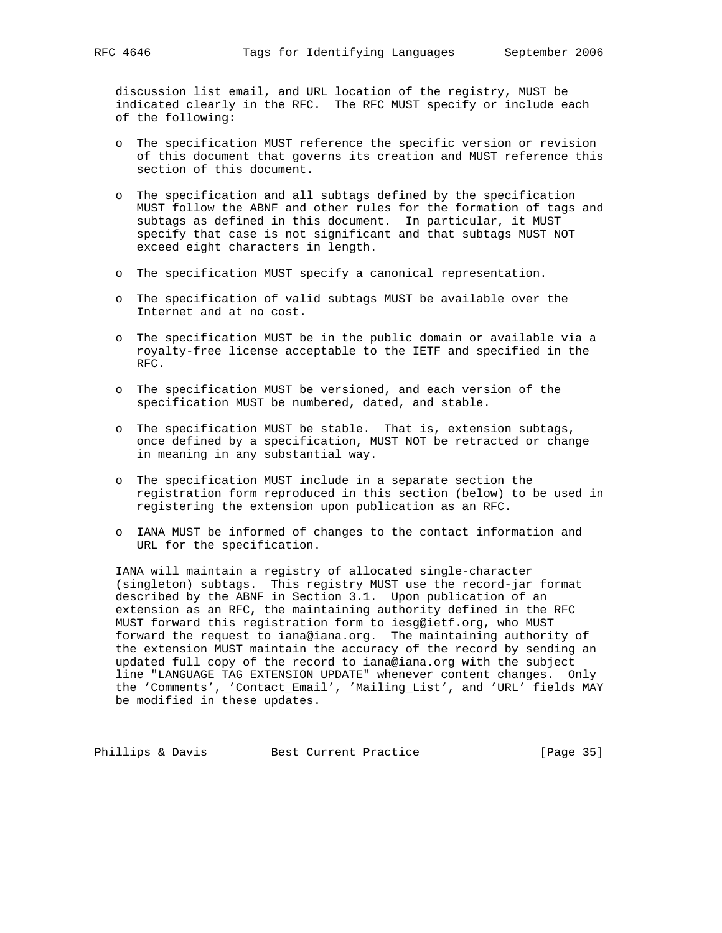discussion list email, and URL location of the registry, MUST be indicated clearly in the RFC. The RFC MUST specify or include each of the following:

- o The specification MUST reference the specific version or revision of this document that governs its creation and MUST reference this section of this document.
- o The specification and all subtags defined by the specification MUST follow the ABNF and other rules for the formation of tags and subtags as defined in this document. In particular, it MUST specify that case is not significant and that subtags MUST NOT exceed eight characters in length.
- o The specification MUST specify a canonical representation.
- o The specification of valid subtags MUST be available over the Internet and at no cost.
- o The specification MUST be in the public domain or available via a royalty-free license acceptable to the IETF and specified in the RFC.
- o The specification MUST be versioned, and each version of the specification MUST be numbered, dated, and stable.
- o The specification MUST be stable. That is, extension subtags, once defined by a specification, MUST NOT be retracted or change in meaning in any substantial way.
- o The specification MUST include in a separate section the registration form reproduced in this section (below) to be used in registering the extension upon publication as an RFC.
- o IANA MUST be informed of changes to the contact information and URL for the specification.

 IANA will maintain a registry of allocated single-character (singleton) subtags. This registry MUST use the record-jar format described by the ABNF in Section 3.1. Upon publication of an extension as an RFC, the maintaining authority defined in the RFC MUST forward this registration form to iesg@ietf.org, who MUST forward the request to iana@iana.org. The maintaining authority of the extension MUST maintain the accuracy of the record by sending an updated full copy of the record to iana@iana.org with the subject line "LANGUAGE TAG EXTENSION UPDATE" whenever content changes. Only the 'Comments', 'Contact\_Email', 'Mailing\_List', and 'URL' fields MAY be modified in these updates.

Phillips & Davis Best Current Practice [Page 35]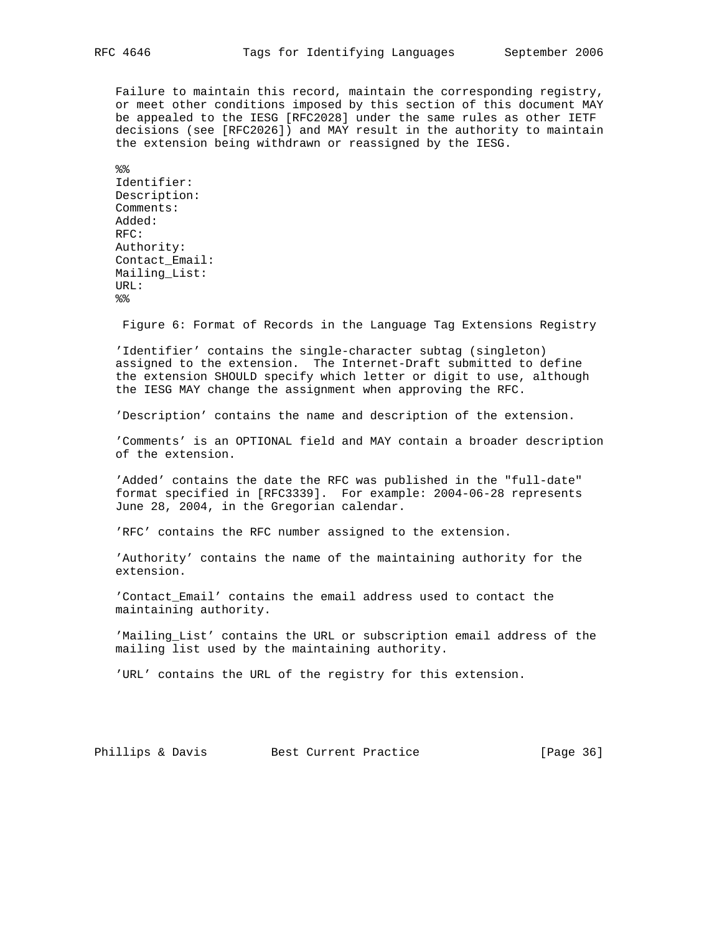Failure to maintain this record, maintain the corresponding registry, or meet other conditions imposed by this section of this document MAY be appealed to the IESG [RFC2028] under the same rules as other IETF decisions (see [RFC2026]) and MAY result in the authority to maintain the extension being withdrawn or reassigned by the IESG.

 $%$  Identifier: Description: Comments: Added: RFC: Authority: Contact\_Email: Mailing\_List: URL:  $%$ 

Figure 6: Format of Records in the Language Tag Extensions Registry

 'Identifier' contains the single-character subtag (singleton) assigned to the extension. The Internet-Draft submitted to define the extension SHOULD specify which letter or digit to use, although the IESG MAY change the assignment when approving the RFC.

'Description' contains the name and description of the extension.

 'Comments' is an OPTIONAL field and MAY contain a broader description of the extension.

 'Added' contains the date the RFC was published in the "full-date" format specified in [RFC3339]. For example: 2004-06-28 represents June 28, 2004, in the Gregorian calendar.

'RFC' contains the RFC number assigned to the extension.

 'Authority' contains the name of the maintaining authority for the extension.

 'Contact\_Email' contains the email address used to contact the maintaining authority.

 'Mailing\_List' contains the URL or subscription email address of the mailing list used by the maintaining authority.

'URL' contains the URL of the registry for this extension.

Phillips & Davis Best Current Practice [Page 36]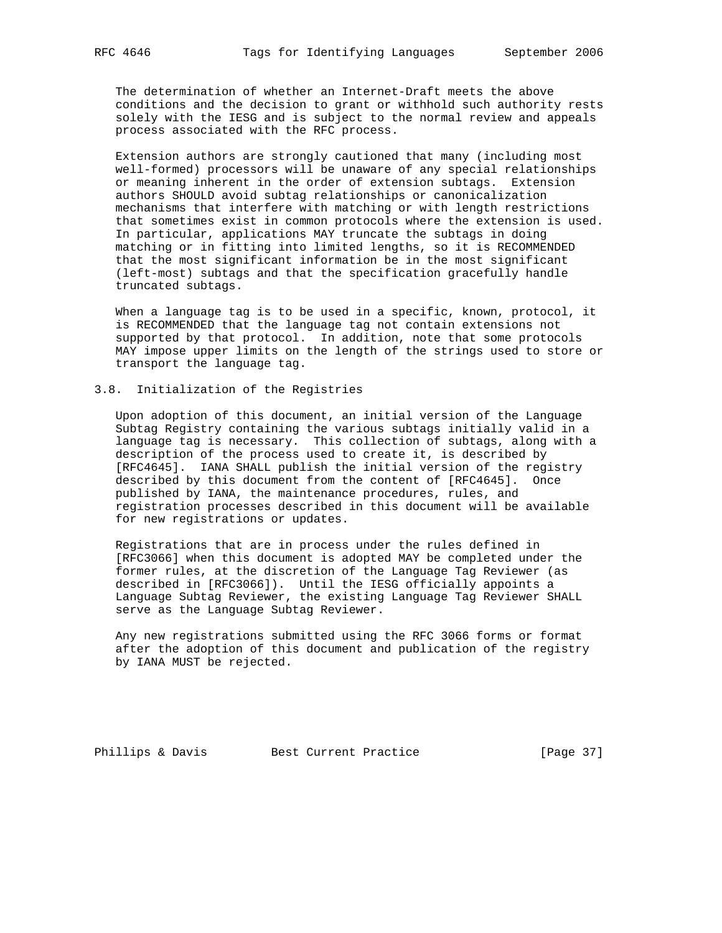The determination of whether an Internet-Draft meets the above conditions and the decision to grant or withhold such authority rests solely with the IESG and is subject to the normal review and appeals process associated with the RFC process.

 Extension authors are strongly cautioned that many (including most well-formed) processors will be unaware of any special relationships or meaning inherent in the order of extension subtags. Extension authors SHOULD avoid subtag relationships or canonicalization mechanisms that interfere with matching or with length restrictions that sometimes exist in common protocols where the extension is used. In particular, applications MAY truncate the subtags in doing matching or in fitting into limited lengths, so it is RECOMMENDED that the most significant information be in the most significant (left-most) subtags and that the specification gracefully handle truncated subtags.

 When a language tag is to be used in a specific, known, protocol, it is RECOMMENDED that the language tag not contain extensions not supported by that protocol. In addition, note that some protocols MAY impose upper limits on the length of the strings used to store or transport the language tag.

# 3.8. Initialization of the Registries

 Upon adoption of this document, an initial version of the Language Subtag Registry containing the various subtags initially valid in a language tag is necessary. This collection of subtags, along with a description of the process used to create it, is described by [RFC4645]. IANA SHALL publish the initial version of the registry described by this document from the content of [RFC4645]. Once published by IANA, the maintenance procedures, rules, and registration processes described in this document will be available for new registrations or updates.

 Registrations that are in process under the rules defined in [RFC3066] when this document is adopted MAY be completed under the former rules, at the discretion of the Language Tag Reviewer (as described in [RFC3066]). Until the IESG officially appoints a Language Subtag Reviewer, the existing Language Tag Reviewer SHALL serve as the Language Subtag Reviewer.

 Any new registrations submitted using the RFC 3066 forms or format after the adoption of this document and publication of the registry by IANA MUST be rejected.

Phillips & Davis Best Current Practice [Page 37]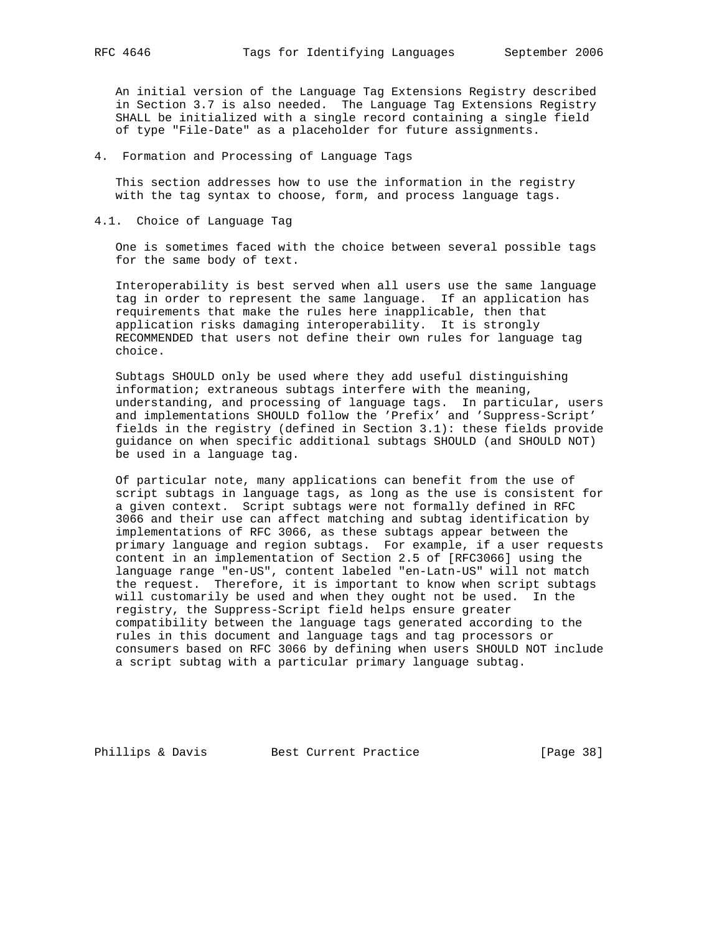An initial version of the Language Tag Extensions Registry described in Section 3.7 is also needed. The Language Tag Extensions Registry SHALL be initialized with a single record containing a single field of type "File-Date" as a placeholder for future assignments.

4. Formation and Processing of Language Tags

 This section addresses how to use the information in the registry with the tag syntax to choose, form, and process language tags.

4.1. Choice of Language Tag

 One is sometimes faced with the choice between several possible tags for the same body of text.

 Interoperability is best served when all users use the same language tag in order to represent the same language. If an application has requirements that make the rules here inapplicable, then that application risks damaging interoperability. It is strongly RECOMMENDED that users not define their own rules for language tag choice.

 Subtags SHOULD only be used where they add useful distinguishing information; extraneous subtags interfere with the meaning, understanding, and processing of language tags. In particular, users and implementations SHOULD follow the 'Prefix' and 'Suppress-Script' fields in the registry (defined in Section 3.1): these fields provide guidance on when specific additional subtags SHOULD (and SHOULD NOT) be used in a language tag.

 Of particular note, many applications can benefit from the use of script subtags in language tags, as long as the use is consistent for a given context. Script subtags were not formally defined in RFC 3066 and their use can affect matching and subtag identification by implementations of RFC 3066, as these subtags appear between the primary language and region subtags. For example, if a user requests content in an implementation of Section 2.5 of [RFC3066] using the language range "en-US", content labeled "en-Latn-US" will not match the request. Therefore, it is important to know when script subtags will customarily be used and when they ought not be used. In the registry, the Suppress-Script field helps ensure greater compatibility between the language tags generated according to the rules in this document and language tags and tag processors or consumers based on RFC 3066 by defining when users SHOULD NOT include a script subtag with a particular primary language subtag.

Phillips & Davis Best Current Practice [Page 38]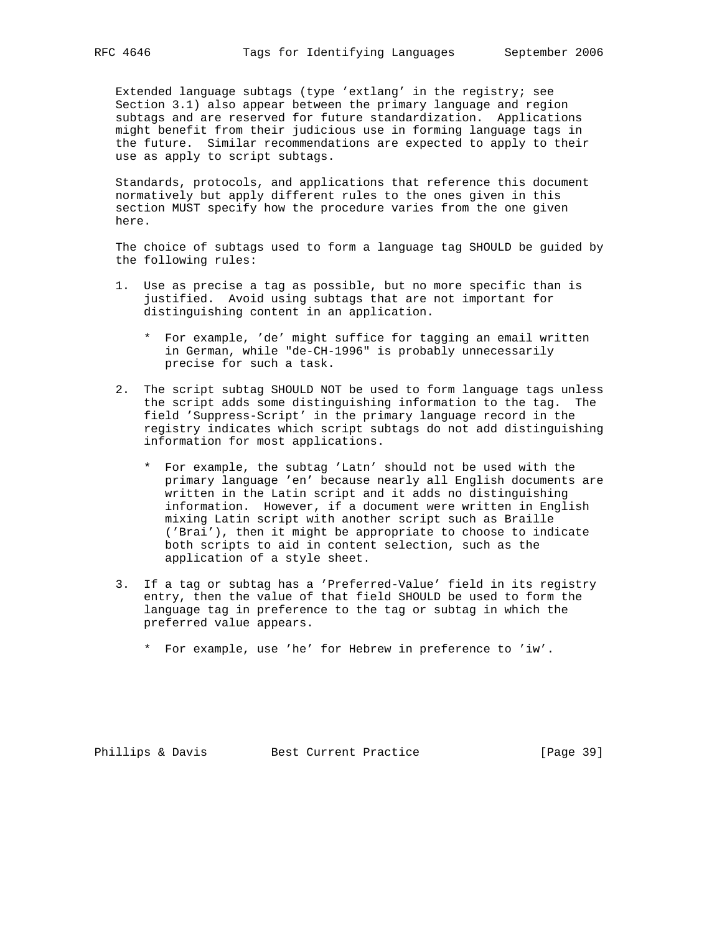Extended language subtags (type 'extlang' in the registry; see Section 3.1) also appear between the primary language and region subtags and are reserved for future standardization. Applications might benefit from their judicious use in forming language tags in the future. Similar recommendations are expected to apply to their use as apply to script subtags.

 Standards, protocols, and applications that reference this document normatively but apply different rules to the ones given in this section MUST specify how the procedure varies from the one given here.

 The choice of subtags used to form a language tag SHOULD be guided by the following rules:

- 1. Use as precise a tag as possible, but no more specific than is justified. Avoid using subtags that are not important for distinguishing content in an application.
	- \* For example, 'de' might suffice for tagging an email written in German, while "de-CH-1996" is probably unnecessarily precise for such a task.
- 2. The script subtag SHOULD NOT be used to form language tags unless the script adds some distinguishing information to the tag. The field 'Suppress-Script' in the primary language record in the registry indicates which script subtags do not add distinguishing information for most applications.
	- \* For example, the subtag 'Latn' should not be used with the primary language 'en' because nearly all English documents are written in the Latin script and it adds no distinguishing information. However, if a document were written in English mixing Latin script with another script such as Braille ('Brai'), then it might be appropriate to choose to indicate both scripts to aid in content selection, such as the application of a style sheet.
- 3. If a tag or subtag has a 'Preferred-Value' field in its registry entry, then the value of that field SHOULD be used to form the language tag in preference to the tag or subtag in which the preferred value appears.
	- \* For example, use 'he' for Hebrew in preference to 'iw'.

Phillips & Davis Best Current Practice [Page 39]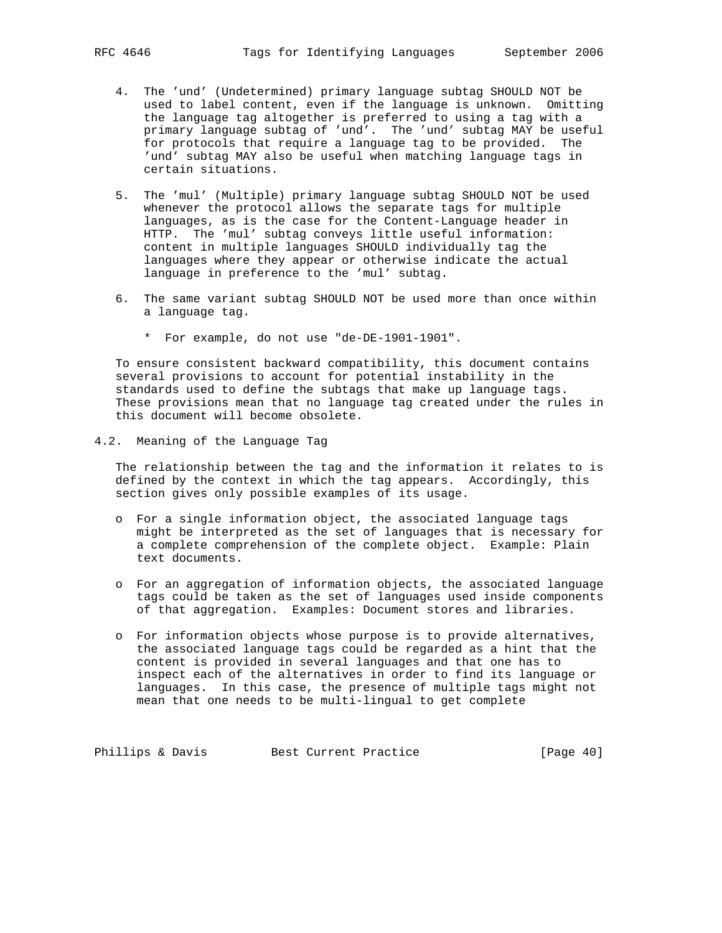- 4. The 'und' (Undetermined) primary language subtag SHOULD NOT be used to label content, even if the language is unknown. Omitting the language tag altogether is preferred to using a tag with a primary language subtag of 'und'. The 'und' subtag MAY be useful for protocols that require a language tag to be provided. The 'und' subtag MAY also be useful when matching language tags in certain situations.
- 5. The 'mul' (Multiple) primary language subtag SHOULD NOT be used whenever the protocol allows the separate tags for multiple languages, as is the case for the Content-Language header in HTTP. The 'mul' subtag conveys little useful information: content in multiple languages SHOULD individually tag the languages where they appear or otherwise indicate the actual language in preference to the 'mul' subtag.
- 6. The same variant subtag SHOULD NOT be used more than once within a language tag.
	- \* For example, do not use "de-DE-1901-1901".

 To ensure consistent backward compatibility, this document contains several provisions to account for potential instability in the standards used to define the subtags that make up language tags. These provisions mean that no language tag created under the rules in this document will become obsolete.

4.2. Meaning of the Language Tag

 The relationship between the tag and the information it relates to is defined by the context in which the tag appears. Accordingly, this section gives only possible examples of its usage.

- o For a single information object, the associated language tags might be interpreted as the set of languages that is necessary for a complete comprehension of the complete object. Example: Plain text documents.
- o For an aggregation of information objects, the associated language tags could be taken as the set of languages used inside components of that aggregation. Examples: Document stores and libraries.
- o For information objects whose purpose is to provide alternatives, the associated language tags could be regarded as a hint that the content is provided in several languages and that one has to inspect each of the alternatives in order to find its language or languages. In this case, the presence of multiple tags might not mean that one needs to be multi-lingual to get complete

Phillips & Davis Best Current Practice [Page 40]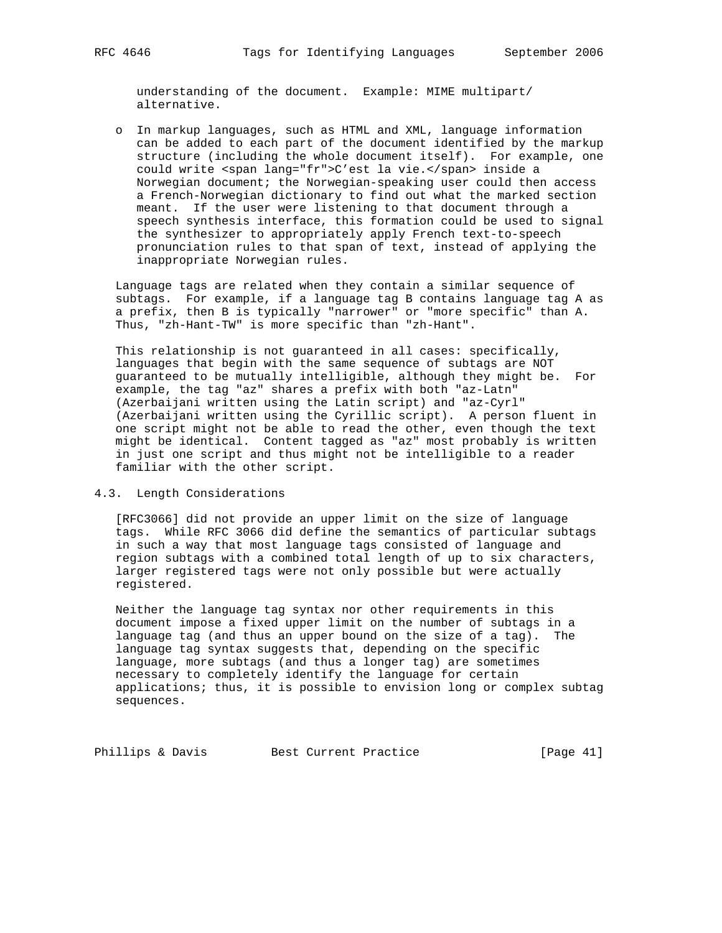understanding of the document. Example: MIME multipart/ alternative.

 o In markup languages, such as HTML and XML, language information can be added to each part of the document identified by the markup structure (including the whole document itself). For example, one could write <span lang="fr">C'est la vie.</span> inside a Norwegian document; the Norwegian-speaking user could then access a French-Norwegian dictionary to find out what the marked section meant. If the user were listening to that document through a speech synthesis interface, this formation could be used to signal the synthesizer to appropriately apply French text-to-speech pronunciation rules to that span of text, instead of applying the inappropriate Norwegian rules.

 Language tags are related when they contain a similar sequence of subtags. For example, if a language tag B contains language tag A as a prefix, then B is typically "narrower" or "more specific" than A. Thus, "zh-Hant-TW" is more specific than "zh-Hant".

 This relationship is not guaranteed in all cases: specifically, languages that begin with the same sequence of subtags are NOT guaranteed to be mutually intelligible, although they might be. For example, the tag "az" shares a prefix with both "az-Latn" (Azerbaijani written using the Latin script) and "az-Cyrl" (Azerbaijani written using the Cyrillic script). A person fluent in one script might not be able to read the other, even though the text might be identical. Content tagged as "az" most probably is written in just one script and thus might not be intelligible to a reader familiar with the other script.

4.3. Length Considerations

 [RFC3066] did not provide an upper limit on the size of language tags. While RFC 3066 did define the semantics of particular subtags in such a way that most language tags consisted of language and region subtags with a combined total length of up to six characters, larger registered tags were not only possible but were actually registered.

 Neither the language tag syntax nor other requirements in this document impose a fixed upper limit on the number of subtags in a language tag (and thus an upper bound on the size of a tag). The language tag syntax suggests that, depending on the specific language, more subtags (and thus a longer tag) are sometimes necessary to completely identify the language for certain applications; thus, it is possible to envision long or complex subtag sequences.

Phillips & Davis Best Current Practice [Page 41]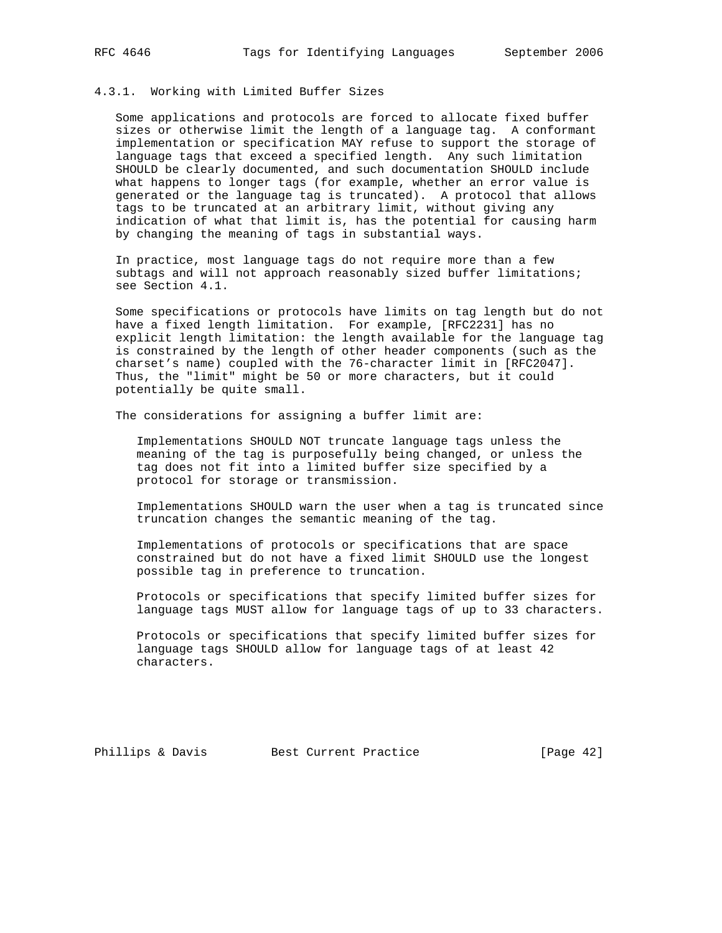# 4.3.1. Working with Limited Buffer Sizes

 Some applications and protocols are forced to allocate fixed buffer sizes or otherwise limit the length of a language tag. A conformant implementation or specification MAY refuse to support the storage of language tags that exceed a specified length. Any such limitation SHOULD be clearly documented, and such documentation SHOULD include what happens to longer tags (for example, whether an error value is generated or the language tag is truncated). A protocol that allows tags to be truncated at an arbitrary limit, without giving any indication of what that limit is, has the potential for causing harm by changing the meaning of tags in substantial ways.

 In practice, most language tags do not require more than a few subtags and will not approach reasonably sized buffer limitations; see Section 4.1.

 Some specifications or protocols have limits on tag length but do not have a fixed length limitation. For example, [RFC2231] has no explicit length limitation: the length available for the language tag is constrained by the length of other header components (such as the charset's name) coupled with the 76-character limit in [RFC2047]. Thus, the "limit" might be 50 or more characters, but it could potentially be quite small.

The considerations for assigning a buffer limit are:

 Implementations SHOULD NOT truncate language tags unless the meaning of the tag is purposefully being changed, or unless the tag does not fit into a limited buffer size specified by a protocol for storage or transmission.

 Implementations SHOULD warn the user when a tag is truncated since truncation changes the semantic meaning of the tag.

 Implementations of protocols or specifications that are space constrained but do not have a fixed limit SHOULD use the longest possible tag in preference to truncation.

 Protocols or specifications that specify limited buffer sizes for language tags MUST allow for language tags of up to 33 characters.

 Protocols or specifications that specify limited buffer sizes for language tags SHOULD allow for language tags of at least 42 characters.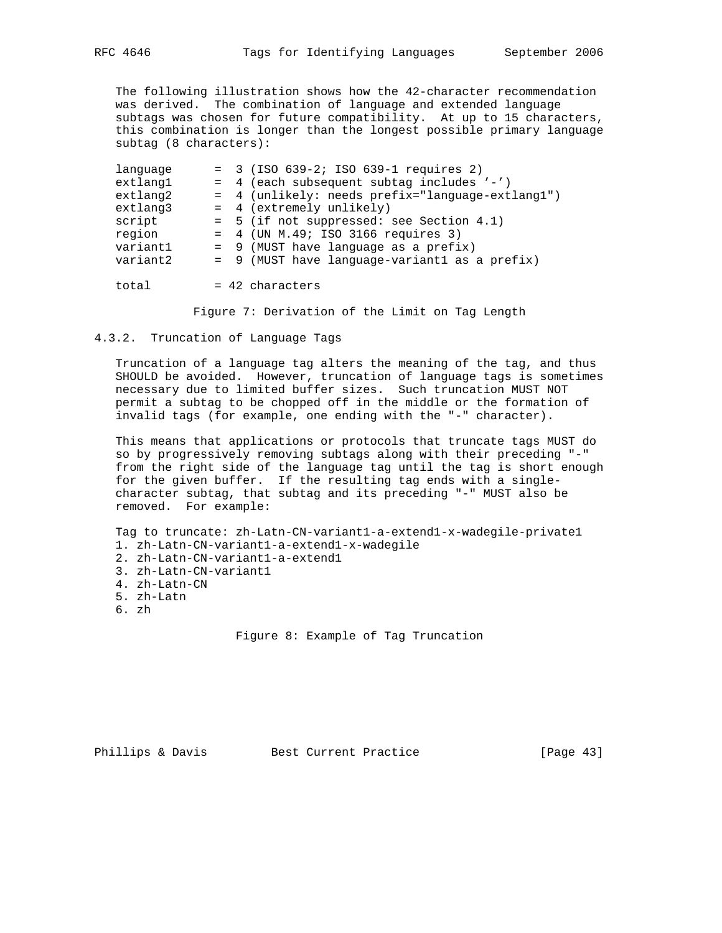The following illustration shows how the 42-character recommendation was derived. The combination of language and extended language subtags was chosen for future compatibility. At up to 15 characters, this combination is longer than the longest possible primary language subtag (8 characters):

| language | $= 3$ (ISO 639-2; ISO 639-1 requires 2)          |  |
|----------|--------------------------------------------------|--|
| extlang1 | = 4 (each subsequent subtag includes '-')        |  |
| extlang2 | = 4 (unlikely: needs prefix="language-extlang1") |  |
| extlang3 | = 4 (extremely unlikely)                         |  |
| script   | $= 5$ (if not suppressed: see Section 4.1)       |  |
| region   | $= 4$ (UN M.49; ISO 3166 requires 3)             |  |
| variantl | = 9 (MUST have language as a prefix)             |  |
| variant2 | $= 9$ (MUST have language-variantl as a prefix)  |  |
|          |                                                  |  |
| total    | $= 42$ characters                                |  |

Figure 7: Derivation of the Limit on Tag Length

#### 4.3.2. Truncation of Language Tags

 Truncation of a language tag alters the meaning of the tag, and thus SHOULD be avoided. However, truncation of language tags is sometimes necessary due to limited buffer sizes. Such truncation MUST NOT permit a subtag to be chopped off in the middle or the formation of invalid tags (for example, one ending with the "-" character).

 This means that applications or protocols that truncate tags MUST do so by progressively removing subtags along with their preceding "-" from the right side of the language tag until the tag is short enough for the given buffer. If the resulting tag ends with a single character subtag, that subtag and its preceding "-" MUST also be removed. For example:

 Tag to truncate: zh-Latn-CN-variant1-a-extend1-x-wadegile-private1 1. zh-Latn-CN-variant1-a-extend1-x-wadegile 2. zh-Latn-CN-variant1-a-extend1 3. zh-Latn-CN-variant1 4. zh-Latn-CN 5. zh-Latn

- 6. zh
- 

Figure 8: Example of Tag Truncation

Phillips & Davis Best Current Practice [Page 43]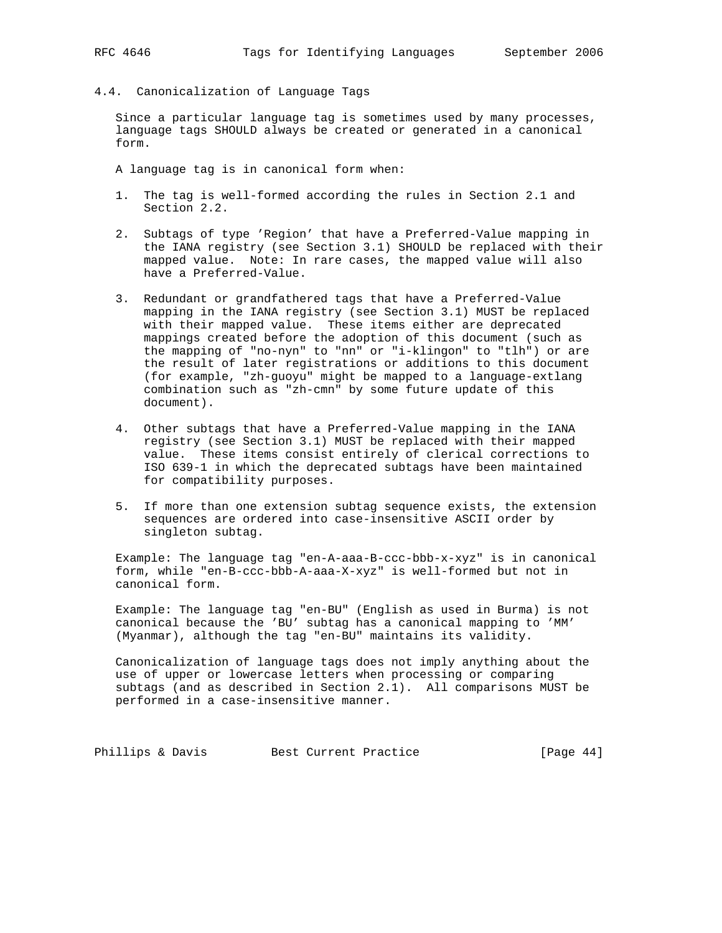4.4. Canonicalization of Language Tags

 Since a particular language tag is sometimes used by many processes, language tags SHOULD always be created or generated in a canonical form.

A language tag is in canonical form when:

- 1. The tag is well-formed according the rules in Section 2.1 and Section 2.2.
- 2. Subtags of type 'Region' that have a Preferred-Value mapping in the IANA registry (see Section 3.1) SHOULD be replaced with their mapped value. Note: In rare cases, the mapped value will also have a Preferred-Value.
- 3. Redundant or grandfathered tags that have a Preferred-Value mapping in the IANA registry (see Section 3.1) MUST be replaced with their mapped value. These items either are deprecated mappings created before the adoption of this document (such as the mapping of "no-nyn" to "nn" or "i-klingon" to "tlh") or are the result of later registrations or additions to this document (for example, "zh-guoyu" might be mapped to a language-extlang combination such as "zh-cmn" by some future update of this document).
- 4. Other subtags that have a Preferred-Value mapping in the IANA registry (see Section 3.1) MUST be replaced with their mapped value. These items consist entirely of clerical corrections to ISO 639-1 in which the deprecated subtags have been maintained for compatibility purposes.
- 5. If more than one extension subtag sequence exists, the extension sequences are ordered into case-insensitive ASCII order by singleton subtag.

 Example: The language tag "en-A-aaa-B-ccc-bbb-x-xyz" is in canonical form, while "en-B-ccc-bbb-A-aaa-X-xyz" is well-formed but not in canonical form.

 Example: The language tag "en-BU" (English as used in Burma) is not canonical because the 'BU' subtag has a canonical mapping to 'MM' (Myanmar), although the tag "en-BU" maintains its validity.

 Canonicalization of language tags does not imply anything about the use of upper or lowercase letters when processing or comparing subtags (and as described in Section 2.1). All comparisons MUST be performed in a case-insensitive manner.

Phillips & Davis Best Current Practice [Page 44]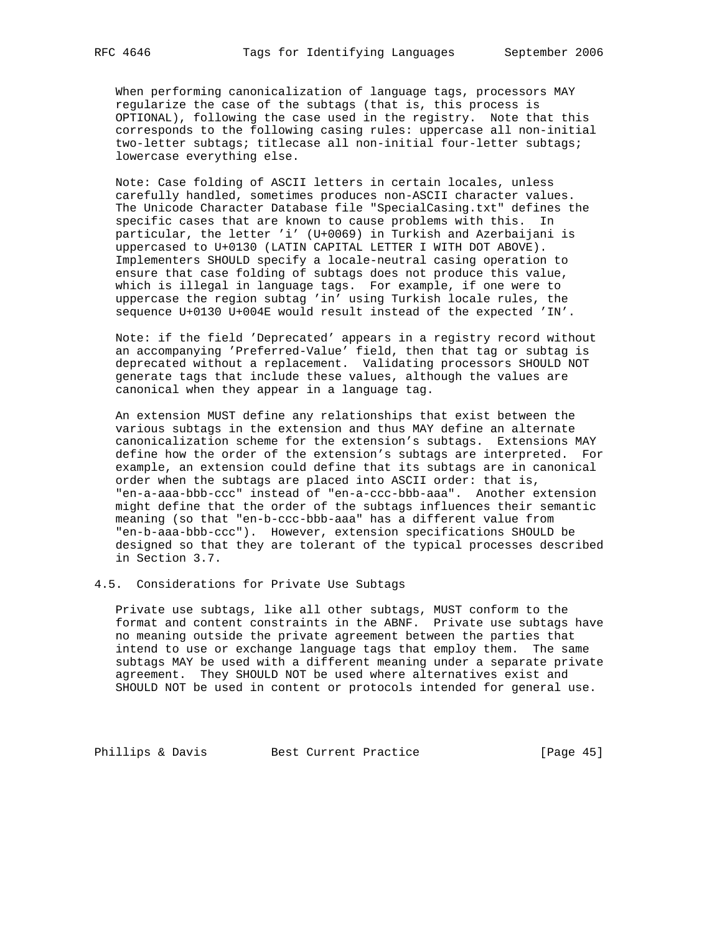When performing canonicalization of language tags, processors MAY regularize the case of the subtags (that is, this process is OPTIONAL), following the case used in the registry. Note that this corresponds to the following casing rules: uppercase all non-initial two-letter subtags; titlecase all non-initial four-letter subtags; lowercase everything else.

 Note: Case folding of ASCII letters in certain locales, unless carefully handled, sometimes produces non-ASCII character values. The Unicode Character Database file "SpecialCasing.txt" defines the specific cases that are known to cause problems with this. In particular, the letter 'i' (U+0069) in Turkish and Azerbaijani is uppercased to U+0130 (LATIN CAPITAL LETTER I WITH DOT ABOVE). Implementers SHOULD specify a locale-neutral casing operation to ensure that case folding of subtags does not produce this value, which is illegal in language tags. For example, if one were to uppercase the region subtag 'in' using Turkish locale rules, the sequence U+0130 U+004E would result instead of the expected 'IN'.

 Note: if the field 'Deprecated' appears in a registry record without an accompanying 'Preferred-Value' field, then that tag or subtag is deprecated without a replacement. Validating processors SHOULD NOT generate tags that include these values, although the values are canonical when they appear in a language tag.

 An extension MUST define any relationships that exist between the various subtags in the extension and thus MAY define an alternate canonicalization scheme for the extension's subtags. Extensions MAY define how the order of the extension's subtags are interpreted. For example, an extension could define that its subtags are in canonical order when the subtags are placed into ASCII order: that is, "en-a-aaa-bbb-ccc" instead of "en-a-ccc-bbb-aaa". Another extension might define that the order of the subtags influences their semantic meaning (so that "en-b-ccc-bbb-aaa" has a different value from "en-b-aaa-bbb-ccc"). However, extension specifications SHOULD be designed so that they are tolerant of the typical processes described in Section 3.7.

# 4.5. Considerations for Private Use Subtags

 Private use subtags, like all other subtags, MUST conform to the format and content constraints in the ABNF. Private use subtags have no meaning outside the private agreement between the parties that intend to use or exchange language tags that employ them. The same subtags MAY be used with a different meaning under a separate private agreement. They SHOULD NOT be used where alternatives exist and SHOULD NOT be used in content or protocols intended for general use.

Phillips & Davis Best Current Practice [Page 45]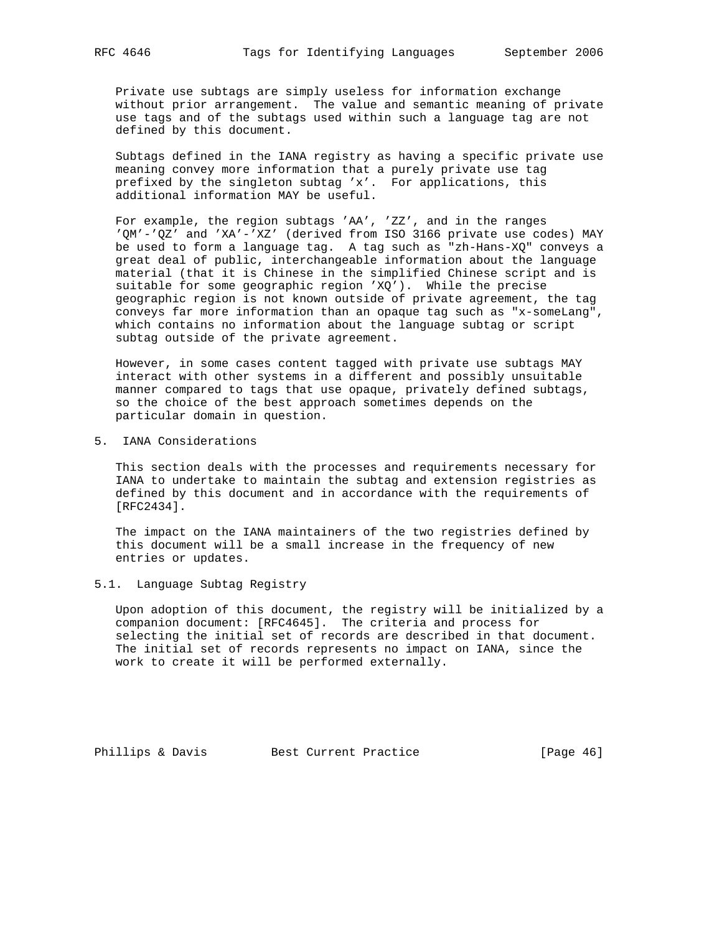Private use subtags are simply useless for information exchange without prior arrangement. The value and semantic meaning of private use tags and of the subtags used within such a language tag are not defined by this document.

 Subtags defined in the IANA registry as having a specific private use meaning convey more information that a purely private use tag prefixed by the singleton subtag 'x'. For applications, this additional information MAY be useful.

 For example, the region subtags 'AA', 'ZZ', and in the ranges 'QM'-'QZ' and 'XA'-'XZ' (derived from ISO 3166 private use codes) MAY be used to form a language tag. A tag such as "zh-Hans-XQ" conveys a great deal of public, interchangeable information about the language material (that it is Chinese in the simplified Chinese script and is suitable for some geographic region 'XQ'). While the precise geographic region is not known outside of private agreement, the tag conveys far more information than an opaque tag such as "x-someLang", which contains no information about the language subtag or script subtag outside of the private agreement.

 However, in some cases content tagged with private use subtags MAY interact with other systems in a different and possibly unsuitable manner compared to tags that use opaque, privately defined subtags, so the choice of the best approach sometimes depends on the particular domain in question.

5. IANA Considerations

 This section deals with the processes and requirements necessary for IANA to undertake to maintain the subtag and extension registries as defined by this document and in accordance with the requirements of [RFC2434].

 The impact on the IANA maintainers of the two registries defined by this document will be a small increase in the frequency of new entries or updates.

5.1. Language Subtag Registry

 Upon adoption of this document, the registry will be initialized by a companion document: [RFC4645]. The criteria and process for selecting the initial set of records are described in that document. The initial set of records represents no impact on IANA, since the work to create it will be performed externally.

Phillips & Davis Best Current Practice [Page 46]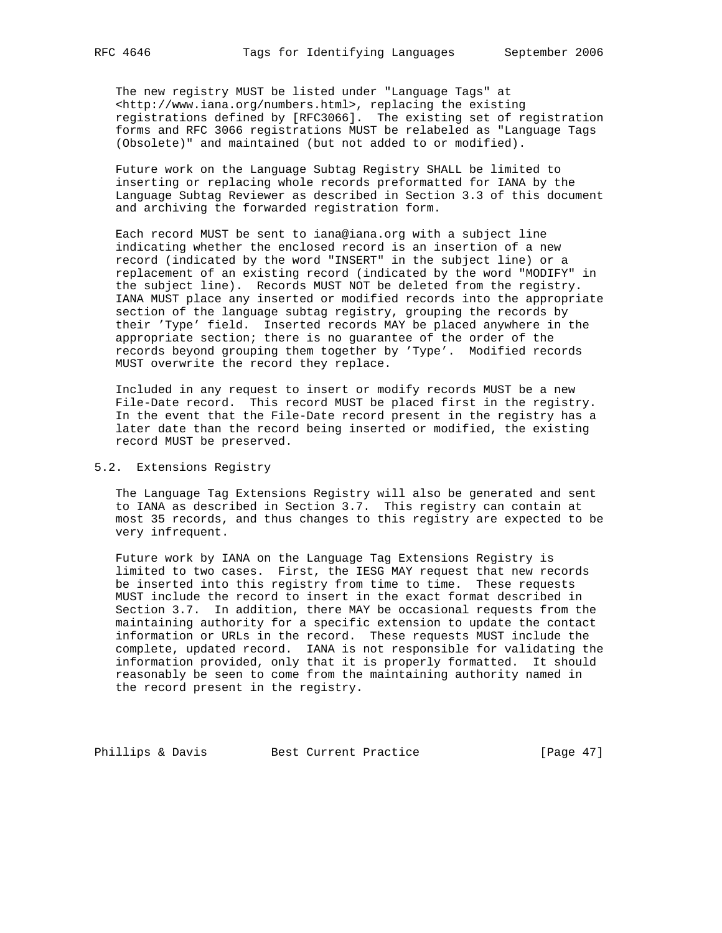The new registry MUST be listed under "Language Tags" at <http://www.iana.org/numbers.html>, replacing the existing registrations defined by [RFC3066]. The existing set of registration forms and RFC 3066 registrations MUST be relabeled as "Language Tags (Obsolete)" and maintained (but not added to or modified).

 Future work on the Language Subtag Registry SHALL be limited to inserting or replacing whole records preformatted for IANA by the Language Subtag Reviewer as described in Section 3.3 of this document and archiving the forwarded registration form.

 Each record MUST be sent to iana@iana.org with a subject line indicating whether the enclosed record is an insertion of a new record (indicated by the word "INSERT" in the subject line) or a replacement of an existing record (indicated by the word "MODIFY" in the subject line). Records MUST NOT be deleted from the registry. IANA MUST place any inserted or modified records into the appropriate section of the language subtag registry, grouping the records by their 'Type' field. Inserted records MAY be placed anywhere in the appropriate section; there is no guarantee of the order of the records beyond grouping them together by 'Type'. Modified records MUST overwrite the record they replace.

 Included in any request to insert or modify records MUST be a new File-Date record. This record MUST be placed first in the registry. In the event that the File-Date record present in the registry has a later date than the record being inserted or modified, the existing record MUST be preserved.

# 5.2. Extensions Registry

 The Language Tag Extensions Registry will also be generated and sent to IANA as described in Section 3.7. This registry can contain at most 35 records, and thus changes to this registry are expected to be very infrequent.

 Future work by IANA on the Language Tag Extensions Registry is limited to two cases. First, the IESG MAY request that new records be inserted into this registry from time to time. These requests MUST include the record to insert in the exact format described in Section 3.7. In addition, there MAY be occasional requests from the maintaining authority for a specific extension to update the contact information or URLs in the record. These requests MUST include the complete, updated record. IANA is not responsible for validating the information provided, only that it is properly formatted. It should reasonably be seen to come from the maintaining authority named in the record present in the registry.

Phillips & Davis Best Current Practice [Page 47]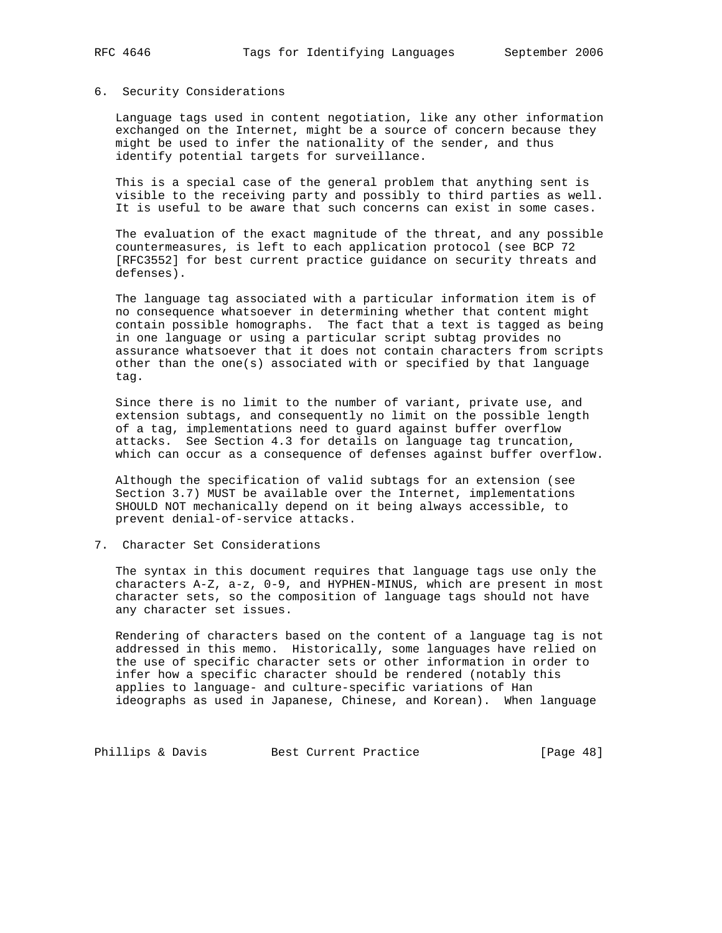#### 6. Security Considerations

 Language tags used in content negotiation, like any other information exchanged on the Internet, might be a source of concern because they might be used to infer the nationality of the sender, and thus identify potential targets for surveillance.

 This is a special case of the general problem that anything sent is visible to the receiving party and possibly to third parties as well. It is useful to be aware that such concerns can exist in some cases.

 The evaluation of the exact magnitude of the threat, and any possible countermeasures, is left to each application protocol (see BCP 72 [RFC3552] for best current practice guidance on security threats and defenses).

 The language tag associated with a particular information item is of no consequence whatsoever in determining whether that content might contain possible homographs. The fact that a text is tagged as being in one language or using a particular script subtag provides no assurance whatsoever that it does not contain characters from scripts other than the one(s) associated with or specified by that language tag.

 Since there is no limit to the number of variant, private use, and extension subtags, and consequently no limit on the possible length of a tag, implementations need to guard against buffer overflow attacks. See Section 4.3 for details on language tag truncation, which can occur as a consequence of defenses against buffer overflow.

 Although the specification of valid subtags for an extension (see Section 3.7) MUST be available over the Internet, implementations SHOULD NOT mechanically depend on it being always accessible, to prevent denial-of-service attacks.

7. Character Set Considerations

 The syntax in this document requires that language tags use only the characters A-Z, a-z, 0-9, and HYPHEN-MINUS, which are present in most character sets, so the composition of language tags should not have any character set issues.

 Rendering of characters based on the content of a language tag is not addressed in this memo. Historically, some languages have relied on the use of specific character sets or other information in order to infer how a specific character should be rendered (notably this applies to language- and culture-specific variations of Han ideographs as used in Japanese, Chinese, and Korean). When language

Phillips & Davis Best Current Practice [Page 48]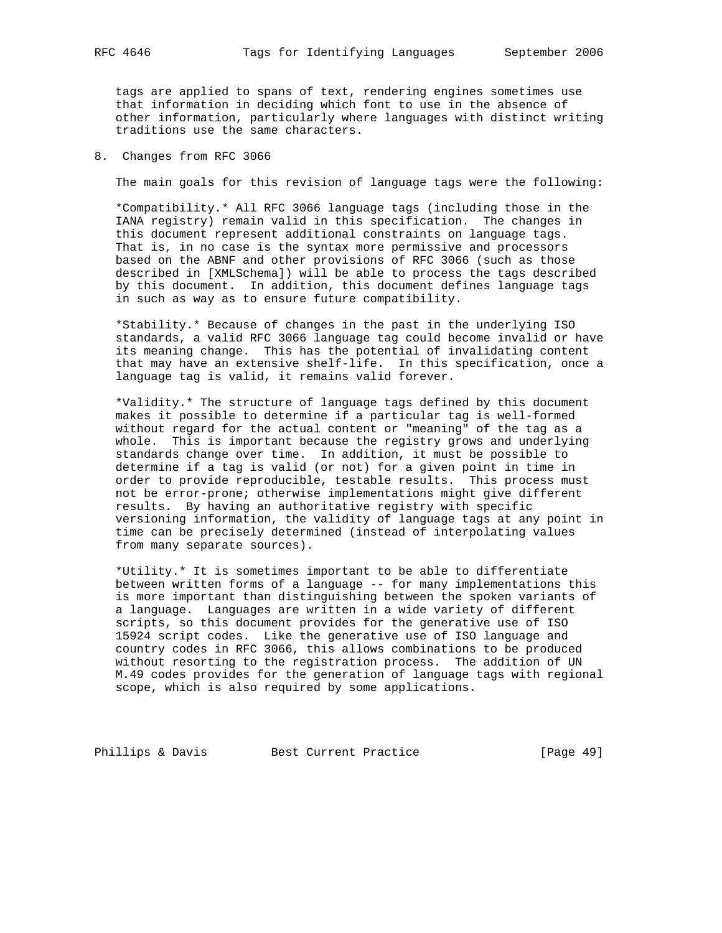tags are applied to spans of text, rendering engines sometimes use that information in deciding which font to use in the absence of other information, particularly where languages with distinct writing traditions use the same characters.

## 8. Changes from RFC 3066

The main goals for this revision of language tags were the following:

 \*Compatibility.\* All RFC 3066 language tags (including those in the IANA registry) remain valid in this specification. The changes in this document represent additional constraints on language tags. That is, in no case is the syntax more permissive and processors based on the ABNF and other provisions of RFC 3066 (such as those described in [XMLSchema]) will be able to process the tags described by this document. In addition, this document defines language tags in such as way as to ensure future compatibility.

 \*Stability.\* Because of changes in the past in the underlying ISO standards, a valid RFC 3066 language tag could become invalid or have its meaning change. This has the potential of invalidating content that may have an extensive shelf-life. In this specification, once a language tag is valid, it remains valid forever.

 \*Validity.\* The structure of language tags defined by this document makes it possible to determine if a particular tag is well-formed without regard for the actual content or "meaning" of the tag as a whole. This is important because the registry grows and underlying standards change over time. In addition, it must be possible to determine if a tag is valid (or not) for a given point in time in order to provide reproducible, testable results. This process must not be error-prone; otherwise implementations might give different results. By having an authoritative registry with specific versioning information, the validity of language tags at any point in time can be precisely determined (instead of interpolating values from many separate sources).

 \*Utility.\* It is sometimes important to be able to differentiate between written forms of a language -- for many implementations this is more important than distinguishing between the spoken variants of a language. Languages are written in a wide variety of different scripts, so this document provides for the generative use of ISO 15924 script codes. Like the generative use of ISO language and country codes in RFC 3066, this allows combinations to be produced without resorting to the registration process. The addition of UN M.49 codes provides for the generation of language tags with regional scope, which is also required by some applications.

Phillips & Davis Best Current Practice [Page 49]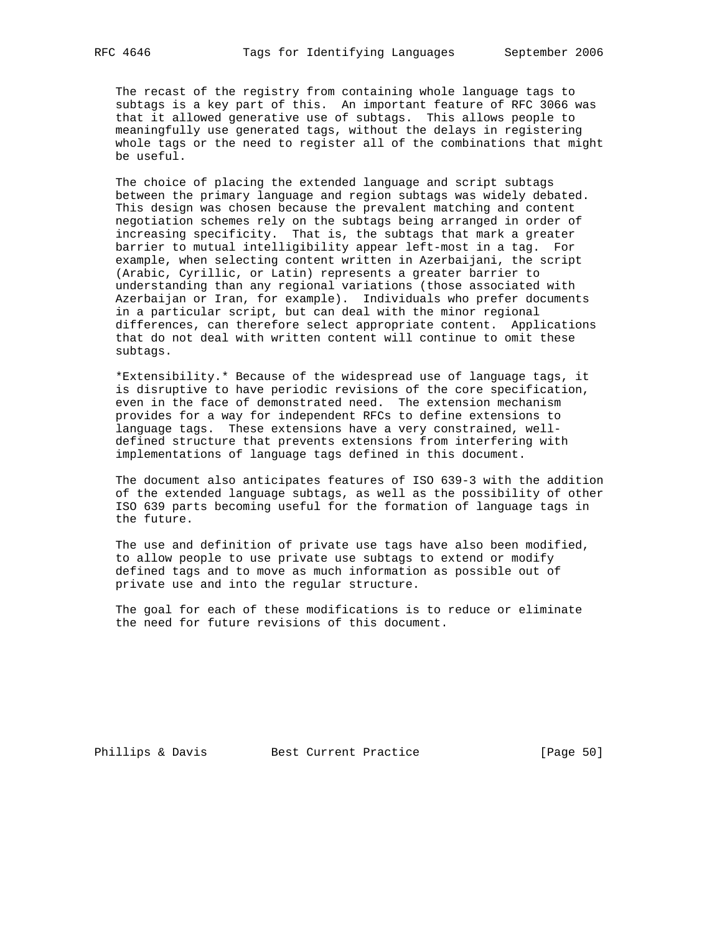The recast of the registry from containing whole language tags to subtags is a key part of this. An important feature of RFC 3066 was that it allowed generative use of subtags. This allows people to meaningfully use generated tags, without the delays in registering whole tags or the need to register all of the combinations that might be useful.

 The choice of placing the extended language and script subtags between the primary language and region subtags was widely debated. This design was chosen because the prevalent matching and content negotiation schemes rely on the subtags being arranged in order of increasing specificity. That is, the subtags that mark a greater barrier to mutual intelligibility appear left-most in a tag. For example, when selecting content written in Azerbaijani, the script (Arabic, Cyrillic, or Latin) represents a greater barrier to understanding than any regional variations (those associated with Azerbaijan or Iran, for example). Individuals who prefer documents in a particular script, but can deal with the minor regional differences, can therefore select appropriate content. Applications that do not deal with written content will continue to omit these subtags.

 \*Extensibility.\* Because of the widespread use of language tags, it is disruptive to have periodic revisions of the core specification, even in the face of demonstrated need. The extension mechanism provides for a way for independent RFCs to define extensions to language tags. These extensions have a very constrained, well defined structure that prevents extensions from interfering with implementations of language tags defined in this document.

 The document also anticipates features of ISO 639-3 with the addition of the extended language subtags, as well as the possibility of other ISO 639 parts becoming useful for the formation of language tags in the future.

 The use and definition of private use tags have also been modified, to allow people to use private use subtags to extend or modify defined tags and to move as much information as possible out of private use and into the regular structure.

 The goal for each of these modifications is to reduce or eliminate the need for future revisions of this document.

Phillips & Davis Best Current Practice [Page 50]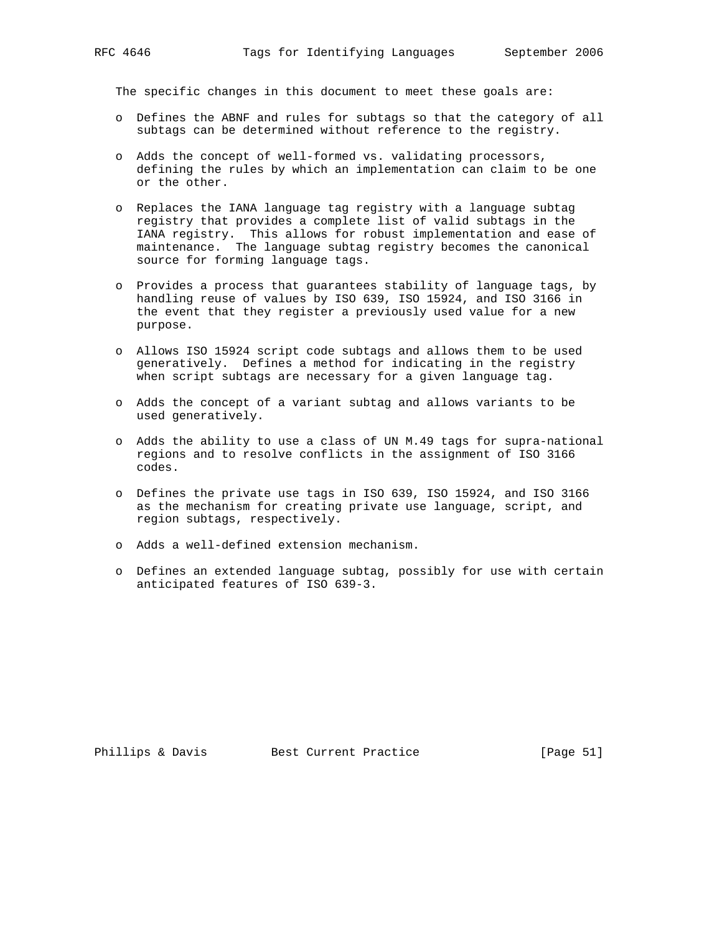The specific changes in this document to meet these goals are:

- o Defines the ABNF and rules for subtags so that the category of all subtags can be determined without reference to the registry.
- o Adds the concept of well-formed vs. validating processors, defining the rules by which an implementation can claim to be one or the other.
- o Replaces the IANA language tag registry with a language subtag registry that provides a complete list of valid subtags in the IANA registry. This allows for robust implementation and ease of maintenance. The language subtag registry becomes the canonical source for forming language tags.
- o Provides a process that guarantees stability of language tags, by handling reuse of values by ISO 639, ISO 15924, and ISO 3166 in the event that they register a previously used value for a new purpose.
- o Allows ISO 15924 script code subtags and allows them to be used generatively. Defines a method for indicating in the registry when script subtags are necessary for a given language tag.
- o Adds the concept of a variant subtag and allows variants to be used generatively.
- o Adds the ability to use a class of UN M.49 tags for supra-national regions and to resolve conflicts in the assignment of ISO 3166 codes.
- o Defines the private use tags in ISO 639, ISO 15924, and ISO 3166 as the mechanism for creating private use language, script, and region subtags, respectively.
- o Adds a well-defined extension mechanism.
- o Defines an extended language subtag, possibly for use with certain anticipated features of ISO 639-3.

Phillips & Davis Best Current Practice [Page 51]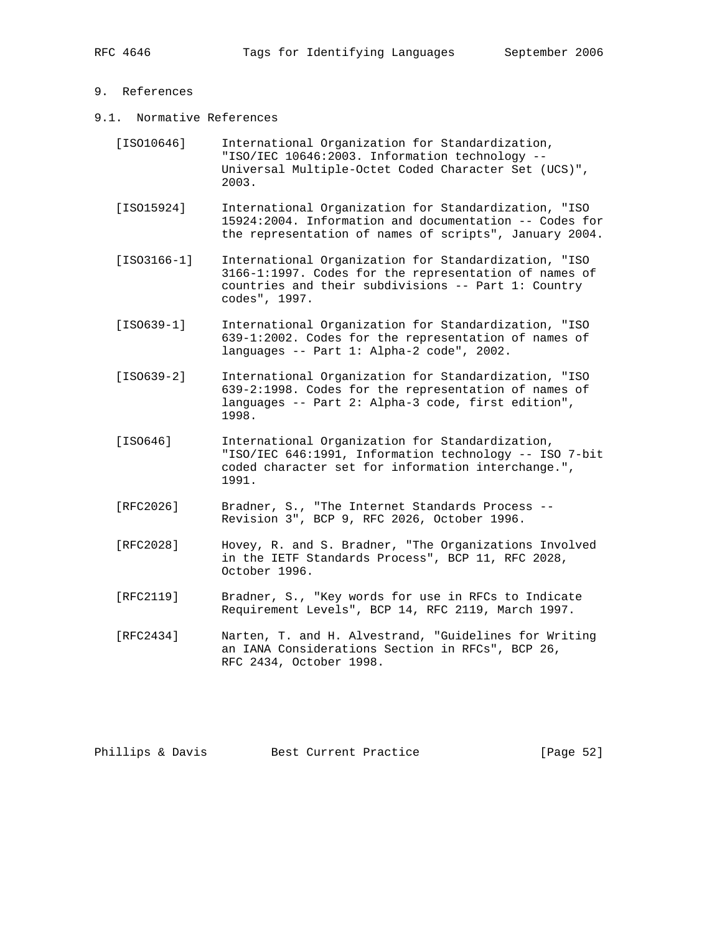# 9. References

- 9.1. Normative References
	- [ISO10646] International Organization for Standardization, "ISO/IEC 10646:2003. Information technology -- Universal Multiple-Octet Coded Character Set (UCS)", 2003.
	- [ISO15924] International Organization for Standardization, "ISO 15924:2004. Information and documentation -- Codes for the representation of names of scripts", January 2004.
	- [ISO3166-1] International Organization for Standardization, "ISO 3166-1:1997. Codes for the representation of names of countries and their subdivisions -- Part 1: Country codes", 1997.
	- [ISO639-1] International Organization for Standardization, "ISO 639-1:2002. Codes for the representation of names of languages -- Part 1: Alpha-2 code", 2002.
	- [ISO639-2] International Organization for Standardization, "ISO 639-2:1998. Codes for the representation of names of languages -- Part 2: Alpha-3 code, first edition", 1998.
	- [ISO646] International Organization for Standardization, "ISO/IEC 646:1991, Information technology -- ISO 7-bit coded character set for information interchange.", 1991.
	- [RFC2026] Bradner, S., "The Internet Standards Process -- Revision 3", BCP 9, RFC 2026, October 1996.
	- [RFC2028] Hovey, R. and S. Bradner, "The Organizations Involved in the IETF Standards Process", BCP 11, RFC 2028, October 1996.
	- [RFC2119] Bradner, S., "Key words for use in RFCs to Indicate Requirement Levels", BCP 14, RFC 2119, March 1997.
	- [RFC2434] Narten, T. and H. Alvestrand, "Guidelines for Writing an IANA Considerations Section in RFCs", BCP 26, RFC 2434, October 1998.

Phillips & Davis Best Current Practice [Page 52]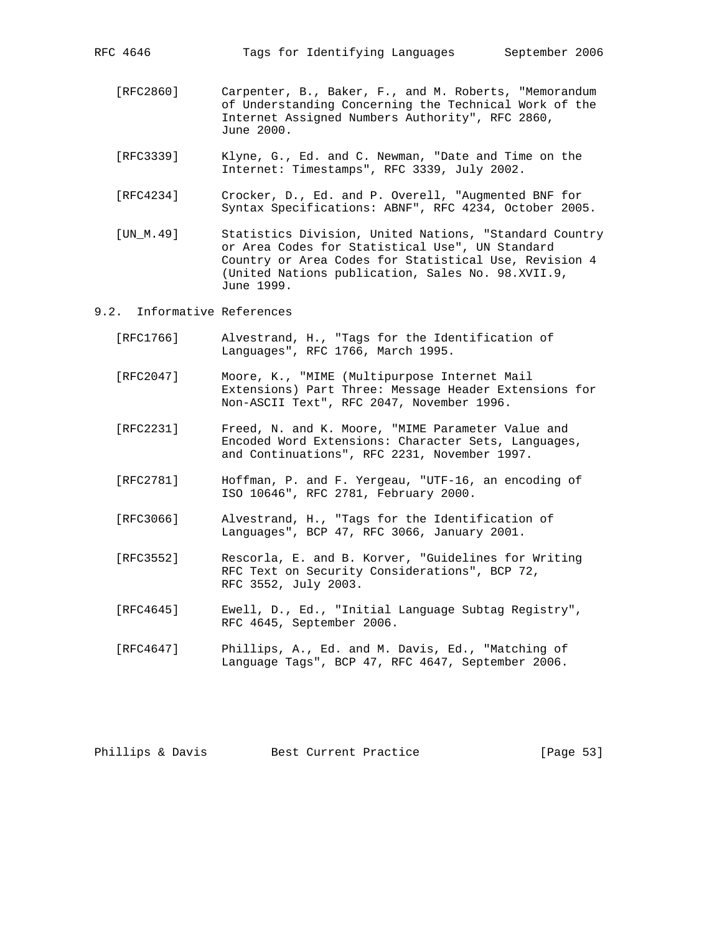- [RFC2860] Carpenter, B., Baker, F., and M. Roberts, "Memorandum of Understanding Concerning the Technical Work of the Internet Assigned Numbers Authority", RFC 2860, June 2000.
- [RFC3339] Klyne, G., Ed. and C. Newman, "Date and Time on the Internet: Timestamps", RFC 3339, July 2002.
- [RFC4234] Crocker, D., Ed. and P. Overell, "Augmented BNF for Syntax Specifications: ABNF", RFC 4234, October 2005.
- [UN\_M.49] Statistics Division, United Nations, "Standard Country or Area Codes for Statistical Use", UN Standard Country or Area Codes for Statistical Use, Revision 4 (United Nations publication, Sales No. 98.XVII.9, June 1999.
- 9.2. Informative References
	- [RFC1766] Alvestrand, H., "Tags for the Identification of Languages", RFC 1766, March 1995.
	- [RFC2047] Moore, K., "MIME (Multipurpose Internet Mail Extensions) Part Three: Message Header Extensions for Non-ASCII Text", RFC 2047, November 1996.
	- [RFC2231] Freed, N. and K. Moore, "MIME Parameter Value and Encoded Word Extensions: Character Sets, Languages, and Continuations", RFC 2231, November 1997.
	- [RFC2781] Hoffman, P. and F. Yergeau, "UTF-16, an encoding of ISO 10646", RFC 2781, February 2000.
	- [RFC3066] Alvestrand, H., "Tags for the Identification of Languages", BCP 47, RFC 3066, January 2001.
	- [RFC3552] Rescorla, E. and B. Korver, "Guidelines for Writing RFC Text on Security Considerations", BCP 72, RFC 3552, July 2003.
	- [RFC4645] Ewell, D., Ed., "Initial Language Subtag Registry", RFC 4645, September 2006.
	- [RFC4647] Phillips, A., Ed. and M. Davis, Ed., "Matching of Language Tags", BCP 47, RFC 4647, September 2006.

Phillips & Davis Best Current Practice [Page 53]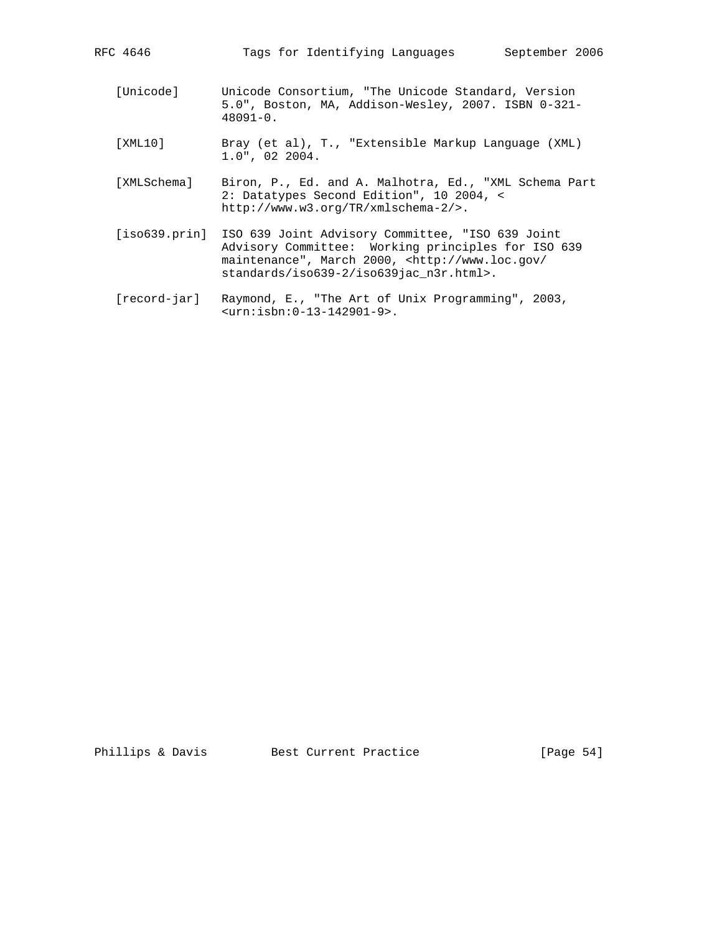| [Unicode]   | Unicode Consortium, "The Unicode Standard, Version<br>5.0", Boston, MA, Addison-Wesley, 2007. ISBN 0-321-<br>$48091 - 0$ .               |
|-------------|------------------------------------------------------------------------------------------------------------------------------------------|
| [XML10]     | Bray (et al), T., "Extensible Markup Language (XML)<br>$1.0"$ , 02 2004.                                                                 |
| [XMLSchema] | Biron, P., Ed. and A. Malhotra, Ed., "XML Schema Part<br>2: Datatypes Second Edition", 10 2004, <<br>http://www.w3.org/TR/xmlschema-2/>. |

RFC 4646 Tags for Identifying Languages September 2006

- [iso639.prin] ISO 639 Joint Advisory Committee, "ISO 639 Joint Advisory Committee: Working principles for ISO 639 maintenance", March 2000, <http://www.loc.gov/ standards/iso639-2/iso639jac\_n3r.html>.
	- [record-jar] Raymond, E., "The Art of Unix Programming", 2003, <urn:isbn:0-13-142901-9>.

Phillips & Davis Best Current Practice [Page 54]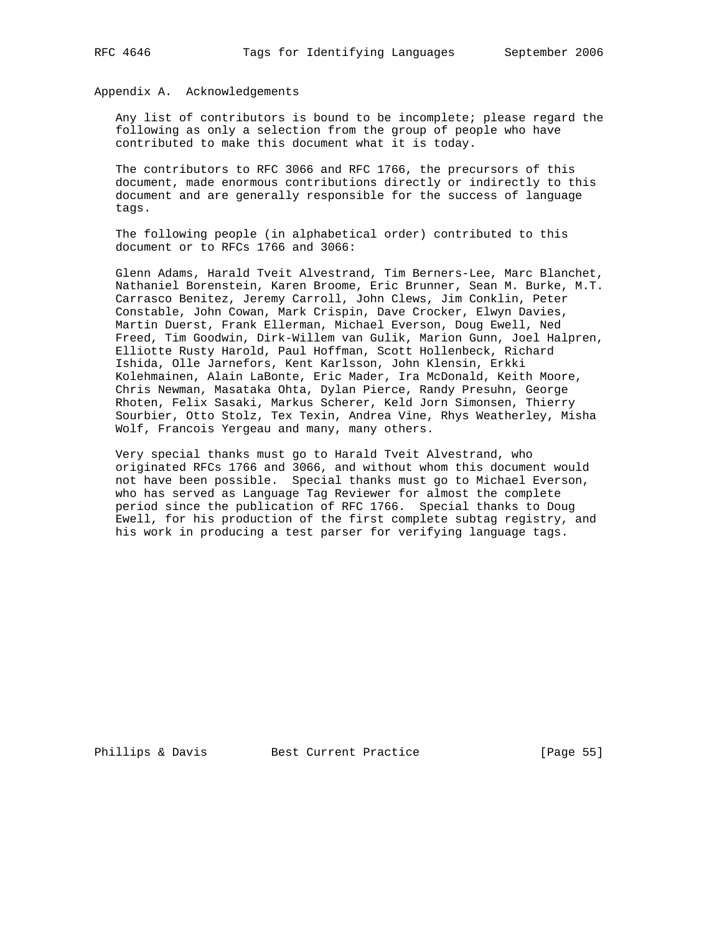Appendix A. Acknowledgements

 Any list of contributors is bound to be incomplete; please regard the following as only a selection from the group of people who have contributed to make this document what it is today.

 The contributors to RFC 3066 and RFC 1766, the precursors of this document, made enormous contributions directly or indirectly to this document and are generally responsible for the success of language tags.

 The following people (in alphabetical order) contributed to this document or to RFCs 1766 and 3066:

 Glenn Adams, Harald Tveit Alvestrand, Tim Berners-Lee, Marc Blanchet, Nathaniel Borenstein, Karen Broome, Eric Brunner, Sean M. Burke, M.T. Carrasco Benitez, Jeremy Carroll, John Clews, Jim Conklin, Peter Constable, John Cowan, Mark Crispin, Dave Crocker, Elwyn Davies, Martin Duerst, Frank Ellerman, Michael Everson, Doug Ewell, Ned Freed, Tim Goodwin, Dirk-Willem van Gulik, Marion Gunn, Joel Halpren, Elliotte Rusty Harold, Paul Hoffman, Scott Hollenbeck, Richard Ishida, Olle Jarnefors, Kent Karlsson, John Klensin, Erkki Kolehmainen, Alain LaBonte, Eric Mader, Ira McDonald, Keith Moore, Chris Newman, Masataka Ohta, Dylan Pierce, Randy Presuhn, George Rhoten, Felix Sasaki, Markus Scherer, Keld Jorn Simonsen, Thierry Sourbier, Otto Stolz, Tex Texin, Andrea Vine, Rhys Weatherley, Misha Wolf, Francois Yergeau and many, many others.

 Very special thanks must go to Harald Tveit Alvestrand, who originated RFCs 1766 and 3066, and without whom this document would not have been possible. Special thanks must go to Michael Everson, who has served as Language Tag Reviewer for almost the complete period since the publication of RFC 1766. Special thanks to Doug Ewell, for his production of the first complete subtag registry, and his work in producing a test parser for verifying language tags.

Phillips & Davis Best Current Practice [Page 55]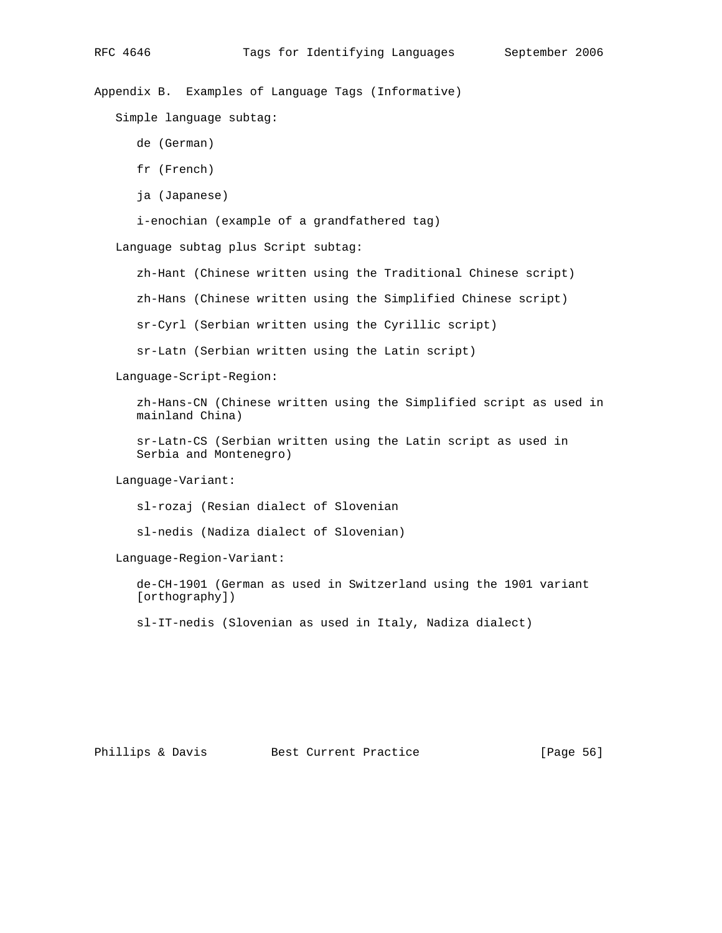Appendix B. Examples of Language Tags (Informative)

Simple language subtag:

- de (German)
- fr (French)
- ja (Japanese)

i-enochian (example of a grandfathered tag)

Language subtag plus Script subtag:

zh-Hant (Chinese written using the Traditional Chinese script)

zh-Hans (Chinese written using the Simplified Chinese script)

sr-Cyrl (Serbian written using the Cyrillic script)

sr-Latn (Serbian written using the Latin script)

Language-Script-Region:

 zh-Hans-CN (Chinese written using the Simplified script as used in mainland China)

 sr-Latn-CS (Serbian written using the Latin script as used in Serbia and Montenegro)

Language-Variant:

sl-rozaj (Resian dialect of Slovenian

sl-nedis (Nadiza dialect of Slovenian)

Language-Region-Variant:

 de-CH-1901 (German as used in Switzerland using the 1901 variant [orthography])

sl-IT-nedis (Slovenian as used in Italy, Nadiza dialect)

Phillips & Davis Best Current Practice [Page 56]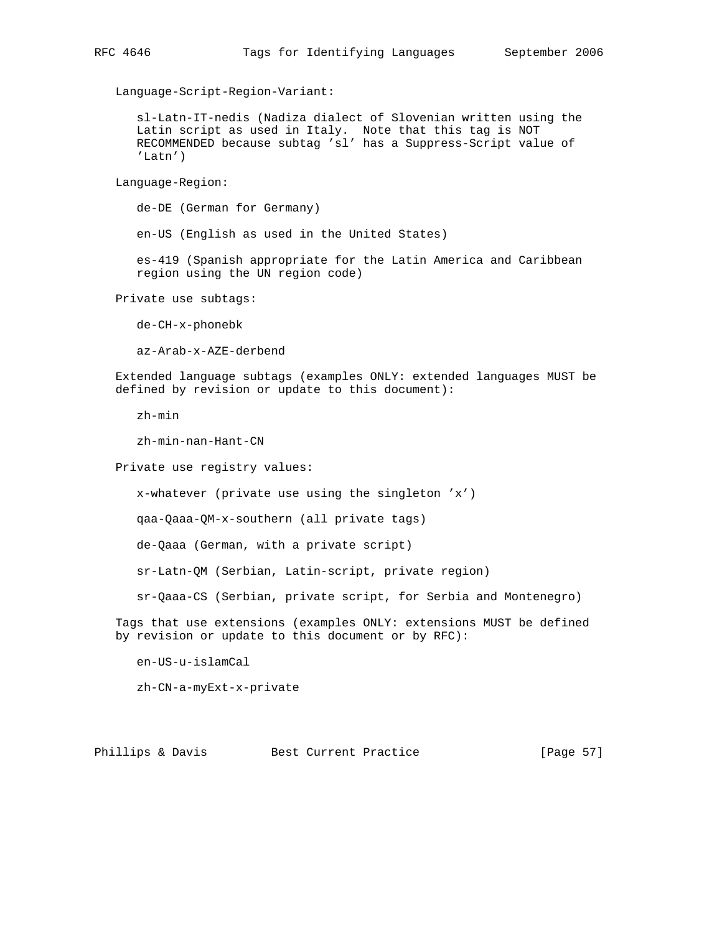Language-Script-Region-Variant:

 sl-Latn-IT-nedis (Nadiza dialect of Slovenian written using the Latin script as used in Italy. Note that this tag is NOT RECOMMENDED because subtag 'sl' has a Suppress-Script value of 'Latn')

Language-Region:

de-DE (German for Germany)

en-US (English as used in the United States)

 es-419 (Spanish appropriate for the Latin America and Caribbean region using the UN region code)

Private use subtags:

de-CH-x-phonebk

az-Arab-x-AZE-derbend

 Extended language subtags (examples ONLY: extended languages MUST be defined by revision or update to this document):

zh-min

zh-min-nan-Hant-CN

Private use registry values:

x-whatever (private use using the singleton 'x')

qaa-Qaaa-QM-x-southern (all private tags)

de-Qaaa (German, with a private script)

sr-Latn-QM (Serbian, Latin-script, private region)

sr-Qaaa-CS (Serbian, private script, for Serbia and Montenegro)

 Tags that use extensions (examples ONLY: extensions MUST be defined by revision or update to this document or by RFC):

en-US-u-islamCal

zh-CN-a-myExt-x-private

Phillips & Davis Best Current Practice [Page 57]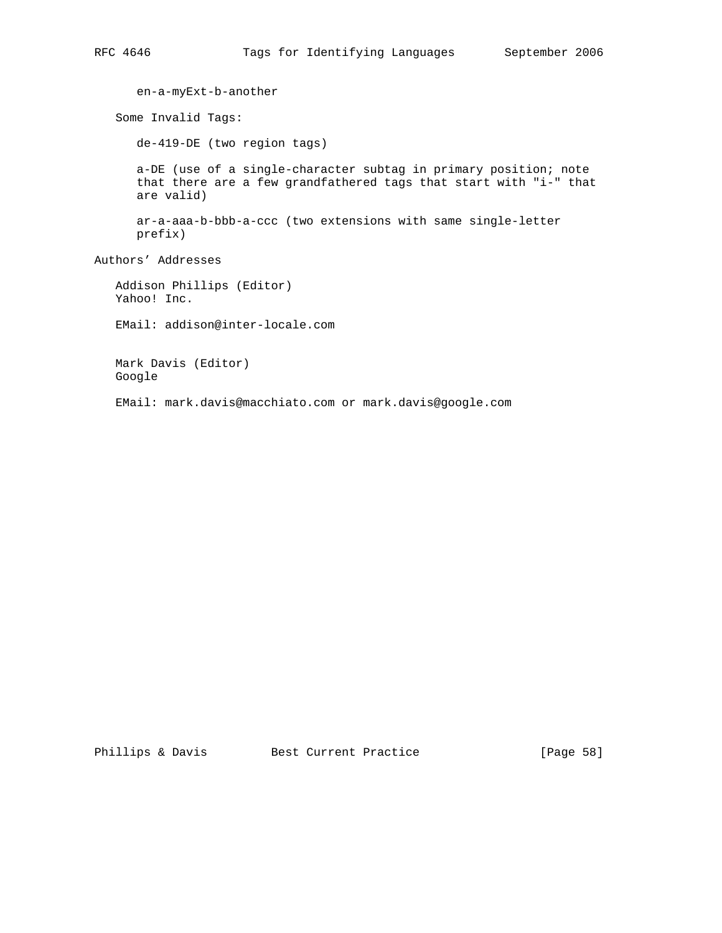en-a-myExt-b-another Some Invalid Tags: de-419-DE (two region tags) a-DE (use of a single-character subtag in primary position; note that there are a few grandfathered tags that start with "i-" that are valid) ar-a-aaa-b-bbb-a-ccc (two extensions with same single-letter prefix) Authors' Addresses Addison Phillips (Editor) Yahoo! Inc. EMail: addison@inter-locale.com Mark Davis (Editor) Google

EMail: mark.davis@macchiato.com or mark.davis@google.com

Phillips & Davis Best Current Practice [Page 58]